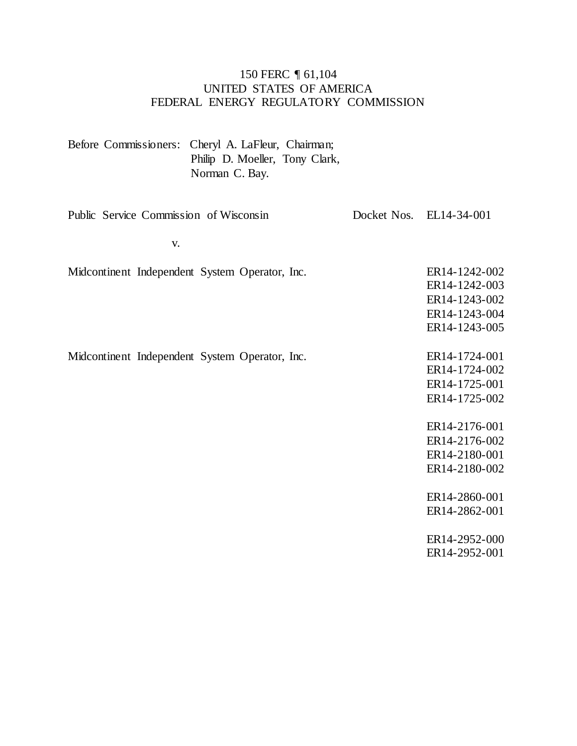#### 150 FERC ¶ 61,104 UNITED STATES OF AMERICA FEDERAL ENERGY REGULATORY COMMISSION

|                                                | Before Commissioners: Cheryl A. LaFleur, Chairman;<br>Philip D. Moeller, Tony Clark,<br>Norman C. Bay. |                                                                                   |
|------------------------------------------------|--------------------------------------------------------------------------------------------------------|-----------------------------------------------------------------------------------|
| Public Service Commission of Wisconsin         |                                                                                                        | Docket Nos. EL14-34-001                                                           |
| V.                                             |                                                                                                        |                                                                                   |
|                                                | Midcontinent Independent System Operator, Inc.                                                         | ER14-1242-002<br>ER14-1242-003<br>ER14-1243-002<br>ER14-1243-004<br>ER14-1243-005 |
| Midcontinent Independent System Operator, Inc. |                                                                                                        | ER14-1724-001<br>ER14-1724-002<br>ER14-1725-001<br>ER14-1725-002                  |
|                                                |                                                                                                        | ER14-2176-001<br>ER14-2176-002<br>ER14-2180-001<br>ER14-2180-002                  |
|                                                |                                                                                                        | ER14-2860-001<br>ER14-2862-001                                                    |
|                                                |                                                                                                        | ER14-2952-000<br>ER14-2952-001                                                    |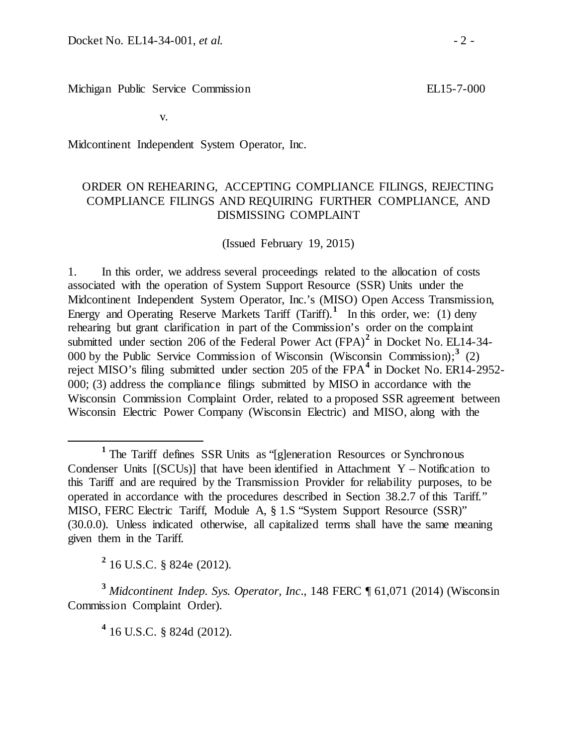Michigan Public Service Commission

v.

Midcontinent Independent System Operator, Inc.

### ORDER ON REHEARING, ACCEPTING COMPLIANCE FILINGS, REJECTING COMPLIANCE FILINGS AND REQUIRING FURTHER COMPLIANCE, AND DISMISSING COMPLAINT

(Issued February 19, 2015)

1. In this order, we address several proceedings related to the allocation of costs associated with the operation of System Support Resource (SSR) Units under the Midcontinent Independent System Operator, Inc.'s (MISO) Open Access Transmission, Energy and Operating Reserve Markets Tariff (Tariff).<sup>[1](#page-1-0)</sup> In this order, we: (1) deny rehearing but grant clarification in part of the Commission's order on the complaint submitted under section 206 of the Federal Power Act (FPA)**[2](#page-1-1)** in Docket No. EL14-34- 000 by the Public Service Commission of Wisconsin (Wisconsin Commission); **[3](#page-1-2)** (2) reject MISO's filing submitted under section 205 of the FPA**[4](#page-1-3)** in Docket No. ER14-2952- 000; (3) address the compliance filings submitted by MISO in accordance with the Wisconsin Commission Complaint Order, related to a proposed SSR agreement between Wisconsin Electric Power Company (Wisconsin Electric) and MISO, along with the

**<sup>2</sup>** 16 U.S.C. § 824e (2012).

<span id="page-1-3"></span><span id="page-1-2"></span><span id="page-1-1"></span>**<sup>3</sup>** *Midcontinent Indep. Sys. Operator, Inc*., 148 FERC ¶ 61,071 (2014) (Wisconsin Commission Complaint Order).

**<sup>4</sup>** 16 U.S.C. § 824d (2012).

<span id="page-1-0"></span>**<sup>1</sup>** The Tariff defines SSR Units as "[g]eneration Resources or Synchronous Condenser Units  $[(SCUs)]$  that have been identified in Attachment Y – Notification to this Tariff and are required by the Transmission Provider for reliability purposes, to be operated in accordance with the procedures described in Section 38.2.7 of this Tariff." MISO, FERC Electric Tariff, Module A, § 1.S "System Support Resource (SSR)" (30.0.0). Unless indicated otherwise, all capitalized terms shall have the same meaning given them in the Tariff.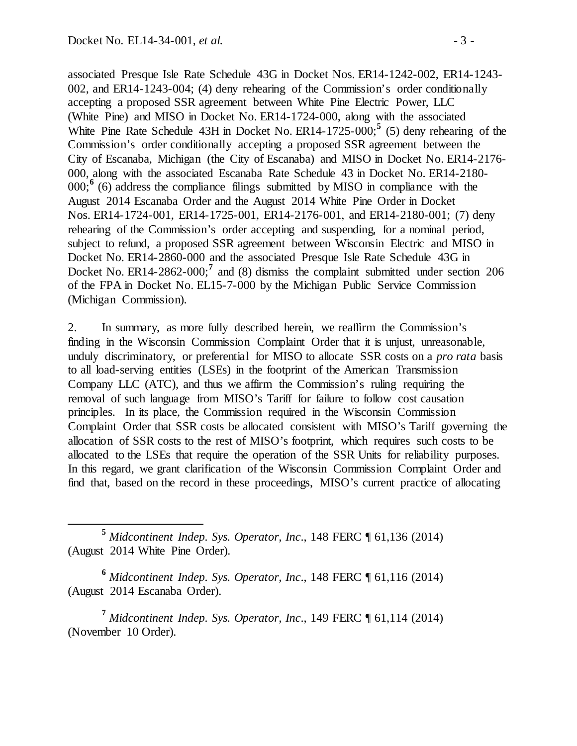associated Presque Isle Rate Schedule 43G in Docket Nos. ER14-1242-002, ER14-1243- 002, and ER14-1243-004; (4) deny rehearing of the Commission's order conditionally accepting a proposed SSR agreement between White Pine Electric Power, LLC (White Pine) and MISO in Docket No. ER14-1724-000, along with the associated White Pine Rate Schedule 43H in Docket No. ER14-1725-000; **[5](#page-2-0)** (5) deny rehearing of the Commission's order conditionally accepting a proposed SSR agreement between the City of Escanaba, Michigan (the City of Escanaba) and MISO in Docket No. ER14-2176- 000, along with the associated Escanaba Rate Schedule 43 in Docket No. ER14-2180-  $000;$ <sup>[6](#page-2-1)</sup> (6) address the compliance filings submitted by MISO in compliance with the August 2014 Escanaba Order and the August 2014 White Pine Order in Docket Nos. ER14-1724-001, ER14-1725-001, ER14-2176-001, and ER14-2180-001; (7) deny rehearing of the Commission's order accepting and suspending, for a nominal period, subject to refund, a proposed SSR agreement between Wisconsin Electric and MISO in Docket No. ER14-2860-000 and the associated Presque Isle Rate Schedule 43G in Docket No. ER14-2862-000;<sup>[7](#page-2-2)</sup> and (8) dismiss the complaint submitted under section 206 of the FPA in Docket No. EL15-7-000 by the Michigan Public Service Commission (Michigan Commission).

2. In summary, as more fully described herein, we reaffirm the Commission's finding in the Wisconsin Commission Complaint Order that it is unjust, unreasonable, unduly discriminatory, or preferential for MISO to allocate SSR costs on a *pro rata* basis to all load-serving entities (LSEs) in the footprint of the American Transmission Company LLC (ATC), and thus we affirm the Commission's ruling requiring the removal of such language from MISO's Tariff for failure to follow cost causation principles. In its place, the Commission required in the Wisconsin Commission Complaint Order that SSR costs be allocated consistent with MISO's Tariff governing the allocation of SSR costs to the rest of MISO's footprint, which requires such costs to be allocated to the LSEs that require the operation of the SSR Units for reliability purposes. In this regard, we grant clarification of the Wisconsin Commission Complaint Order and find that, based on the record in these proceedings, MISO's current practice of allocating

<span id="page-2-1"></span>**<sup>6</sup>** *Midcontinent Indep. Sys. Operator, Inc*., 148 FERC ¶ 61,116 (2014) (August 2014 Escanaba Order).

<span id="page-2-2"></span>**<sup>7</sup>** *Midcontinent Indep. Sys. Operator, Inc*., 149 FERC ¶ 61,114 (2014) (November 10 Order).

<span id="page-2-0"></span>**<sup>5</sup>** *Midcontinent Indep. Sys. Operator, Inc*., 148 FERC ¶ 61,136 (2014) (August 2014 White Pine Order).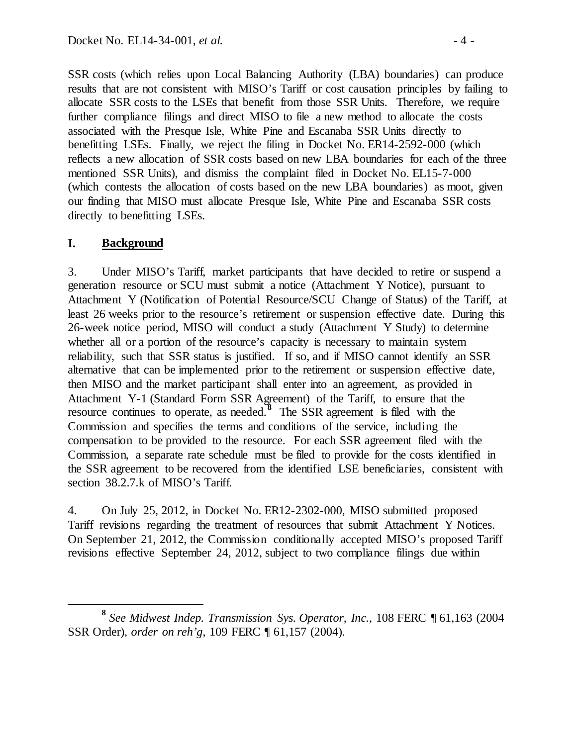SSR costs (which relies upon Local Balancing Authority (LBA) boundaries) can produce results that are not consistent with MISO's Tariff or cost causation principles by failing to allocate SSR costs to the LSEs that benefit from those SSR Units. Therefore, we require further compliance filings and direct MISO to file a new method to allocate the costs associated with the Presque Isle, White Pine and Escanaba SSR Units directly to benefitting LSEs. Finally, we reject the filing in Docket No. ER14-2592-000 (which reflects a new allocation of SSR costs based on new LBA boundaries for each of the three mentioned SSR Units), and dismiss the complaint filed in Docket No. EL15-7-000 (which contests the allocation of costs based on the new LBA boundaries) as moot, given our finding that MISO must allocate Presque Isle, White Pine and Escanaba SSR costs directly to benefitting LSEs.

## **I. Background**

3. Under MISO's Tariff, market participants that have decided to retire or suspend a generation resource or SCU must submit a notice (Attachment Y Notice), pursuant to Attachment Y (Notification of Potential Resource/SCU Change of Status) of the Tariff, at least 26 weeks prior to the resource's retirement or suspension effective date. During this 26-week notice period, MISO will conduct a study (Attachment Y Study) to determine whether all or a portion of the resource's capacity is necessary to maintain system reliability, such that SSR status is justified. If so, and if MISO cannot identify an SSR alternative that can be implemented prior to the retirement or suspension effective date, then MISO and the market participant shall enter into an agreement, as provided in Attachment Y-1 (Standard Form SSR Agreement) of the Tariff, to ensure that the resource continues to operate, as needed.**[8](#page-3-0)** The SSR agreement is filed with the Commission and specifies the terms and conditions of the service, including the compensation to be provided to the resource. For each SSR agreement filed with the Commission, a separate rate schedule must be filed to provide for the costs identified in the SSR agreement to be recovered from the identified LSE beneficiaries, consistent with section 38.2.7.k of MISO's Tariff.

4. On July 25, 2012, in Docket No. ER12-2302-000, MISO submitted proposed Tariff revisions regarding the treatment of resources that submit Attachment Y Notices. On September 21, 2012, the Commission conditionally accepted MISO's proposed Tariff revisions effective September 24, 2012, subject to two compliance filings due within

<span id="page-3-0"></span>**<sup>8</sup>** *See Midwest Indep. Transmission Sys. Operator, Inc.*, 108 FERC ¶ 61,163 (2004 SSR Order), *order on reh'g*, 109 FERC ¶ 61,157 (2004).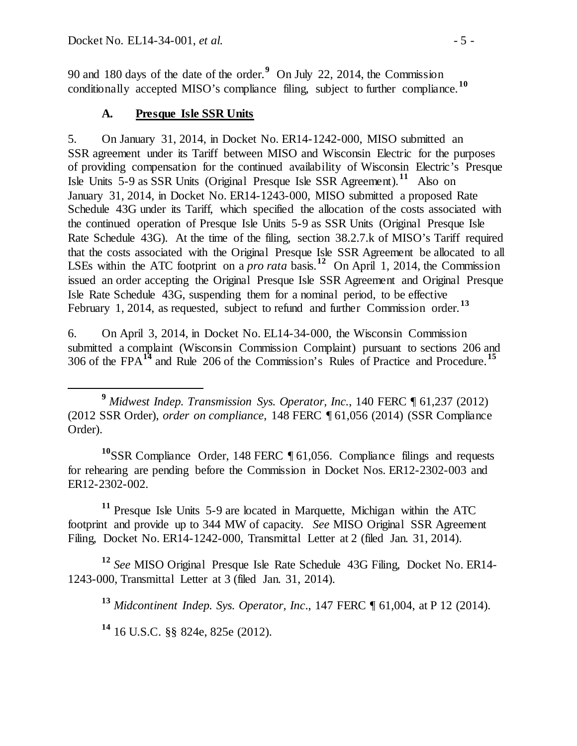90 and 180 days of the date of the order.**[9](#page-4-0)** On July 22, 2014, the Commission conditionally accepted MISO's compliance filing, subject to further compliance.**[10](#page-4-1)**

## **A. Presque Isle SSR Units**

5. On January 31, 2014, in Docket No. ER14-1242-000, MISO submitted an SSR agreement under its Tariff between MISO and Wisconsin Electric for the purposes of providing compensation for the continued availability of Wisconsin Electric's Presque Isle Units 5-9 as SSR Units (Original Presque Isle SSR Agreement).**[11](#page-4-2)** Also on January 31, 2014, in Docket No. ER14-1243-000, MISO submitted a proposed Rate Schedule 43G under its Tariff, which specified the allocation of the costs associated with the continued operation of Presque Isle Units 5-9 as SSR Units (Original Presque Isle Rate Schedule 43G). At the time of the filing, section 38.2.7.k of MISO's Tariff required that the costs associated with the Original Presque Isle SSR Agreement be allocated to all LSEs within the ATC footprint on a *pro rata* basis.<sup>[12](#page-4-3)</sup> On April 1, 2014, the Commission issued an order accepting the Original Presque Isle SSR Agreement and Original Presque Isle Rate Schedule 43G, suspending them for a nominal period, to be effective February 1, 2014, as requested, subject to refund and further Commission order.<sup>[13](#page-4-4)</sup>

6. On April 3, 2014, in Docket No. EL14-34-000, the Wisconsin Commission submitted a complaint (Wisconsin Commission Complaint) pursuant to sections 206 and 306 of the FPA**[14](#page-4-5)** and Rule 206 of the Commission's Rules of Practice and Procedure. **[15](#page-4-6)**

<span id="page-4-1"></span>**<sup>10</sup>**SSR Compliance Order, 148 FERC ¶ 61,056. Compliance filings and requests for rehearing are pending before the Commission in Docket Nos. ER12-2302-003 and ER12-2302-002.

<span id="page-4-6"></span><span id="page-4-2"></span>**<sup>11</sup>** Presque Isle Units 5-9 are located in Marquette, Michigan within the ATC footprint and provide up to 344 MW of capacity. *See* MISO Original SSR Agreement Filing, Docket No. ER14-1242-000, Transmittal Letter at 2 (filed Jan. 31, 2014).

<span id="page-4-5"></span><span id="page-4-4"></span><span id="page-4-3"></span>**<sup>12</sup>** *See* MISO Original Presque Isle Rate Schedule 43G Filing, Docket No. ER14- 1243-000, Transmittal Letter at 3 (filed Jan. 31, 2014).

**<sup>13</sup>** *Midcontinent Indep. Sys. Operator, Inc*., 147 FERC ¶ 61,004, at P 12 (2014).

**<sup>14</sup>** 16 U.S.C. §§ 824e, 825e (2012).

<span id="page-4-0"></span>**<sup>9</sup>** *Midwest Indep. Transmission Sys. Operator, Inc.*, 140 FERC ¶ 61,237 (2012) (2012 SSR Order), *order on compliance*, 148 FERC ¶ 61,056 (2014) (SSR Compliance Order).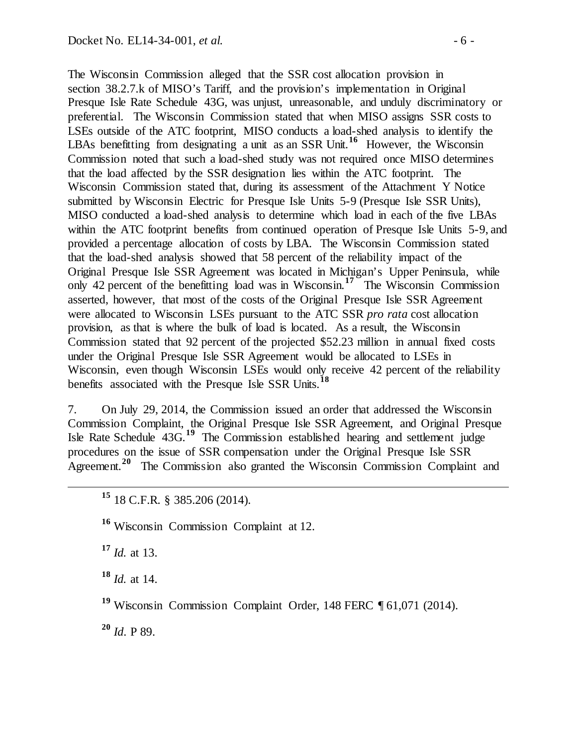The Wisconsin Commission alleged that the SSR cost allocation provision in section 38.2.7.k of MISO's Tariff, and the provision's implementation in Original Presque Isle Rate Schedule 43G, was unjust, unreasonable, and unduly discriminatory or preferential. The Wisconsin Commission stated that when MISO assigns SSR costs to LSEs outside of the ATC footprint, MISO conducts a load-shed analysis to identify the LBAs benefitting from designating a unit as an SSR Unit.<sup>[16](#page-5-0)</sup> However, the Wisconsin Commission noted that such a load-shed study was not required once MISO determines that the load affected by the SSR designation lies within the ATC footprint. The Wisconsin Commission stated that, during its assessment of the Attachment Y Notice submitted by Wisconsin Electric for Presque Isle Units 5-9 (Presque Isle SSR Units), MISO conducted a load-shed analysis to determine which load in each of the five LBAs within the ATC footprint benefits from continued operation of Presque Isle Units 5-9, and provided a percentage allocation of costs by LBA. The Wisconsin Commission stated that the load-shed analysis showed that 58 percent of the reliability impact of the Original Presque Isle SSR Agreement was located in Michigan's Upper Peninsula, while only 42 percent of the benefitting load was in Wisconsin.**[17](#page-5-1)** The Wisconsin Commission asserted, however, that most of the costs of the Original Presque Isle SSR Agreement were allocated to Wisconsin LSEs pursuant to the ATC SSR *pro rata* cost allocation provision, as that is where the bulk of load is located. As a result, the Wisconsin Commission stated that 92 percent of the projected \$52.23 million in annual fixed costs under the Original Presque Isle SSR Agreement would be allocated to LSEs in Wisconsin, even though Wisconsin LSEs would only receive 42 percent of the reliability benefits associated with the Presque Isle SSR Units. **[18](#page-5-2)**

7. On July 29, 2014, the Commission issued an order that addressed the Wisconsin Commission Complaint, the Original Presque Isle SSR Agreement, and Original Presque Isle Rate Schedule 43G.**[19](#page-5-3)** The Commission established hearing and settlement judge procedures on the issue of SSR compensation under the Original Presque Isle SSR Agreement.<sup>[20](#page-5-4)</sup> The Commission also granted the Wisconsin Commission Complaint and

<span id="page-5-0"></span>**<sup>16</sup>** Wisconsin Commission Complaint at 12.

<span id="page-5-1"></span>**<sup>17</sup>** *Id.* at 13.

<span id="page-5-2"></span>**<sup>18</sup>** *Id.* at 14.

<span id="page-5-3"></span>**<sup>19</sup>** Wisconsin Commission Complaint Order, 148 FERC ¶ 61,071 (2014).

<span id="page-5-4"></span>**<sup>20</sup>** *Id*. P 89.

**<sup>15</sup>** 18 C.F.R. § 385.206 (2014).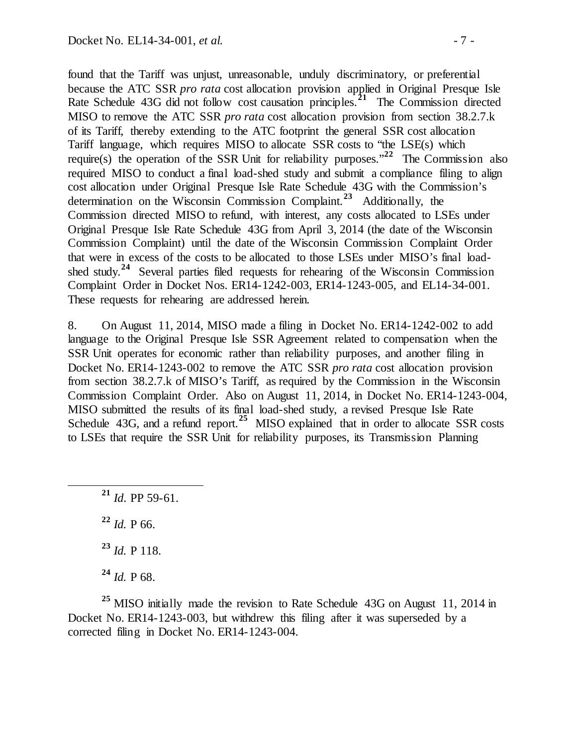found that the Tariff was unjust, unreasonable, unduly discriminatory, or preferential because the ATC SSR *pro rata* cost allocation provision applied in Original Presque Isle Rate Schedule 43G did not follow cost causation principles.**[21](#page-6-0)** The Commission directed MISO to remove the ATC SSR *pro rata* cost allocation provision from section 38.2.7.k of its Tariff, thereby extending to the ATC footprint the general SSR cost allocation Tariff language, which requires MISO to allocate SSR costs to "the LSE(s) which require(s) the operation of the SSR Unit for reliability purposes."**[22](#page-6-1)** The Commission also required MISO to conduct a final load-shed study and submit a compliance filing to align cost allocation under Original Presque Isle Rate Schedule 43G with the Commission's determination on the Wisconsin Commission Complaint.**[23](#page-6-2)** Additionally, the Commission directed MISO to refund, with interest, any costs allocated to LSEs under Original Presque Isle Rate Schedule 43G from April 3, 2014 (the date of the Wisconsin Commission Complaint) until the date of the Wisconsin Commission Complaint Order that were in excess of the costs to be allocated to those LSEs under MISO's final loadshed study.**[24](#page-6-3)** Several parties filed requests for rehearing of the Wisconsin Commission Complaint Order in Docket Nos. ER14-1242-003, ER14-1243-005, and EL14-34-001. These requests for rehearing are addressed herein.

8. On August 11, 2014, MISO made a filing in Docket No. ER14-1242-002 to add language to the Original Presque Isle SSR Agreement related to compensation when the SSR Unit operates for economic rather than reliability purposes, and another filing in Docket No. ER14-1243-002 to remove the ATC SSR *pro rata* cost allocation provision from section 38.2.7.k of MISO's Tariff, as required by the Commission in the Wisconsin Commission Complaint Order. Also on August 11, 2014, in Docket No. ER14-1243-004, MISO submitted the results of its final load-shed study, a revised Presque Isle Rate Schedule 43G, and a refund report.<sup>[25](#page-6-4)</sup> MISO explained that in order to allocate SSR costs to LSEs that require the SSR Unit for reliability purposes, its Transmission Planning

<span id="page-6-0"></span> **<sup>21</sup>** *Id*. PP 59-61. *Id.* P 66. *Id.* P 118. *Id.* P 68.

<span id="page-6-4"></span><span id="page-6-3"></span><span id="page-6-2"></span><span id="page-6-1"></span><sup>25</sup> MISO initially made the revision to Rate Schedule 43G on August 11, 2014 in Docket No. ER14-1243-003, but withdrew this filing after it was superseded by a corrected filing in Docket No. ER14-1243-004.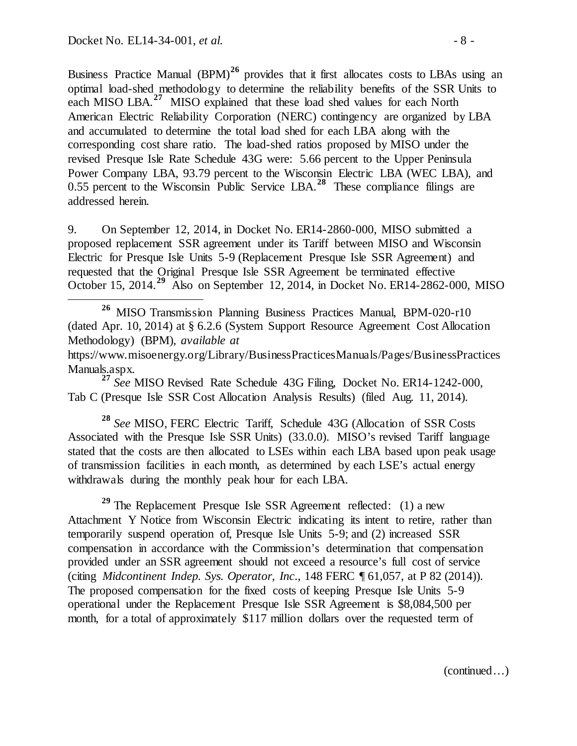Business Practice Manual (BPM)<sup>[26](#page-7-0)</sup> provides that it first allocates costs to LBAs using an optimal load-shed methodology to determine the reliability benefits of the SSR Units to each MISO LBA.**[27](#page-7-1)** MISO explained that these load shed values for each North American Electric Reliability Corporation (NERC) contingency are organized by LBA and accumulated to determine the total load shed for each LBA along with the corresponding cost share ratio. The load-shed ratios proposed by MISO under the revised Presque Isle Rate Schedule 43G were: 5.66 percent to the Upper Peninsula Power Company LBA, 93.79 percent to the Wisconsin Electric LBA (WEC LBA), and 0.55 percent to the Wisconsin Public Service LBA.<sup>[28](#page-7-2)</sup> These compliance filings are addressed herein.

9. On September 12, 2014, in Docket No. ER14-2860-000, MISO submitted a proposed replacement SSR agreement under its Tariff between MISO and Wisconsin Electric for Presque Isle Units 5-9 (Replacement Presque Isle SSR Agreement) and requested that the Original Presque Isle SSR Agreement be terminated effective October 15, 2014.**[29](#page-7-3)** Also on September 12, 2014, in Docket No. ER14-2862-000, MISO

<span id="page-7-1"></span>Tab C (Presque Isle SSR Cost Allocation Analysis Results) (filed Aug. 11, 2014).

<span id="page-7-2"></span>**<sup>28</sup>** *See* MISO, FERC Electric Tariff, Schedule 43G (Allocation of SSR Costs Associated with the Presque Isle SSR Units) (33.0.0). MISO's revised Tariff language stated that the costs are then allocated to LSEs within each LBA based upon peak usage of transmission facilities in each month, as determined by each LSE's actual energy withdrawals during the monthly peak hour for each LBA.

<span id="page-7-3"></span>**<sup>29</sup>** The Replacement Presque Isle SSR Agreement reflected: (1) a new Attachment Y Notice from Wisconsin Electric indicating its intent to retire, rather than temporarily suspend operation of, Presque Isle Units 5-9; and (2) increased SSR compensation in accordance with the Commission's determination that compensation provided under an SSR agreement should not exceed a resource's full cost of service (citing *Midcontinent Indep. Sys. Operator, Inc*., 148 FERC ¶ 61,057, at P 82 (2014)). The proposed compensation for the fixed costs of keeping Presque Isle Units 5-9 operational under the Replacement Presque Isle SSR Agreement is \$8,084,500 per month, for a total of approximately \$117 million dollars over the requested term of

<span id="page-7-0"></span>**<sup>26</sup>** MISO Transmission Planning Business Practices Manual, BPM-020-r10 (dated Apr. 10, 2014) at § 6.2.6 (System Support Resource Agreement Cost Allocation Methodology) (BPM), *available at*

https://www.misoenergy.org/Library/BusinessPracticesManuals/Pages/BusinessPractices Manuals.aspx. **<sup>27</sup>** *See* MISO Revised Rate Schedule 43G Filing, Docket No. ER14-1242-000,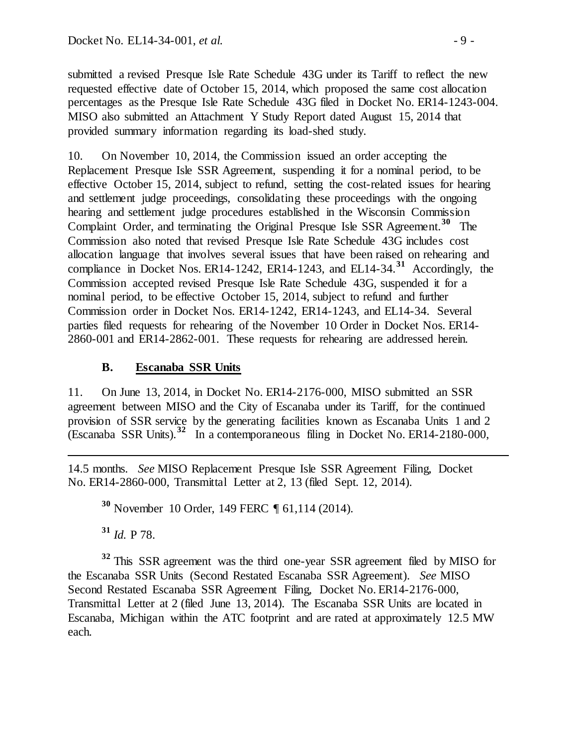submitted a revised Presque Isle Rate Schedule 43G under its Tariff to reflect the new requested effective date of October 15, 2014, which proposed the same cost allocation percentages as the Presque Isle Rate Schedule 43G filed in Docket No. ER14-1243-004. MISO also submitted an Attachment Y Study Report dated August 15, 2014 that provided summary information regarding its load-shed study.

10. On November 10, 2014, the Commission issued an order accepting the Replacement Presque Isle SSR Agreement, suspending it for a nominal period, to be effective October 15, 2014, subject to refund, setting the cost-related issues for hearing and settlement judge proceedings, consolidating these proceedings with the ongoing hearing and settlement judge procedures established in the Wisconsin Commission Complaint Order, and terminating the Original Presque Isle SSR Agreement. **[30](#page-8-0)** The Commission also noted that revised Presque Isle Rate Schedule 43G includes cost allocation language that involves several issues that have been raised on rehearing and compliance in Docket Nos. ER14-1242, ER14-1243, and EL14-34.**[31](#page-8-1)** Accordingly, the Commission accepted revised Presque Isle Rate Schedule 43G, suspended it for a nominal period, to be effective October 15, 2014, subject to refund and further Commission order in Docket Nos. ER14-1242, ER14-1243, and EL14-34. Several parties filed requests for rehearing of the November 10 Order in Docket Nos. ER14- 2860-001 and ER14-2862-001. These requests for rehearing are addressed herein.

# **B. Escanaba SSR Units**

11. On June 13, 2014, in Docket No. ER14-2176-000, MISO submitted an SSR agreement between MISO and the City of Escanaba under its Tariff, for the continued provision of SSR service by the generating facilities known as Escanaba Units 1 and 2 (Escanaba SSR Units).**[32](#page-8-2)** In a contemporaneous filing in Docket No. ER14-2180-000,

<span id="page-8-0"></span>14.5 months. *See* MISO Replacement Presque Isle SSR Agreement Filing, Docket No. ER14-2860-000, Transmittal Letter at 2, 13 (filed Sept. 12, 2014).

**<sup>30</sup>** November 10 Order, 149 FERC ¶ 61,114 (2014).

**<sup>31</sup>** *Id.* P 78.

 $\overline{a}$ 

<span id="page-8-2"></span><span id="page-8-1"></span>**<sup>32</sup>** This SSR agreement was the third one-year SSR agreement filed by MISO for the Escanaba SSR Units (Second Restated Escanaba SSR Agreement). *See* MISO Second Restated Escanaba SSR Agreement Filing, Docket No. ER14-2176-000, Transmittal Letter at 2 (filed June 13, 2014). The Escanaba SSR Units are located in Escanaba, Michigan within the ATC footprint and are rated at approximately 12.5 MW each.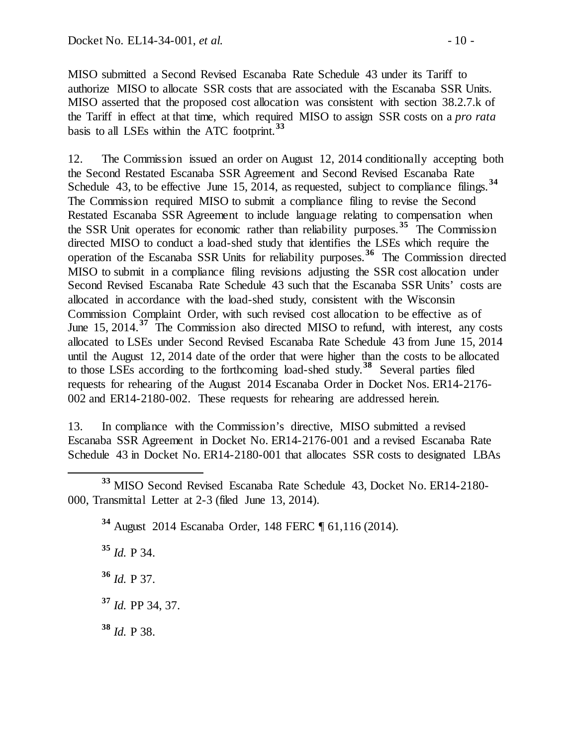MISO submitted a Second Revised Escanaba Rate Schedule 43 under its Tariff to authorize MISO to allocate SSR costs that are associated with the Escanaba SSR Units. MISO asserted that the proposed cost allocation was consistent with section 38.2.7.k of the Tariff in effect at that time, which required MISO to assign SSR costs on a *pro rata* basis to all LSEs within the ATC footprint.**[33](#page-9-0)**

12. The Commission issued an order on August 12, 2014 conditionally accepting both the Second Restated Escanaba SSR Agreement and Second Revised Escanaba Rate Schedule 43, to be effective June 15, 2014, as requested, subject to compliance filings.<sup>[34](#page-9-1)</sup> The Commission required MISO to submit a compliance filing to revise the Second Restated Escanaba SSR Agreement to include language relating to compensation when the SSR Unit operates for economic rather than reliability purposes.**[35](#page-9-2)** The Commission directed MISO to conduct a load-shed study that identifies the LSEs which require the operation of the Escanaba SSR Units for reliability purposes.**[36](#page-9-3)** The Commission directed MISO to submit in a compliance filing revisions adjusting the SSR cost allocation under Second Revised Escanaba Rate Schedule 43 such that the Escanaba SSR Units' costs are allocated in accordance with the load-shed study, consistent with the Wisconsin Commission Complaint Order, with such revised cost allocation to be effective as of June 15, 2014.<sup>[37](#page-9-4)</sup> The Commission also directed MISO to refund, with interest, any costs allocated to LSEs under Second Revised Escanaba Rate Schedule 43 from June 15, 2014 until the August 12, 2014 date of the order that were higher than the costs to be allocated to those LSEs according to the forthcoming load-shed study.**[38](#page-9-5)** Several parties filed requests for rehearing of the August 2014 Escanaba Order in Docket Nos. ER14-2176- 002 and ER14-2180-002. These requests for rehearing are addressed herein.

13. In compliance with the Commission's directive, MISO submitted a revised Escanaba SSR Agreement in Docket No. ER14-2176-001 and a revised Escanaba Rate Schedule 43 in Docket No. ER14-2180-001 that allocates SSR costs to designated LBAs

**<sup>34</sup>** August 2014 Escanaba Order, 148 FERC ¶ 61,116 (2014).

**<sup>35</sup>** *Id.* P 34.

<span id="page-9-3"></span>**<sup>36</sup>** *Id.* P 37.

<span id="page-9-4"></span>**<sup>37</sup>** *Id.* PP 34, 37.

<span id="page-9-5"></span>**<sup>38</sup>** *Id.* P 38.

<span id="page-9-2"></span><span id="page-9-1"></span><span id="page-9-0"></span>**<sup>33</sup>** MISO Second Revised Escanaba Rate Schedule 43, Docket No. ER14-2180- 000, Transmittal Letter at 2-3 (filed June 13, 2014).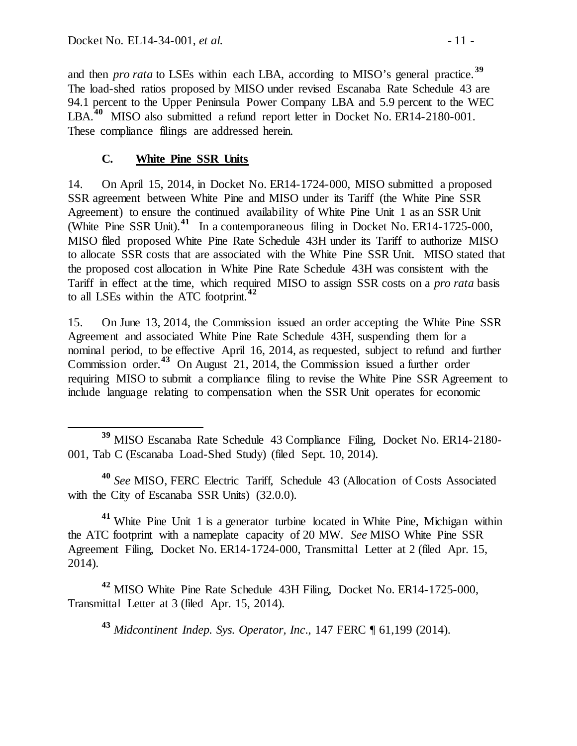and then *pro rata* to LSEs within each LBA, according to MISO's general practice.**[39](#page-10-0)** The load-shed ratios proposed by MISO under revised Escanaba Rate Schedule 43 are 94.1 percent to the Upper Peninsula Power Company LBA and 5.9 percent to the WEC LBA.<sup>[40](#page-10-1)</sup> MISO also submitted a refund report letter in Docket No. ER14-2180-001. These compliance filings are addressed herein.

# **C. White Pine SSR Units**

14. On April 15, 2014, in Docket No. ER14-1724-000, MISO submitted a proposed SSR agreement between White Pine and MISO under its Tariff (the White Pine SSR Agreement) to ensure the continued availability of White Pine Unit 1 as an SSR Unit (White Pine SSR Unit). **[41](#page-10-2)** In a contemporaneous filing in Docket No. ER14-1725-000, MISO filed proposed White Pine Rate Schedule 43H under its Tariff to authorize MISO to allocate SSR costs that are associated with the White Pine SSR Unit. MISO stated that the proposed cost allocation in White Pine Rate Schedule 43H was consistent with the Tariff in effect at the time, which required MISO to assign SSR costs on a *pro rata* basis to all LSEs within the ATC footprint.**[42](#page-10-3)**

15. On June 13, 2014, the Commission issued an order accepting the White Pine SSR Agreement and associated White Pine Rate Schedule 43H, suspending them for a nominal period, to be effective April 16, 2014, as requested, subject to refund and further Commission order.**[43](#page-10-4)** On August 21, 2014, the Commission issued a further order requiring MISO to submit a compliance filing to revise the White Pine SSR Agreement to include language relating to compensation when the SSR Unit operates for economic

<span id="page-10-1"></span>**<sup>40</sup>** *See* MISO, FERC Electric Tariff, Schedule 43 (Allocation of Costs Associated with the City of Escanaba SSR Units) (32.0.0).

<span id="page-10-2"></span>**<sup>41</sup>** White Pine Unit 1 is a generator turbine located in White Pine, Michigan within the ATC footprint with a nameplate capacity of 20 MW. *See* MISO White Pine SSR Agreement Filing, Docket No. ER14-1724-000, Transmittal Letter at 2 (filed Apr. 15, 2014).

<span id="page-10-4"></span><span id="page-10-3"></span>**<sup>42</sup>** MISO White Pine Rate Schedule 43H Filing, Docket No. ER14-1725-000, Transmittal Letter at 3 (filed Apr. 15, 2014).

**<sup>43</sup>** *Midcontinent Indep. Sys. Operator, Inc*., 147 FERC ¶ 61,199 (2014).

<span id="page-10-0"></span>**<sup>39</sup>** MISO Escanaba Rate Schedule 43 Compliance Filing, Docket No. ER14-2180- 001, Tab C (Escanaba Load-Shed Study) (filed Sept. 10, 2014).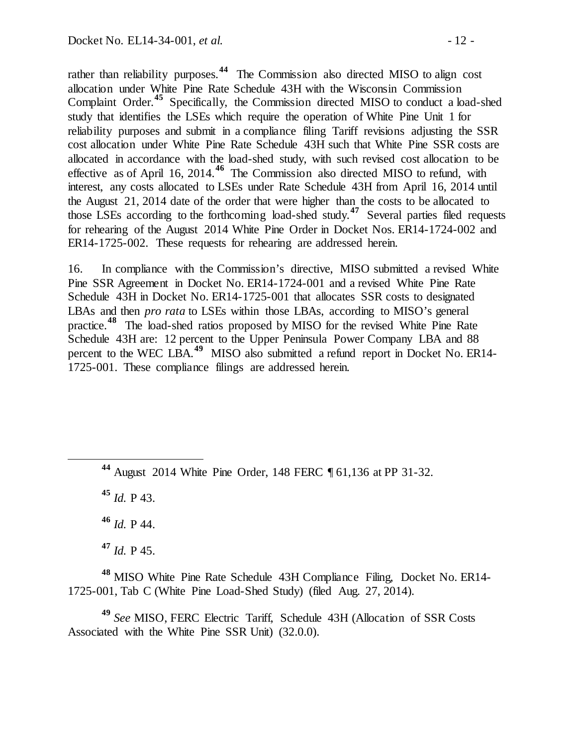rather than reliability purposes.**[44](#page-11-0)** The Commission also directed MISO to align cost allocation under White Pine Rate Schedule 43H with the Wisconsin Commission Complaint Order. **[45](#page-11-1)** Specifically, the Commission directed MISO to conduct a load-shed study that identifies the LSEs which require the operation of White Pine Unit 1 for reliability purposes and submit in a compliance filing Tariff revisions adjusting the SSR cost allocation under White Pine Rate Schedule 43H such that White Pine SSR costs are allocated in accordance with the load-shed study, with such revised cost allocation to be effective as of April 16, 2014.**[46](#page-11-2)** The Commission also directed MISO to refund, with interest, any costs allocated to LSEs under Rate Schedule 43H from April 16, 2014 until the August 21, 2014 date of the order that were higher than the costs to be allocated to those LSEs according to the forthcoming load-shed study.**[47](#page-11-3)** Several parties filed requests for rehearing of the August 2014 White Pine Order in Docket Nos. ER14-1724-002 and ER14-1725-002. These requests for rehearing are addressed herein.

16. In compliance with the Commission's directive, MISO submitted a revised White Pine SSR Agreement in Docket No. ER14-1724-001 and a revised White Pine Rate Schedule 43H in Docket No. ER14-1725-001 that allocates SSR costs to designated LBAs and then *pro rata* to LSEs within those LBAs, according to MISO's general practice.**[48](#page-11-4)** The load-shed ratios proposed by MISO for the revised White Pine Rate Schedule 43H are: 12 percent to the Upper Peninsula Power Company LBA and 88 percent to the WEC LBA.**[49](#page-11-5)** MISO also submitted a refund report in Docket No. ER14- 1725-001. These compliance filings are addressed herein.

<span id="page-11-1"></span>**<sup>45</sup>** *Id.* P 43.

**<sup>46</sup>** *Id.* P 44.

**<sup>47</sup>** *Id.* P 45.

<span id="page-11-4"></span><span id="page-11-3"></span><span id="page-11-2"></span>**<sup>48</sup>** MISO White Pine Rate Schedule 43H Compliance Filing, Docket No. ER14- 1725-001, Tab C (White Pine Load-Shed Study) (filed Aug. 27, 2014).

<span id="page-11-5"></span>**<sup>49</sup>** *See* MISO, FERC Electric Tariff, Schedule 43H (Allocation of SSR Costs Associated with the White Pine SSR Unit) (32.0.0).

<span id="page-11-0"></span>**<sup>44</sup>** August 2014 White Pine Order, 148 FERC ¶ 61,136 at PP 31-32.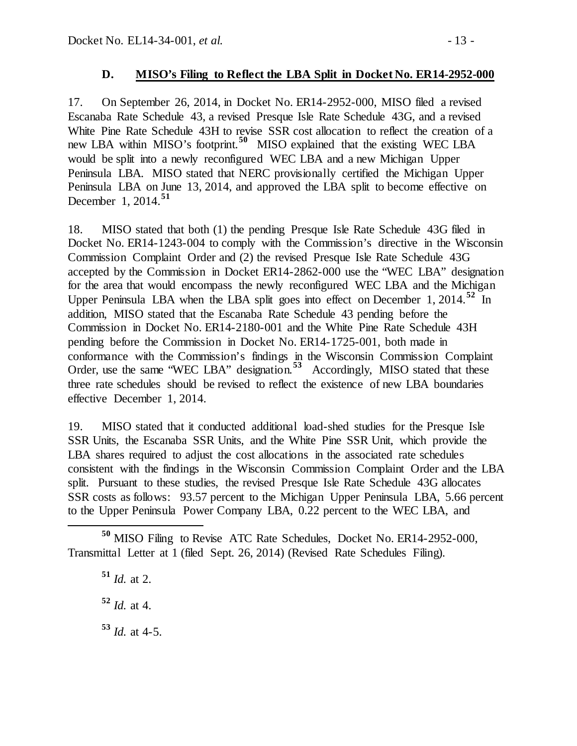### **D. MISO's Filing to Reflect the LBA Split in Docket No. ER14-2952-000**

17. On September 26, 2014, in Docket No. ER14-2952-000, MISO filed a revised Escanaba Rate Schedule 43, a revised Presque Isle Rate Schedule 43G, and a revised White Pine Rate Schedule 43H to revise SSR cost allocation to reflect the creation of a new LBA within MISO's footprint.**[50](#page-12-0)** MISO explained that the existing WEC LBA would be split into a newly reconfigured WEC LBA and a new Michigan Upper Peninsula LBA. MISO stated that NERC provisionally certified the Michigan Upper Peninsula LBA on June 13, 2014, and approved the LBA split to become effective on December 1, 2014.**[51](#page-12-1)**

18. MISO stated that both (1) the pending Presque Isle Rate Schedule 43G filed in Docket No. ER14-1243-004 to comply with the Commission's directive in the Wisconsin Commission Complaint Order and (2) the revised Presque Isle Rate Schedule 43G accepted by the Commission in Docket ER14-2862-000 use the "WEC LBA" designation for the area that would encompass the newly reconfigured WEC LBA and the Michigan Upper Peninsula LBA when the LBA split goes into effect on December 1, 2014.<sup>[52](#page-12-2)</sup> In addition, MISO stated that the Escanaba Rate Schedule 43 pending before the Commission in Docket No. ER14-2180-001 and the White Pine Rate Schedule 43H pending before the Commission in Docket No. ER14-1725-001, both made in conformance with the Commission's findings in the Wisconsin Commission Complaint Order, use the same "WEC LBA" designation.**[53](#page-12-3)** Accordingly, MISO stated that these three rate schedules should be revised to reflect the existence of new LBA boundaries effective December 1, 2014.

19. MISO stated that it conducted additional load-shed studies for the Presque Isle SSR Units, the Escanaba SSR Units, and the White Pine SSR Unit, which provide the LBA shares required to adjust the cost allocations in the associated rate schedules consistent with the findings in the Wisconsin Commission Complaint Order and the LBA split. Pursuant to these studies, the revised Presque Isle Rate Schedule 43G allocates SSR costs as follows: 93.57 percent to the Michigan Upper Peninsula LBA, 5.66 percent to the Upper Peninsula Power Company LBA, 0.22 percent to the WEC LBA, and

<span id="page-12-3"></span>**<sup>51</sup>** *Id.* at 2. **<sup>52</sup>** *Id.* at 4.  $\frac{53}{1}$  *Id.* at 4-5.

<span id="page-12-2"></span><span id="page-12-1"></span><span id="page-12-0"></span>**<sup>50</sup>** MISO Filing to Revise ATC Rate Schedules, Docket No. ER14-2952-000, Transmittal Letter at 1 (filed Sept. 26, 2014) (Revised Rate Schedules Filing).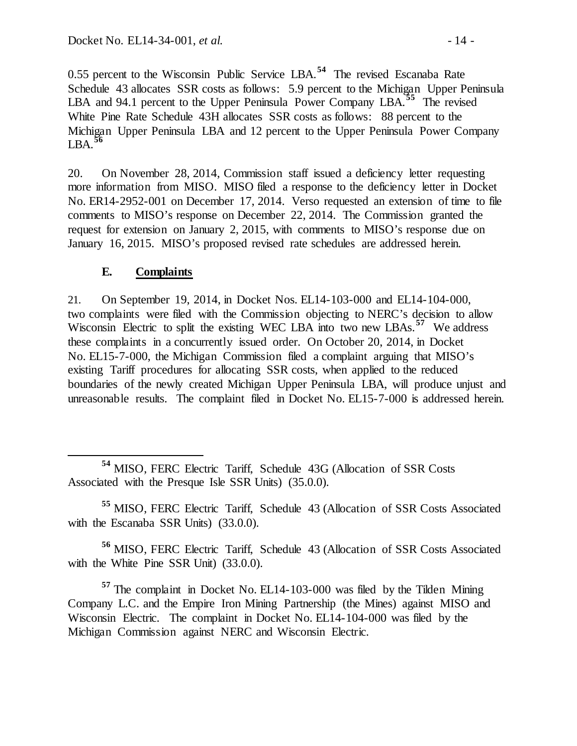0.55 percent to the Wisconsin Public Service LBA.**[54](#page-13-0)** The revised Escanaba Rate Schedule 43 allocates SSR costs as follows: 5.9 percent to the Michigan Upper Peninsula LBA and 94.1 percent to the Upper Peninsula Power Company LBA.<sup>[55](#page-13-1)</sup> The revised White Pine Rate Schedule 43H allocates SSR costs as follows: 88 percent to the Michigan Upper Peninsula LBA and 12 percent to the Upper Peninsula Power Company LBA.**[56](#page-13-2)**

20. On November 28, 2014, Commission staff issued a deficiency letter requesting more information from MISO. MISO filed a response to the deficiency letter in Docket No. ER14-2952-001 on December 17, 2014. Verso requested an extension of time to file comments to MISO's response on December 22, 2014. The Commission granted the request for extension on January 2, 2015, with comments to MISO's response due on January 16, 2015. MISO's proposed revised rate schedules are addressed herein.

# **E. Complaints**

21. On September 19, 2014, in Docket Nos. EL14-103-000 and EL14-104-000, two complaints were filed with the Commission objecting to NERC's decision to allow Wisconsin Electric to split the existing WEC LBA into two new LBAs.**[57](#page-13-3)** We address these complaints in a concurrently issued order. On October 20, 2014, in Docket No. EL15-7-000, the Michigan Commission filed a complaint arguing that MISO's existing Tariff procedures for allocating SSR costs, when applied to the reduced boundaries of the newly created Michigan Upper Peninsula LBA, will produce unjust and unreasonable results. The complaint filed in Docket No. EL15-7-000 is addressed herein.

<span id="page-13-0"></span> **<sup>54</sup>** MISO, FERC Electric Tariff, Schedule 43G (Allocation of SSR Costs Associated with the Presque Isle SSR Units) (35.0.0).

<span id="page-13-1"></span>**<sup>55</sup>** MISO, FERC Electric Tariff, Schedule 43 (Allocation of SSR Costs Associated with the Escanaba SSR Units) (33.0.0).

<span id="page-13-2"></span>**<sup>56</sup>** MISO, FERC Electric Tariff, Schedule 43 (Allocation of SSR Costs Associated with the White Pine SSR Unit) (33.0.0).

<span id="page-13-3"></span>**<sup>57</sup>** The complaint in Docket No. EL14-103-000 was filed by the Tilden Mining Company L.C. and the Empire Iron Mining Partnership (the Mines) against MISO and Wisconsin Electric. The complaint in Docket No. EL14-104-000 was filed by the Michigan Commission against NERC and Wisconsin Electric.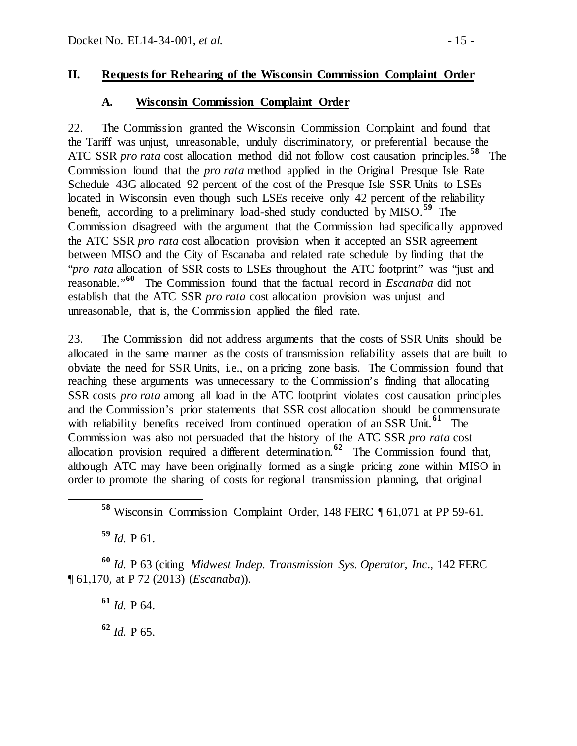### **II. Requests for Rehearing of the Wisconsin Commission Complaint Order**

### **A. Wisconsin Commission Complaint Order**

22. The Commission granted the Wisconsin Commission Complaint and found that the Tariff was unjust, unreasonable, unduly discriminatory, or preferential because the ATC SSR *pro rata* cost allocation method did not follow cost causation principles.**[58](#page-14-0)** The Commission found that the *pro rata* method applied in the Original Presque Isle Rate Schedule 43G allocated 92 percent of the cost of the Presque Isle SSR Units to LSEs located in Wisconsin even though such LSEs receive only 42 percent of the reliability benefit, according to a preliminary load-shed study conducted by MISO. **[59](#page-14-1)** The Commission disagreed with the argument that the Commission had specifically approved the ATC SSR *pro rata* cost allocation provision when it accepted an SSR agreement between MISO and the City of Escanaba and related rate schedule by finding that the "*pro rata* allocation of SSR costs to LSEs throughout the ATC footprint" was "just and reasonable."**[60](#page-14-2)** The Commission found that the factual record in *Escanaba* did not establish that the ATC SSR *pro rata* cost allocation provision was unjust and unreasonable, that is, the Commission applied the filed rate.

23. The Commission did not address arguments that the costs of SSR Units should be allocated in the same manner as the costs of transmission reliability assets that are built to obviate the need for SSR Units, i.e., on a pricing zone basis. The Commission found that reaching these arguments was unnecessary to the Commission's finding that allocating SSR costs *pro rata* among all load in the ATC footprint violates cost causation principles and the Commission's prior statements that SSR cost allocation should be commensurate with reliability benefits received from continued operation of an SSR Unit.<sup>[61](#page-14-3)</sup> The Commission was also not persuaded that the history of the ATC SSR *pro rata* cost allocation provision required a different determination.**[62](#page-14-4)** The Commission found that, although ATC may have been originally formed as a single pricing zone within MISO in order to promote the sharing of costs for regional transmission planning, that original

**<sup>59</sup>** *Id.* P 61.

<span id="page-14-4"></span><span id="page-14-3"></span><span id="page-14-2"></span><span id="page-14-1"></span><span id="page-14-0"></span>**<sup>60</sup>** *Id.* P 63 (citing *Midwest Indep. Transmission Sys. Operator, Inc*., 142 FERC ¶ 61,170, at P 72 (2013) (*Escanaba*)).

**<sup>61</sup>** *Id.* P 64.

**<sup>62</sup>** *Id.* P 65.

**<sup>58</sup>** Wisconsin Commission Complaint Order, 148 FERC ¶ 61,071 at PP 59-61.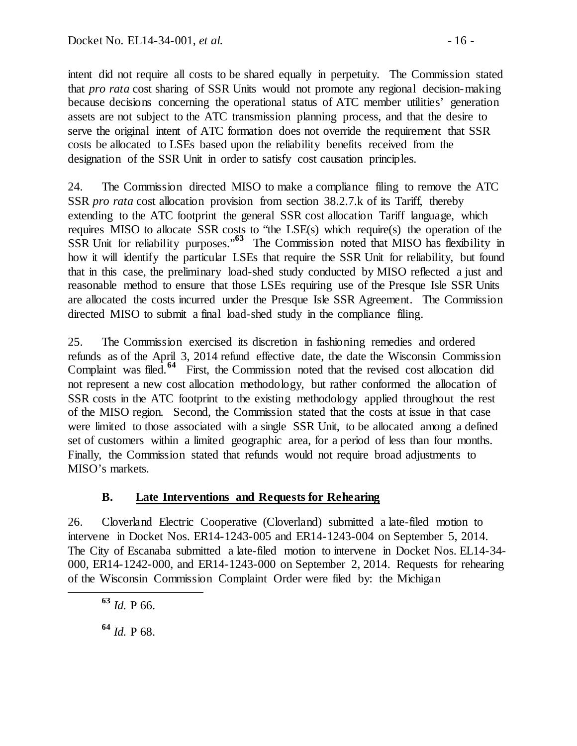intent did not require all costs to be shared equally in perpetuity. The Commission stated that *pro rata* cost sharing of SSR Units would not promote any regional decision-making because decisions concerning the operational status of ATC member utilities' generation assets are not subject to the ATC transmission planning process, and that the desire to serve the original intent of ATC formation does not override the requirement that SSR costs be allocated to LSEs based upon the reliability benefits received from the designation of the SSR Unit in order to satisfy cost causation principles.

24. The Commission directed MISO to make a compliance filing to remove the ATC SSR *pro rata* cost allocation provision from section 38.2.7.k of its Tariff, thereby extending to the ATC footprint the general SSR cost allocation Tariff language, which requires MISO to allocate SSR costs to "the LSE(s) which require(s) the operation of the SSR Unit for reliability purposes.<sup>"[63](#page-15-0)</sup> The Commission noted that MISO has flexibility in how it will identify the particular LSEs that require the SSR Unit for reliability, but found that in this case, the preliminary load-shed study conducted by MISO reflected a just and reasonable method to ensure that those LSEs requiring use of the Presque Isle SSR Units are allocated the costs incurred under the Presque Isle SSR Agreement. The Commission directed MISO to submit a final load-shed study in the compliance filing.

25. The Commission exercised its discretion in fashioning remedies and ordered refunds as of the April 3, 2014 refund effective date, the date the Wisconsin Commission Complaint was filed.**[64](#page-15-1)** First, the Commission noted that the revised cost allocation did not represent a new cost allocation methodology, but rather conformed the allocation of SSR costs in the ATC footprint to the existing methodology applied throughout the rest of the MISO region. Second, the Commission stated that the costs at issue in that case were limited to those associated with a single SSR Unit, to be allocated among a defined set of customers within a limited geographic area, for a period of less than four months. Finally, the Commission stated that refunds would not require broad adjustments to MISO's markets.

## **B. Late Interventions and Requests for Rehearing**

26. Cloverland Electric Cooperative (Cloverland) submitted a late-filed motion to intervene in Docket Nos. ER14-1243-005 and ER14-1243-004 on September 5, 2014. The City of Escanaba submitted a late-filed motion to intervene in Docket Nos. EL14-34- 000, ER14-1242-000, and ER14-1243-000 on September 2, 2014. Requests for rehearing of the Wisconsin Commission Complaint Order were filed by: the Michigan

<span id="page-15-0"></span>**<sup>63</sup>** *Id.* P 66.

<span id="page-15-1"></span>**<sup>64</sup>** *Id.* P 68.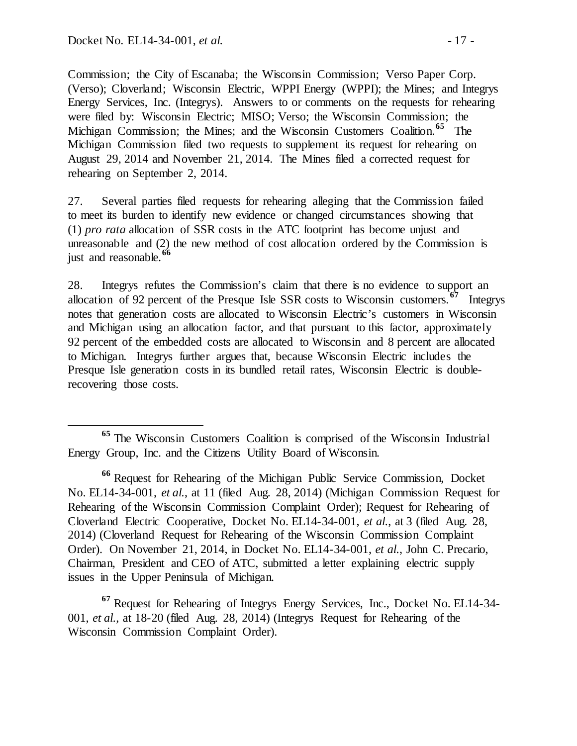Commission; the City of Escanaba; the Wisconsin Commission; Verso Paper Corp. (Verso); Cloverland; Wisconsin Electric, WPPI Energy (WPPI); the Mines; and Integrys Energy Services, Inc. (Integrys). Answers to or comments on the requests for rehearing were filed by: Wisconsin Electric; MISO; Verso; the Wisconsin Commission; the Michigan Commission; the Mines; and the Wisconsin Customers Coalition. **[65](#page-16-0)** The Michigan Commission filed two requests to supplement its request for rehearing on August 29, 2014 and November 21, 2014. The Mines filed a corrected request for rehearing on September 2, 2014.

27. Several parties filed requests for rehearing alleging that the Commission failed to meet its burden to identify new evidence or changed circumstances showing that (1) *pro rata* allocation of SSR costs in the ATC footprint has become unjust and unreasonable and (2) the new method of cost allocation ordered by the Commission is just and reasonable.**[66](#page-16-1)**

28. Integrys refutes the Commission's claim that there is no evidence to support an allocation of 92 percent of the Presque Isle SSR costs to Wisconsin customers.**[67](#page-16-2)** Integrys notes that generation costs are allocated to Wisconsin Electric's customers in Wisconsin and Michigan using an allocation factor, and that pursuant to this factor, approximately 92 percent of the embedded costs are allocated to Wisconsin and 8 percent are allocated to Michigan. Integrys further argues that, because Wisconsin Electric includes the Presque Isle generation costs in its bundled retail rates, Wisconsin Electric is doublerecovering those costs.

<span id="page-16-2"></span>**<sup>67</sup>** Request for Rehearing of Integrys Energy Services, Inc., Docket No. EL14-34- 001, *et al.*, at 18-20 (filed Aug. 28, 2014) (Integrys Request for Rehearing of the Wisconsin Commission Complaint Order).

<span id="page-16-0"></span>**<sup>65</sup>** The Wisconsin Customers Coalition is comprised of the Wisconsin Industrial Energy Group, Inc. and the Citizens Utility Board of Wisconsin.

<span id="page-16-1"></span>**<sup>66</sup>** Request for Rehearing of the Michigan Public Service Commission, Docket No. EL14-34-001, *et al.*, at 11 (filed Aug. 28, 2014) (Michigan Commission Request for Rehearing of the Wisconsin Commission Complaint Order); Request for Rehearing of Cloverland Electric Cooperative, Docket No. EL14-34-001, *et al.*, at 3 (filed Aug. 28, 2014) (Cloverland Request for Rehearing of the Wisconsin Commission Complaint Order). On November 21, 2014, in Docket No. EL14-34-001, *et al.*, John C. Precario, Chairman, President and CEO of ATC, submitted a letter explaining electric supply issues in the Upper Peninsula of Michigan.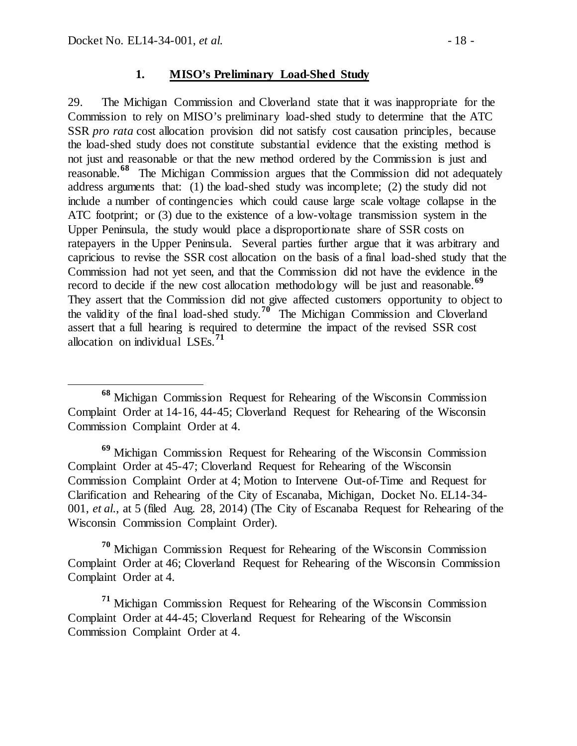#### **1. MISO's Preliminary Load-Shed Study**

29. The Michigan Commission and Cloverland state that it was inappropriate for the Commission to rely on MISO's preliminary load-shed study to determine that the ATC SSR *pro rata* cost allocation provision did not satisfy cost causation principles, because the load-shed study does not constitute substantial evidence that the existing method is not just and reasonable or that the new method ordered by the Commission is just and reasonable.**[68](#page-17-0)** The Michigan Commission argues that the Commission did not adequately address arguments that: (1) the load-shed study was incomplete; (2) the study did not include a number of contingencies which could cause large scale voltage collapse in the ATC footprint; or (3) due to the existence of a low-voltage transmission system in the Upper Peninsula, the study would place a disproportionate share of SSR costs on ratepayers in the Upper Peninsula. Several parties further argue that it was arbitrary and capricious to revise the SSR cost allocation on the basis of a final load-shed study that the Commission had not yet seen, and that the Commission did not have the evidence in the record to decide if the new cost allocation methodology will be just and reasonable.<sup>[69](#page-17-1)</sup> They assert that the Commission did not give affected customers opportunity to object to the validity of the final load-shed study.**[70](#page-17-2)** The Michigan Commission and Cloverland assert that a full hearing is required to determine the impact of the revised SSR cost allocation on individual LSEs.**[71](#page-17-3)**

<span id="page-17-1"></span>**<sup>69</sup>** Michigan Commission Request for Rehearing of the Wisconsin Commission Complaint Order at 45-47; Cloverland Request for Rehearing of the Wisconsin Commission Complaint Order at 4; Motion to Intervene Out-of-Time and Request for Clarification and Rehearing of the City of Escanaba, Michigan, Docket No. EL14-34- 001, *et al.*, at 5 (filed Aug. 28, 2014) (The City of Escanaba Request for Rehearing of the Wisconsin Commission Complaint Order).

<span id="page-17-2"></span>**<sup>70</sup>** Michigan Commission Request for Rehearing of the Wisconsin Commission Complaint Order at 46; Cloverland Request for Rehearing of the Wisconsin Commission Complaint Order at 4.

<span id="page-17-3"></span>**<sup>71</sup>** Michigan Commission Request for Rehearing of the Wisconsin Commission Complaint Order at 44-45; Cloverland Request for Rehearing of the Wisconsin Commission Complaint Order at 4.

<span id="page-17-0"></span>**<sup>68</sup>** Michigan Commission Request for Rehearing of the Wisconsin Commission Complaint Order at 14-16, 44-45; Cloverland Request for Rehearing of the Wisconsin Commission Complaint Order at 4.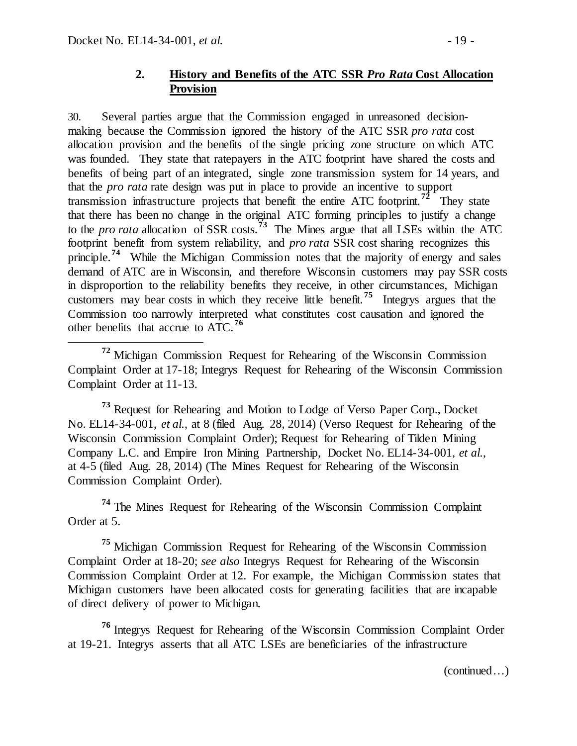### **2. History and Benefits of the ATC SSR** *Pro Rata* **Cost Allocation Provision**

30. Several parties argue that the Commission engaged in unreasoned decisionmaking because the Commission ignored the history of the ATC SSR *pro rata* cost allocation provision and the benefits of the single pricing zone structure on which ATC was founded. They state that ratepayers in the ATC footprint have shared the costs and benefits of being part of an integrated, single zone transmission system for 14 years, and that the *pro rata* rate design was put in place to provide an incentive to support transmission infrastructure projects that benefit the entire ATC footprint.**[72](#page-18-0)** They state that there has been no change in the original ATC forming principles to justify a change to the *pro rata* allocation of SSR costs.**[73](#page-18-1)** The Mines argue that all LSEs within the ATC footprint benefit from system reliability, and *pro rata* SSR cost sharing recognizes this principle.<sup>[74](#page-18-2)</sup> While the Michigan Commission notes that the majority of energy and sales demand of ATC are in Wisconsin, and therefore Wisconsin customers may pay SSR costs in disproportion to the reliability benefits they receive, in other circumstances, Michigan customers may bear costs in which they receive little benefit.**[75](#page-18-3)** Integrys argues that the Commission too narrowly interpreted what constitutes cost causation and ignored the other benefits that accrue to ATC.**[76](#page-18-4)**

<span id="page-18-0"></span> **<sup>72</sup>** Michigan Commission Request for Rehearing of the Wisconsin Commission Complaint Order at 17-18; Integrys Request for Rehearing of the Wisconsin Commission Complaint Order at 11-13.

<span id="page-18-1"></span>**<sup>73</sup>** Request for Rehearing and Motion to Lodge of Verso Paper Corp., Docket No. EL14-34-001, *et al.*, at 8 (filed Aug. 28, 2014) (Verso Request for Rehearing of the Wisconsin Commission Complaint Order); Request for Rehearing of Tilden Mining Company L.C. and Empire Iron Mining Partnership, Docket No. EL14-34-001, *et al.*, at 4-5 (filed Aug. 28, 2014) (The Mines Request for Rehearing of the Wisconsin Commission Complaint Order).

<span id="page-18-2"></span>**<sup>74</sup>** The Mines Request for Rehearing of the Wisconsin Commission Complaint Order at 5.

<span id="page-18-3"></span>**<sup>75</sup>** Michigan Commission Request for Rehearing of the Wisconsin Commission Complaint Order at 18-20; *see also* Integrys Request for Rehearing of the Wisconsin Commission Complaint Order at 12. For example, the Michigan Commission states that Michigan customers have been allocated costs for generating facilities that are incapable of direct delivery of power to Michigan.

<span id="page-18-4"></span>**<sup>76</sup>** Integrys Request for Rehearing of the Wisconsin Commission Complaint Order at 19-21. Integrys asserts that all ATC LSEs are beneficiaries of the infrastructure

(continued…)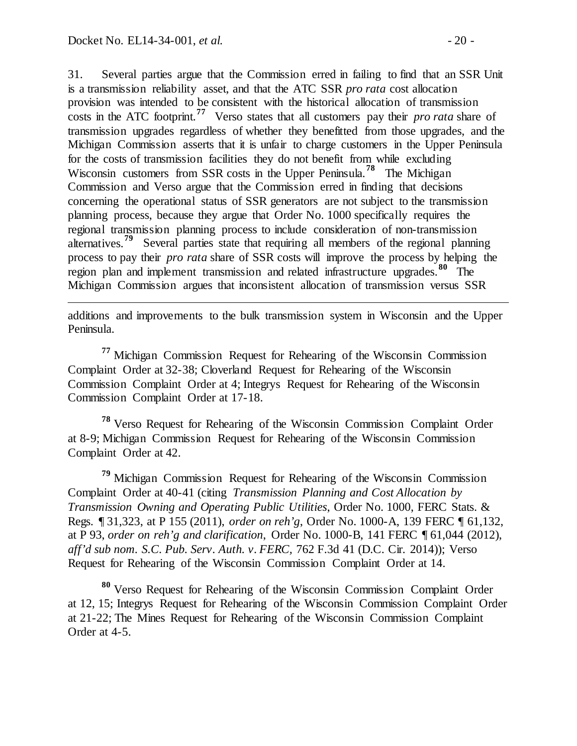$\overline{a}$ 

31. Several parties argue that the Commission erred in failing to find that an SSR Unit is a transmission reliability asset, and that the ATC SSR *pro rata* cost allocation provision was intended to be consistent with the historical allocation of transmission costs in the ATC footprint.**[77](#page-19-0)** Verso states that all customers pay their *pro rata* share of transmission upgrades regardless of whether they benefitted from those upgrades, and the Michigan Commission asserts that it is unfair to charge customers in the Upper Peninsula for the costs of transmission facilities they do not benefit from while excluding Wisconsin customers from SSR costs in the Upper Peninsula.<sup>[78](#page-19-1)</sup> The Michigan Commission and Verso argue that the Commission erred in finding that decisions concerning the operational status of SSR generators are not subject to the transmission planning process, because they argue that Order No. 1000 specifically requires the regional transmission planning process to include consideration of non-transmission alternatives.**[79](#page-19-2)** Several parties state that requiring all members of the regional planning process to pay their *pro rata* share of SSR costs will improve the process by helping the region plan and implement transmission and related infrastructure upgrades.**[80](#page-19-3)** The Michigan Commission argues that inconsistent allocation of transmission versus SSR

additions and improvements to the bulk transmission system in Wisconsin and the Upper Peninsula.

<span id="page-19-0"></span>**<sup>77</sup>** Michigan Commission Request for Rehearing of the Wisconsin Commission Complaint Order at 32-38; Cloverland Request for Rehearing of the Wisconsin Commission Complaint Order at 4; Integrys Request for Rehearing of the Wisconsin Commission Complaint Order at 17-18.

<span id="page-19-1"></span>**<sup>78</sup>** Verso Request for Rehearing of the Wisconsin Commission Complaint Order at 8-9; Michigan Commission Request for Rehearing of the Wisconsin Commission Complaint Order at 42.

<span id="page-19-2"></span>**<sup>79</sup>** Michigan Commission Request for Rehearing of the Wisconsin Commission Complaint Order at 40-41 (citing *Transmission Planning and Cost Allocation by Transmission Owning and Operating Public Utilities*, Order No. 1000, FERC Stats. & Regs. ¶ 31,323, at P 155 (2011), *order on reh'g*, Order No. 1000-A, 139 FERC ¶ 61,132, at P 93, *order on reh'g and clarification*, Order No. 1000-B, 141 FERC ¶ 61,044 (2012), *aff'd sub nom. S.C. Pub. Serv. Auth. v. FERC,* 762 F.3d 41 (D.C. Cir. 2014)); Verso Request for Rehearing of the Wisconsin Commission Complaint Order at 14.

<span id="page-19-3"></span>**<sup>80</sup>** Verso Request for Rehearing of the Wisconsin Commission Complaint Order at 12, 15; Integrys Request for Rehearing of the Wisconsin Commission Complaint Order at 21-22; The Mines Request for Rehearing of the Wisconsin Commission Complaint Order at 4-5.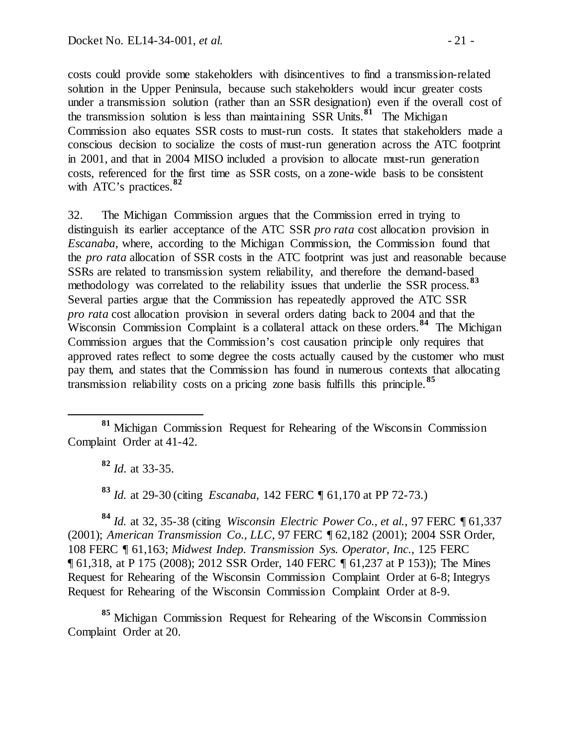costs could provide some stakeholders with disincentives to find a transmission-related solution in the Upper Peninsula, because such stakeholders would incur greater costs under a transmission solution (rather than an SSR designation) even if the overall cost of the transmission solution is less than maintaining SSR Units. **[81](#page-20-0)** The Michigan Commission also equates SSR costs to must-run costs. It states that stakeholders made a conscious decision to socialize the costs of must-run generation across the ATC footprint in 2001, and that in 2004 MISO included a provision to allocate must-run generation costs, referenced for the first time as SSR costs, on a zone-wide basis to be consistent with ATC's practices.**[82](#page-20-1)**

32. The Michigan Commission argues that the Commission erred in trying to distinguish its earlier acceptance of the ATC SSR *pro rata* cost allocation provision in *Escanaba*, where, according to the Michigan Commission, the Commission found that the *pro rata* allocation of SSR costs in the ATC footprint was just and reasonable because SSRs are related to transmission system reliability, and therefore the demand-based methodology was correlated to the reliability issues that underlie the SSR process.**[83](#page-20-2)** Several parties argue that the Commission has repeatedly approved the ATC SSR *pro rata* cost allocation provision in several orders dating back to 2004 and that the Wisconsin Commission Complaint is a collateral attack on these orders.<sup>[84](#page-20-3)</sup> The Michigan Commission argues that the Commission's cost causation principle only requires that approved rates reflect to some degree the costs actually caused by the customer who must pay them, and states that the Commission has found in numerous contexts that allocating transmission reliability costs on a pricing zone basis fulfills this principle.**[85](#page-20-4)**

**<sup>82</sup>** *Id*. at 33-35.

**<sup>83</sup>** *Id.* at 29-30 (citing *Escanaba*, 142 FERC ¶ 61,170 at PP 72-73.)

<span id="page-20-3"></span><span id="page-20-2"></span>**<sup>84</sup>** *Id.* at 32, 35-38 (citing *Wisconsin Electric Power Co., et al.*, 97 FERC ¶ 61,337 (2001); *American Transmission Co., LLC*, 97 FERC ¶ 62,182 (2001); 2004 SSR Order, 108 FERC ¶ 61,163; *Midwest Indep. Transmission Sys. Operator, Inc.*, 125 FERC ¶ 61,318, at P 175 (2008); 2012 SSR Order, 140 FERC ¶ 61,237 at P 153)); The Mines Request for Rehearing of the Wisconsin Commission Complaint Order at 6-8; Integrys Request for Rehearing of the Wisconsin Commission Complaint Order at 8-9.

<span id="page-20-4"></span>**<sup>85</sup>** Michigan Commission Request for Rehearing of the Wisconsin Commission Complaint Order at 20.

<span id="page-20-1"></span><span id="page-20-0"></span>**<sup>81</sup>** Michigan Commission Request for Rehearing of the Wisconsin Commission Complaint Order at 41-42.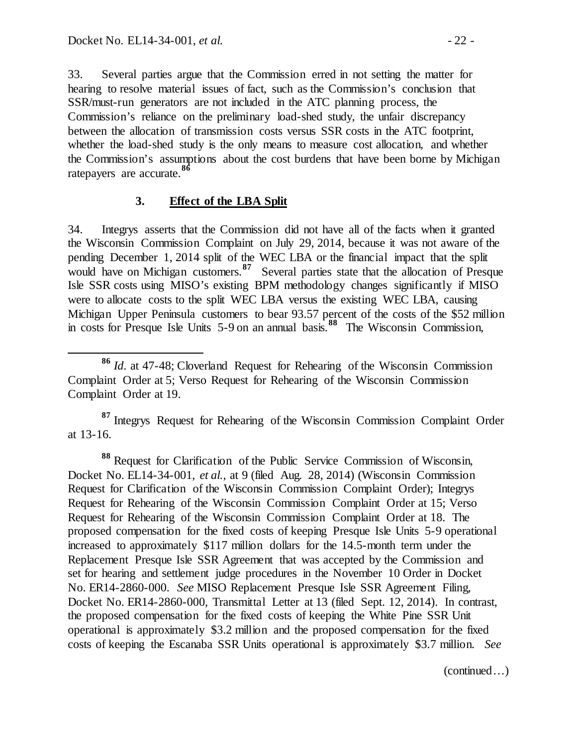33. Several parties argue that the Commission erred in not setting the matter for hearing to resolve material issues of fact, such as the Commission's conclusion that SSR/must-run generators are not included in the ATC planning process, the Commission's reliance on the preliminary load-shed study, the unfair discrepancy between the allocation of transmission costs versus SSR costs in the ATC footprint, whether the load-shed study is the only means to measure cost allocation, and whether the Commission's assumptions about the cost burdens that have been borne by Michigan ratepayers are accurate.**[86](#page-21-0)**

### **3. Effect of the LBA Split**

34. Integrys asserts that the Commission did not have all of the facts when it granted the Wisconsin Commission Complaint on July 29, 2014, because it was not aware of the pending December 1, 2014 split of the WEC LBA or the financial impact that the split would have on Michigan customers.**[87](#page-21-1)** Several parties state that the allocation of Presque Isle SSR costs using MISO's existing BPM methodology changes significantly if MISO were to allocate costs to the split WEC LBA versus the existing WEC LBA, causing Michigan Upper Peninsula customers to bear 93.57 percent of the costs of the \$52 million in costs for Presque Isle Units 5-9 on an annual basis.**[88](#page-21-2)** The Wisconsin Commission,

<span id="page-21-1"></span>**<sup>87</sup>** Integrys Request for Rehearing of the Wisconsin Commission Complaint Order at 13-16.

<span id="page-21-2"></span>**<sup>88</sup>** Request for Clarification of the Public Service Commission of Wisconsin, Docket No. EL14-34-001, *et al.*, at 9 (filed Aug. 28, 2014) (Wisconsin Commission Request for Clarification of the Wisconsin Commission Complaint Order); Integrys Request for Rehearing of the Wisconsin Commission Complaint Order at 15; Verso Request for Rehearing of the Wisconsin Commission Complaint Order at 18. The proposed compensation for the fixed costs of keeping Presque Isle Units 5-9 operational increased to approximately \$117 million dollars for the 14.5-month term under the Replacement Presque Isle SSR Agreement that was accepted by the Commission and set for hearing and settlement judge procedures in the November 10 Order in Docket No. ER14-2860-000. *See* MISO Replacement Presque Isle SSR Agreement Filing, Docket No. ER14-2860-000, Transmittal Letter at 13 (filed Sept. 12, 2014). In contrast, the proposed compensation for the fixed costs of keeping the White Pine SSR Unit operational is approximately \$3.2 million and the proposed compensation for the fixed costs of keeping the Escanaba SSR Units operational is approximately \$3.7 million. *See*

(continued…)

<span id="page-21-0"></span>**<sup>86</sup>** *Id*. at 47-48; Cloverland Request for Rehearing of the Wisconsin Commission Complaint Order at 5; Verso Request for Rehearing of the Wisconsin Commission Complaint Order at 19.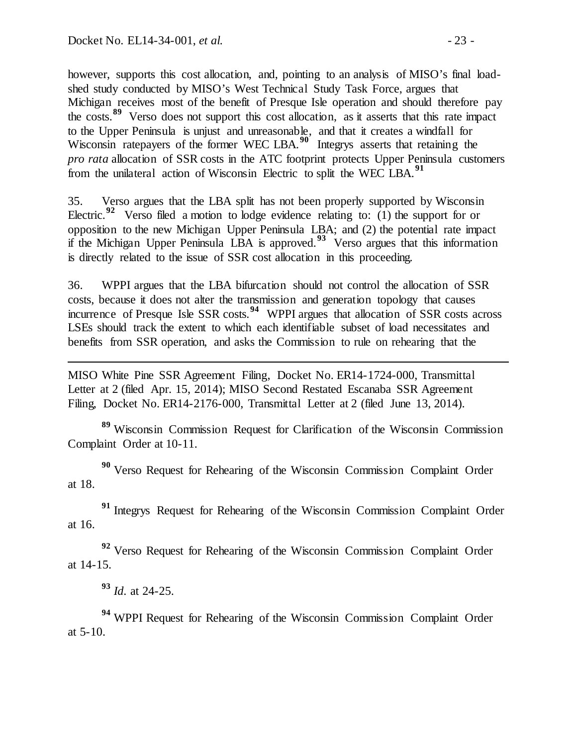however, supports this cost allocation, and, pointing to an analysis of MISO's final loadshed study conducted by MISO's West Technical Study Task Force, argues that Michigan receives most of the benefit of Presque Isle operation and should therefore pay the costs. **[89](#page-22-0)** Verso does not support this cost allocation, as it asserts that this rate impact to the Upper Peninsula is unjust and unreasonable, and that it creates a windfall for Wisconsin ratepayers of the former WEC LBA.<sup>[90](#page-22-1)</sup> Integrys asserts that retaining the *pro rata* allocation of SSR costs in the ATC footprint protects Upper Peninsula customers from the unilateral action of Wisconsin Electric to split the WEC LBA.**[91](#page-22-2)**

35. Verso argues that the LBA split has not been properly supported by Wisconsin Electric.<sup>[92](#page-22-3)</sup> Verso filed a motion to lodge evidence relating to: (1) the support for or opposition to the new Michigan Upper Peninsula LBA; and (2) the potential rate impact if the Michigan Upper Peninsula LBA is approved.**[93](#page-22-4)** Verso argues that this information is directly related to the issue of SSR cost allocation in this proceeding.

36. WPPI argues that the LBA bifurcation should not control the allocation of SSR costs, because it does not alter the transmission and generation topology that causes incurrence of Presque Isle SSR costs.**[94](#page-22-5)** WPPI argues that allocation of SSR costs across LSEs should track the extent to which each identifiable subset of load necessitates and benefits from SSR operation, and asks the Commission to rule on rehearing that the

MISO White Pine SSR Agreement Filing, Docket No. ER14-1724-000, Transmittal Letter at 2 (filed Apr. 15, 2014); MISO Second Restated Escanaba SSR Agreement Filing, Docket No. ER14-2176-000, Transmittal Letter at 2 (filed June 13, 2014).

<span id="page-22-0"></span>**<sup>89</sup>** Wisconsin Commission Request for Clarification of the Wisconsin Commission Complaint Order at 10-11.

<span id="page-22-1"></span>**<sup>90</sup>** Verso Request for Rehearing of the Wisconsin Commission Complaint Order at 18.

<span id="page-22-2"></span><sup>91</sup> Integrys Request for Rehearing of the Wisconsin Commission Complaint Order at 16.

<span id="page-22-3"></span>**<sup>92</sup>** Verso Request for Rehearing of the Wisconsin Commission Complaint Order at 14-15.

**<sup>93</sup>** *Id*. at 24-25.

l

<span id="page-22-5"></span><span id="page-22-4"></span>**<sup>94</sup>** WPPI Request for Rehearing of the Wisconsin Commission Complaint Order at 5-10.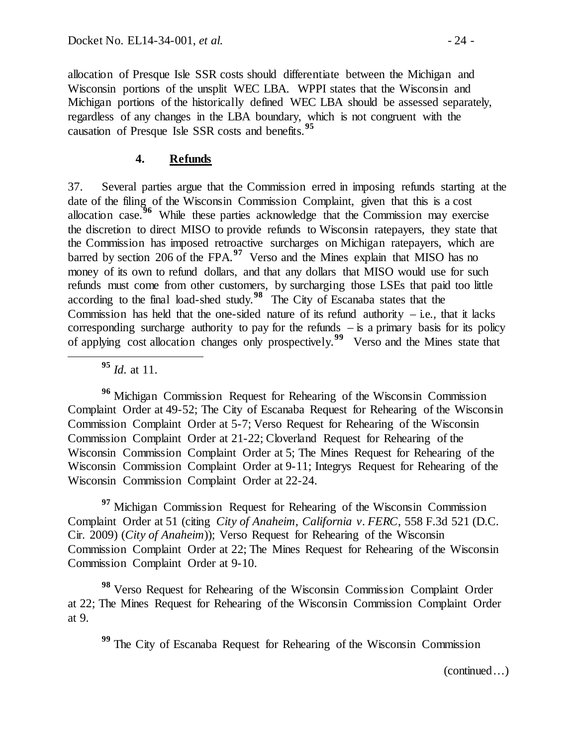allocation of Presque Isle SSR costs should differentiate between the Michigan and Wisconsin portions of the unsplit WEC LBA. WPPI states that the Wisconsin and Michigan portions of the historically defined WEC LBA should be assessed separately, regardless of any changes in the LBA boundary, which is not congruent with the causation of Presque Isle SSR costs and benefits.**[95](#page-23-0)**

### **4. Refunds**

37. Several parties argue that the Commission erred in imposing refunds starting at the date of the filing of the Wisconsin Commission Complaint, given that this is a cost allocation case.**[96](#page-23-1)** While these parties acknowledge that the Commission may exercise the discretion to direct MISO to provide refunds to Wisconsin ratepayers, they state that the Commission has imposed retroactive surcharges on Michigan ratepayers, which are barred by section 206 of the FPA.**[97](#page-23-2)** Verso and the Mines explain that MISO has no money of its own to refund dollars, and that any dollars that MISO would use for such refunds must come from other customers, by surcharging those LSEs that paid too little according to the final load-shed study.**[98](#page-23-3)** The City of Escanaba states that the Commission has held that the one-sided nature of its refund authority  $-$  i.e., that it lacks corresponding surcharge authority to pay for the refunds  $-$  is a primary basis for its policy of applying cost allocation changes only prospectively.**[99](#page-23-4)** Verso and the Mines state that

**<sup>95</sup>** *Id*. at 11.

<span id="page-23-1"></span><span id="page-23-0"></span>**<sup>96</sup>** Michigan Commission Request for Rehearing of the Wisconsin Commission Complaint Order at 49-52; The City of Escanaba Request for Rehearing of the Wisconsin Commission Complaint Order at 5-7; Verso Request for Rehearing of the Wisconsin Commission Complaint Order at 21-22; Cloverland Request for Rehearing of the Wisconsin Commission Complaint Order at 5; The Mines Request for Rehearing of the Wisconsin Commission Complaint Order at 9-11; Integrys Request for Rehearing of the Wisconsin Commission Complaint Order at 22-24.

<span id="page-23-2"></span><sup>97</sup> Michigan Commission Request for Rehearing of the Wisconsin Commission Complaint Order at 51 (citing *City of Anaheim, California v. FERC*, 558 F.3d 521 (D.C. Cir. 2009) (*City of Anaheim*)); Verso Request for Rehearing of the Wisconsin Commission Complaint Order at 22; The Mines Request for Rehearing of the Wisconsin Commission Complaint Order at 9-10.

<span id="page-23-4"></span><span id="page-23-3"></span>**<sup>98</sup>** Verso Request for Rehearing of the Wisconsin Commission Complaint Order at 22; The Mines Request for Rehearing of the Wisconsin Commission Complaint Order at 9.

**<sup>99</sup>** The City of Escanaba Request for Rehearing of the Wisconsin Commission

(continued…)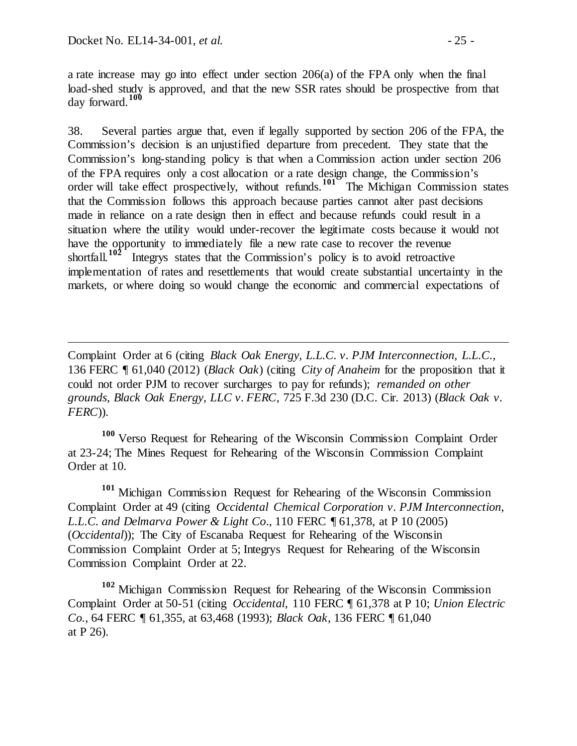$\overline{a}$ 

a rate increase may go into effect under section 206(a) of the FPA only when the final load-shed study is approved, and that the new SSR rates should be prospective from that day forward.**[100](#page-24-0)**

38. Several parties argue that, even if legally supported by section 206 of the FPA, the Commission's decision is an unjustified departure from precedent. They state that the Commission's long-standing policy is that when a Commission action under section 206 of the FPA requires only a cost allocation or a rate design change, the Commission's order will take effect prospectively, without refunds.<sup>[101](#page-24-1)</sup> The Michigan Commission states that the Commission follows this approach because parties cannot alter past decisions made in reliance on a rate design then in effect and because refunds could result in a situation where the utility would under-recover the legitimate costs because it would not have the opportunity to immediately file a new rate case to recover the revenue shortfall.<sup>102</sup> Integrys states that the Commission's policy is to avoid retroactive Integrys states that the Commission's policy is to avoid retroactive implementation of rates and resettlements that would create substantial uncertainty in the markets, or where doing so would change the economic and commercial expectations of

Complaint Order at 6 (citing *Black Oak Energy, L.L.C. v. PJM Interconnection, L.L.C.,*  136 FERC ¶ 61,040 (2012) (*Black Oak*) (citing *City of Anaheim* for the proposition that it could not order PJM to recover surcharges to pay for refunds); *remanded on other grounds, Black Oak Energy, LLC v. FERC,* 725 F.3d 230 (D.C. Cir. 2013) (*Black Oak v. FERC*)).

<span id="page-24-0"></span>**<sup>100</sup>** Verso Request for Rehearing of the Wisconsin Commission Complaint Order at 23-24; The Mines Request for Rehearing of the Wisconsin Commission Complaint Order at 10.

<span id="page-24-1"></span>**<sup>101</sup>** Michigan Commission Request for Rehearing of the Wisconsin Commission Complaint Order at 49 (citing *Occidental Chemical Corporation v. PJM Interconnection, L.L.C. and Delmarva Power & Light Co*., 110 FERC ¶ 61,378, at P 10 (2005) (*Occidental*)); The City of Escanaba Request for Rehearing of the Wisconsin Commission Complaint Order at 5; Integrys Request for Rehearing of the Wisconsin Commission Complaint Order at 22.

<span id="page-24-2"></span>**<sup>102</sup>** Michigan Commission Request for Rehearing of the Wisconsin Commission Complaint Order at 50-51 (citing *Occidental*, 110 FERC ¶ 61,378 at P 10; *Union Electric Co.*, 64 FERC ¶ 61,355, at 63,468 (1993); *Black Oak*, 136 FERC ¶ 61,040 at P 26).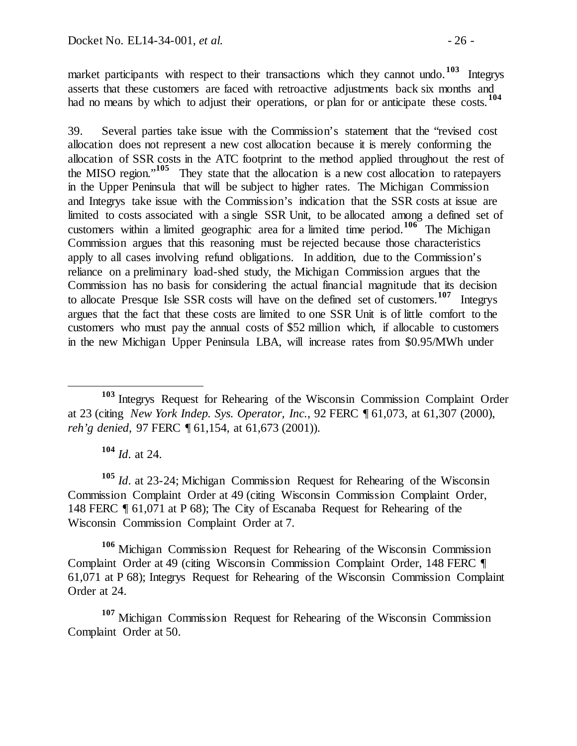market participants with respect to their transactions which they cannot undo.<sup>[103](#page-25-0)</sup> Integrys asserts that these customers are faced with retroactive adjustments back six months and had no means by which to adjust their operations, or plan for or anticipate these costs.<sup>[104](#page-25-1)</sup>

39. Several parties take issue with the Commission's statement that the "revised cost allocation does not represent a new cost allocation because it is merely conforming the allocation of SSR costs in the ATC footprint to the method applied throughout the rest of the MISO region."**[105](#page-25-2)** They state that the allocation is a new cost allocation to ratepayers in the Upper Peninsula that will be subject to higher rates. The Michigan Commission and Integrys take issue with the Commission's indication that the SSR costs at issue are limited to costs associated with a single SSR Unit, to be allocated among a defined set of customers within a limited geographic area for a limited time period. **[106](#page-25-3)** The Michigan Commission argues that this reasoning must be rejected because those characteristics apply to all cases involving refund obligations. In addition, due to the Commission's reliance on a preliminary load-shed study, the Michigan Commission argues that the Commission has no basis for considering the actual financial magnitude that its decision to allocate Presque Isle SSR costs will have on the defined set of customers. **[107](#page-25-4)** Integrys argues that the fact that these costs are limited to one SSR Unit is of little comfort to the customers who must pay the annual costs of \$52 million which, if allocable to customers in the new Michigan Upper Peninsula LBA, will increase rates from \$0.95/MWh under

**<sup>104</sup>** *Id*. at 24.

<span id="page-25-2"></span><span id="page-25-1"></span>**<sup>105</sup>** *Id*. at 23-24; Michigan Commission Request for Rehearing of the Wisconsin Commission Complaint Order at 49 (citing Wisconsin Commission Complaint Order, 148 FERC ¶ 61,071 at P 68); The City of Escanaba Request for Rehearing of the Wisconsin Commission Complaint Order at 7.

<span id="page-25-3"></span>**<sup>106</sup>** Michigan Commission Request for Rehearing of the Wisconsin Commission Complaint Order at 49 (citing Wisconsin Commission Complaint Order, 148 FERC ¶ 61,071 at P 68); Integrys Request for Rehearing of the Wisconsin Commission Complaint Order at 24.

<span id="page-25-4"></span>**<sup>107</sup>** Michigan Commission Request for Rehearing of the Wisconsin Commission Complaint Order at 50.

<span id="page-25-0"></span>**<sup>103</sup>** Integrys Request for Rehearing of the Wisconsin Commission Complaint Order at 23 (citing *New York Indep. Sys. Operator, Inc.*, 92 FERC ¶ 61,073, at 61,307 (2000), *reh'g denied*, 97 FERC ¶ 61,154, at 61,673 (2001)).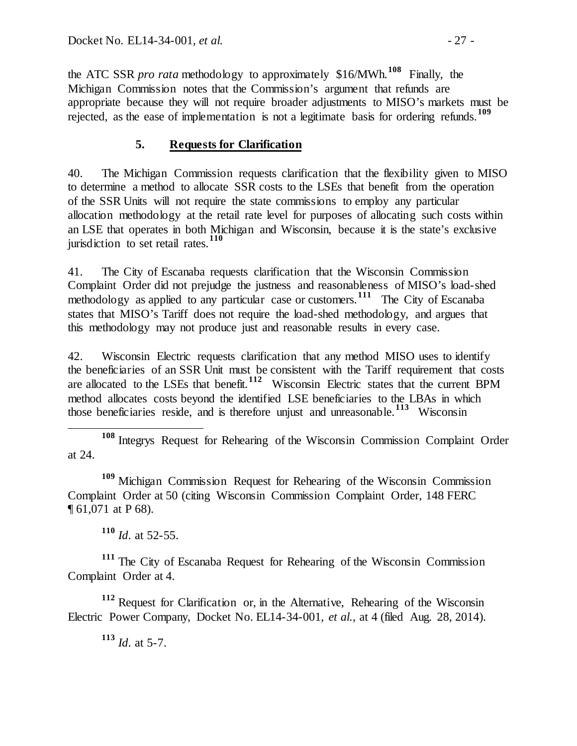the ATC SSR *pro rata* methodology to approximately \$16/MWh.**[108](#page-26-0)** Finally, the Michigan Commission notes that the Commission's argument that refunds are appropriate because they will not require broader adjustments to MISO's markets must be rejected, as the ease of implementation is not a legitimate basis for ordering refunds.**[109](#page-26-1)**

# **5. Requests for Clarification**

40. The Michigan Commission requests clarification that the flexibility given to MISO to determine a method to allocate SSR costs to the LSEs that benefit from the operation of the SSR Units will not require the state commissions to employ any particular allocation methodology at the retail rate level for purposes of allocating such costs within an LSE that operates in both Michigan and Wisconsin, because it is the state's exclusive jurisdiction to set retail rates.**[110](#page-26-2)**

41. The City of Escanaba requests clarification that the Wisconsin Commission Complaint Order did not prejudge the justness and reasonableness of MISO's load-shed methodology as applied to any particular case or customers.**[111](#page-26-3)** The City of Escanaba states that MISO's Tariff does not require the load-shed methodology, and argues that this methodology may not produce just and reasonable results in every case.

42. Wisconsin Electric requests clarification that any method MISO uses to identify the beneficiaries of an SSR Unit must be consistent with the Tariff requirement that costs are allocated to the LSEs that benefit.**[112](#page-26-4)** Wisconsin Electric states that the current BPM method allocates costs beyond the identified LSE beneficiaries to the LBAs in which those beneficiaries reside, and is therefore unjust and unreasonable.**[113](#page-26-5)** Wisconsin

<span id="page-26-0"></span> **<sup>108</sup>** Integrys Request for Rehearing of the Wisconsin Commission Complaint Order at 24.

<span id="page-26-1"></span>**<sup>109</sup>** Michigan Commission Request for Rehearing of the Wisconsin Commission Complaint Order at 50 (citing Wisconsin Commission Complaint Order, 148 FERC ¶ 61,071 at P 68).

**<sup>110</sup>** *Id*. at 52-55.

<span id="page-26-3"></span><span id="page-26-2"></span>**<sup>111</sup>** The City of Escanaba Request for Rehearing of the Wisconsin Commission Complaint Order at 4.

<span id="page-26-5"></span><span id="page-26-4"></span>**<sup>112</sup>** Request for Clarification or, in the Alternative, Rehearing of the Wisconsin Electric Power Company, Docket No. EL14-34-001, *et al.*, at 4 (filed Aug. 28, 2014).

**<sup>113</sup>** *Id*. at 5-7.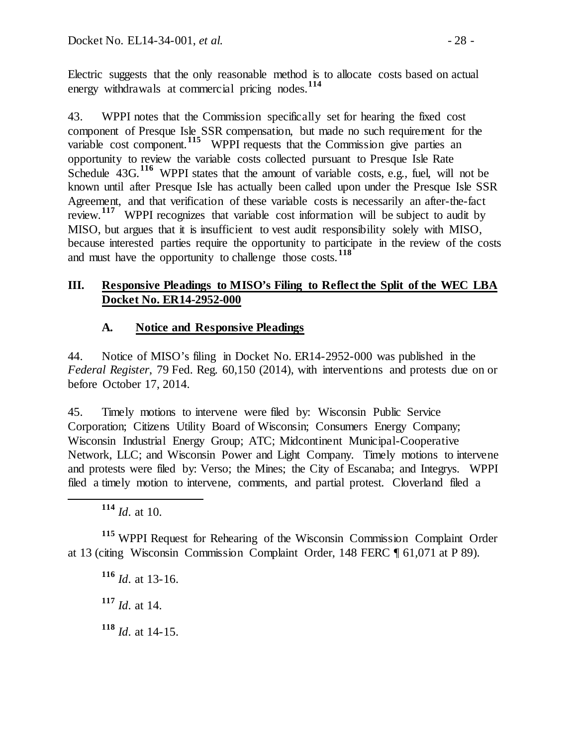Electric suggests that the only reasonable method is to allocate costs based on actual energy withdrawals at commercial pricing nodes.**[114](#page-27-0)**

43. WPPI notes that the Commission specifically set for hearing the fixed cost component of Presque Isle SSR compensation, but made no such requirement for the variable cost component.<sup>[115](#page-27-1)</sup> WPPI requests that the Commission give parties an opportunity to review the variable costs collected pursuant to Presque Isle Rate Schedule 43G.<sup>[116](#page-27-2)</sup> WPPI states that the amount of variable costs, e.g., fuel, will not be known until after Presque Isle has actually been called upon under the Presque Isle SSR Agreement, and that verification of these variable costs is necessarily an after-the-fact review.<sup>[117](#page-27-3)</sup> WPPI recognizes that variable cost information will be subject to audit by MISO, but argues that it is insufficient to vest audit responsibility solely with MISO, because interested parties require the opportunity to participate in the review of the costs and must have the opportunity to challenge those costs.**[118](#page-27-4)**

## **III. Responsive Pleadings to MISO's Filing to Reflect the Split of the WEC LBA Docket No. ER14-2952-000**

## **A. Notice and Responsive Pleadings**

44. Notice of MISO's filing in Docket No. ER14-2952-000 was published in the *Federal Register*, 79 Fed. Reg. 60,150 (2014), with interventions and protests due on or before October 17, 2014.

45. Timely motions to intervene were filed by: Wisconsin Public Service Corporation; Citizens Utility Board of Wisconsin; Consumers Energy Company; Wisconsin Industrial Energy Group; ATC; Midcontinent Municipal-Cooperative Network, LLC; and Wisconsin Power and Light Company. Timely motions to intervene and protests were filed by: Verso; the Mines; the City of Escanaba; and Integrys. WPPI filed a timely motion to intervene, comments, and partial protest. Cloverland filed a

<span id="page-27-3"></span><span id="page-27-2"></span><span id="page-27-1"></span><span id="page-27-0"></span>**<sup>115</sup>** WPPI Request for Rehearing of the Wisconsin Commission Complaint Order at 13 (citing Wisconsin Commission Complaint Order, 148 FERC ¶ 61,071 at P 89).

**<sup>116</sup>** *Id*. at 13-16.

**<sup>117</sup>** *Id*. at 14.

<span id="page-27-4"></span>**<sup>118</sup>** *Id*. at 14-15.

**<sup>114</sup>** *Id*. at 10.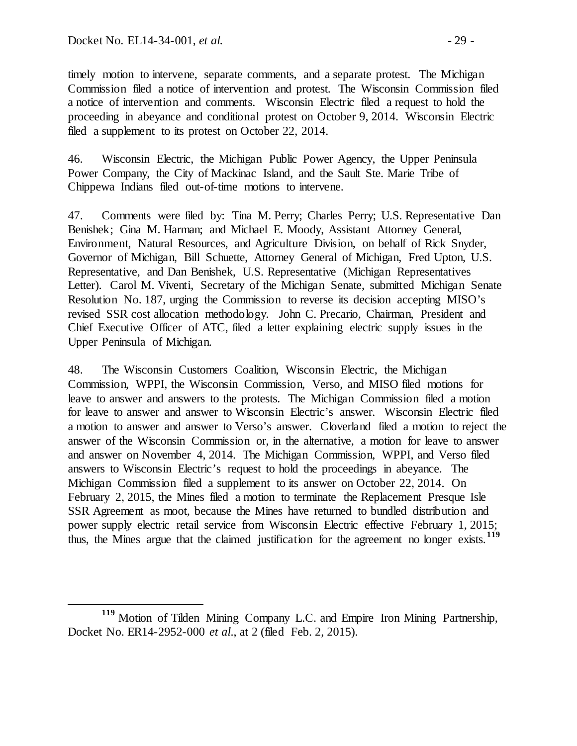timely motion to intervene, separate comments, and a separate protest. The Michigan Commission filed a notice of intervention and protest. The Wisconsin Commission filed a notice of intervention and comments. Wisconsin Electric filed a request to hold the proceeding in abeyance and conditional protest on October 9, 2014. Wisconsin Electric filed a supplement to its protest on October 22, 2014.

46. Wisconsin Electric, the Michigan Public Power Agency, the Upper Peninsula Power Company, the City of Mackinac Island, and the Sault Ste. Marie Tribe of Chippewa Indians filed out-of-time motions to intervene.

47. Comments were filed by: Tina M. Perry; Charles Perry; U.S. Representative Dan Benishek; Gina M. Harman; and Michael E. Moody, Assistant Attorney General, Environment, Natural Resources, and Agriculture Division, on behalf of Rick Snyder, Governor of Michigan, Bill Schuette, Attorney General of Michigan, Fred Upton, U.S. Representative, and Dan Benishek, U.S. Representative (Michigan Representatives Letter). Carol M. Viventi, Secretary of the Michigan Senate, submitted Michigan Senate Resolution No. 187, urging the Commission to reverse its decision accepting MISO's revised SSR cost allocation methodology. John C. Precario, Chairman, President and Chief Executive Officer of ATC, filed a letter explaining electric supply issues in the Upper Peninsula of Michigan.

48. The Wisconsin Customers Coalition, Wisconsin Electric, the Michigan Commission, WPPI, the Wisconsin Commission, Verso, and MISO filed motions for leave to answer and answers to the protests. The Michigan Commission filed a motion for leave to answer and answer to Wisconsin Electric's answer. Wisconsin Electric filed a motion to answer and answer to Verso's answer. Cloverland filed a motion to reject the answer of the Wisconsin Commission or, in the alternative, a motion for leave to answer and answer on November 4, 2014. The Michigan Commission, WPPI, and Verso filed answers to Wisconsin Electric's request to hold the proceedings in abeyance. The Michigan Commission filed a supplement to its answer on October 22, 2014. On February 2, 2015, the Mines filed a motion to terminate the Replacement Presque Isle SSR Agreement as moot, because the Mines have returned to bundled distribution and power supply electric retail service from Wisconsin Electric effective February 1, 2015; thus, the Mines argue that the claimed justification for the agreement no longer exists.**[119](#page-28-0)**

<span id="page-28-0"></span>**<sup>119</sup>** Motion of Tilden Mining Company L.C. and Empire Iron Mining Partnership, Docket No. ER14-2952-000 *et al*., at 2 (filed Feb. 2, 2015).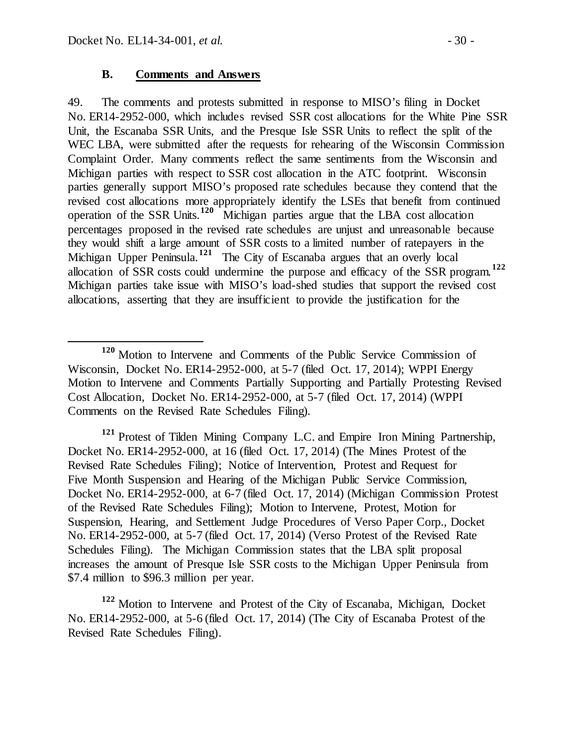#### **B. Comments and Answers**

49. The comments and protests submitted in response to MISO's filing in Docket No. ER14-2952-000, which includes revised SSR cost allocations for the White Pine SSR Unit, the Escanaba SSR Units, and the Presque Isle SSR Units to reflect the split of the WEC LBA, were submitted after the requests for rehearing of the Wisconsin Commission Complaint Order. Many comments reflect the same sentiments from the Wisconsin and Michigan parties with respect to SSR cost allocation in the ATC footprint. Wisconsin parties generally support MISO's proposed rate schedules because they contend that the revised cost allocations more appropriately identify the LSEs that benefit from continued operation of the SSR Units.**[120](#page-29-0)** Michigan parties argue that the LBA cost allocation percentages proposed in the revised rate schedules are unjust and unreasonable because they would shift a large amount of SSR costs to a limited number of ratepayers in the Michigan Upper Peninsula.<sup>[121](#page-29-1)</sup> The City of Escanaba argues that an overly local allocation of SSR costs could undermine the purpose and efficacy of the SSR program. **[122](#page-29-2)** Michigan parties take issue with MISO's load-shed studies that support the revised cost allocations, asserting that they are insufficient to provide the justification for the

<span id="page-29-1"></span>**<sup>121</sup>** Protest of Tilden Mining Company L.C. and Empire Iron Mining Partnership, Docket No. ER14-2952-000, at 16 (filed Oct. 17, 2014) (The Mines Protest of the Revised Rate Schedules Filing); Notice of Intervention, Protest and Request for Five Month Suspension and Hearing of the Michigan Public Service Commission, Docket No. ER14-2952-000, at 6-7 (filed Oct. 17, 2014) (Michigan Commission Protest of the Revised Rate Schedules Filing); Motion to Intervene, Protest, Motion for Suspension, Hearing, and Settlement Judge Procedures of Verso Paper Corp., Docket No. ER14-2952-000, at 5-7 (filed Oct. 17, 2014) (Verso Protest of the Revised Rate Schedules Filing). The Michigan Commission states that the LBA split proposal increases the amount of Presque Isle SSR costs to the Michigan Upper Peninsula from \$7.4 million to \$96.3 million per year.

<span id="page-29-2"></span>**<sup>122</sup>** Motion to Intervene and Protest of the City of Escanaba, Michigan, Docket No. ER14-2952-000, at 5-6 (filed Oct. 17, 2014) (The City of Escanaba Protest of the Revised Rate Schedules Filing).

<span id="page-29-0"></span>**<sup>120</sup>** Motion to Intervene and Comments of the Public Service Commission of Wisconsin, Docket No. ER14-2952-000, at 5-7 (filed Oct. 17, 2014); WPPI Energy Motion to Intervene and Comments Partially Supporting and Partially Protesting Revised Cost Allocation, Docket No. ER14-2952-000, at 5-7 (filed Oct. 17, 2014) (WPPI Comments on the Revised Rate Schedules Filing).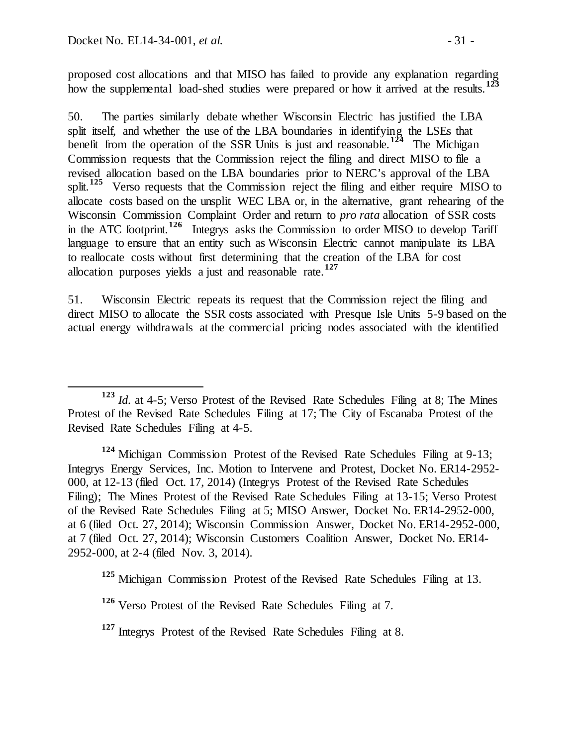proposed cost allocations and that MISO has failed to provide any explanation regarding how the supplemental load-shed studies were prepared or how it arrived at the results.<sup>[123](#page-30-0)</sup>

50. The parties similarly debate whether Wisconsin Electric has justified the LBA split itself, and whether the use of the LBA boundaries in identifying the LSEs that benefit from the operation of the SSR Units is just and reasonable.<sup>[124](#page-30-1)</sup> The Michigan Commission requests that the Commission reject the filing and direct MISO to file a revised allocation based on the LBA boundaries prior to NERC's approval of the LBA split.<sup>[125](#page-30-2)</sup> Verso requests that the Commission reject the filing and either require MISO to allocate costs based on the unsplit WEC LBA or, in the alternative, grant rehearing of the Wisconsin Commission Complaint Order and return to *pro rata* allocation of SSR costs in the ATC footprint.**[126](#page-30-3)** Integrys asks the Commission to order MISO to develop Tariff language to ensure that an entity such as Wisconsin Electric cannot manipulate its LBA to reallocate costs without first determining that the creation of the LBA for cost allocation purposes yields a just and reasonable rate.**[127](#page-30-4)**

51. Wisconsin Electric repeats its request that the Commission reject the filing and direct MISO to allocate the SSR costs associated with Presque Isle Units 5-9 based on the actual energy withdrawals at the commercial pricing nodes associated with the identified

<span id="page-30-1"></span>**<sup>124</sup>** Michigan Commission Protest of the Revised Rate Schedules Filing at 9-13; Integrys Energy Services, Inc. Motion to Intervene and Protest, Docket No. ER14-2952- 000, at 12-13 (filed Oct. 17, 2014) (Integrys Protest of the Revised Rate Schedules Filing); The Mines Protest of the Revised Rate Schedules Filing at 13-15; Verso Protest of the Revised Rate Schedules Filing at 5; MISO Answer, Docket No. ER14-2952-000, at 6 (filed Oct. 27, 2014); Wisconsin Commission Answer, Docket No. ER14-2952-000, at 7 (filed Oct. 27, 2014); Wisconsin Customers Coalition Answer, Docket No. ER14- 2952-000, at 2-4 (filed Nov. 3, 2014).

<span id="page-30-2"></span>**<sup>125</sup>** Michigan Commission Protest of the Revised Rate Schedules Filing at 13.

<span id="page-30-0"></span>**<sup>123</sup>** *Id.* at 4-5; Verso Protest of the Revised Rate Schedules Filing at 8; The Mines Protest of the Revised Rate Schedules Filing at 17; The City of Escanaba Protest of the Revised Rate Schedules Filing at 4-5.

<span id="page-30-3"></span>**<sup>126</sup>** Verso Protest of the Revised Rate Schedules Filing at 7.

<span id="page-30-4"></span>**<sup>127</sup>** Integrys Protest of the Revised Rate Schedules Filing at 8.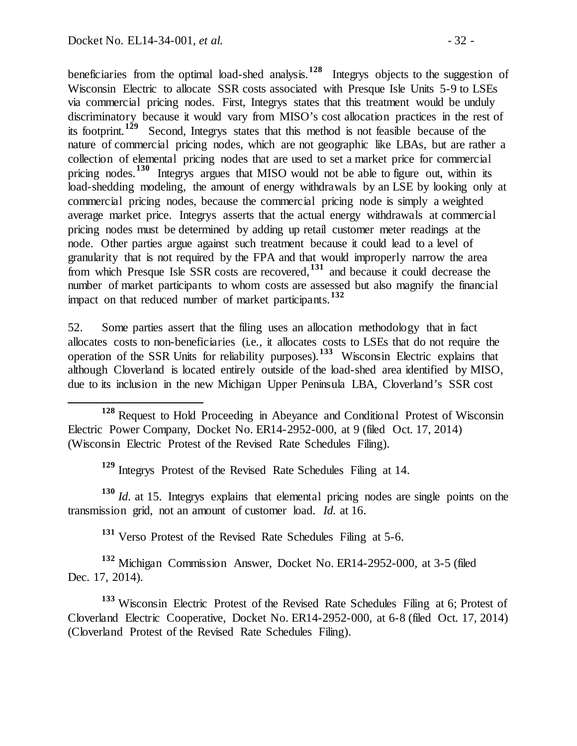beneficiaries from the optimal load-shed analysis.**[128](#page-31-0)** Integrys objects to the suggestion of Wisconsin Electric to allocate SSR costs associated with Presque Isle Units 5-9 to LSEs via commercial pricing nodes. First, Integrys states that this treatment would be unduly discriminatory because it would vary from MISO's cost allocation practices in the rest of its footprint.**[129](#page-31-1)** Second, Integrys states that this method is not feasible because of the nature of commercial pricing nodes, which are not geographic like LBAs, but are rather a collection of elemental pricing nodes that are used to set a market price for commercial pricing nodes.<sup>[130](#page-31-2)</sup> Integrys argues that MISO would not be able to figure out, within its load-shedding modeling, the amount of energy withdrawals by an LSE by looking only at commercial pricing nodes, because the commercial pricing node is simply a weighted average market price. Integrys asserts that the actual energy withdrawals at commercial pricing nodes must be determined by adding up retail customer meter readings at the node. Other parties argue against such treatment because it could lead to a level of granularity that is not required by the FPA and that would improperly narrow the area from which Presque Isle SSR costs are recovered,**[131](#page-31-3)** and because it could decrease the number of market participants to whom costs are assessed but also magnify the financial impact on that reduced number of market participants.**[132](#page-31-4)**

52. Some parties assert that the filing uses an allocation methodology that in fact allocates costs to non-beneficiaries (i.e*.,* it allocates costs to LSEs that do not require the operation of the SSR Units for reliability purposes).**[133](#page-31-5)** Wisconsin Electric explains that although Cloverland is located entirely outside of the load-shed area identified by MISO, due to its inclusion in the new Michigan Upper Peninsula LBA, Cloverland's SSR cost

**<sup>129</sup>** Integrys Protest of the Revised Rate Schedules Filing at 14.

<span id="page-31-2"></span><span id="page-31-1"></span>**<sup>130</sup>** *Id.* at 15. Integrys explains that elemental pricing nodes are single points on the transmission grid, not an amount of customer load. *Id.* at 16.

**<sup>131</sup>** Verso Protest of the Revised Rate Schedules Filing at 5-6.

<span id="page-31-4"></span><span id="page-31-3"></span>**<sup>132</sup>** Michigan Commission Answer, Docket No. ER14-2952-000, at 3-5 (filed Dec. 17, 2014).

<span id="page-31-5"></span>**<sup>133</sup>** Wisconsin Electric Protest of the Revised Rate Schedules Filing at 6; Protest of Cloverland Electric Cooperative, Docket No. ER14-2952-000, at 6-8 (filed Oct. 17, 2014) (Cloverland Protest of the Revised Rate Schedules Filing).

<span id="page-31-0"></span>**<sup>128</sup>** Request to Hold Proceeding in Abeyance and Conditional Protest of Wisconsin Electric Power Company, Docket No. ER14-2952-000, at 9 (filed Oct. 17, 2014) (Wisconsin Electric Protest of the Revised Rate Schedules Filing).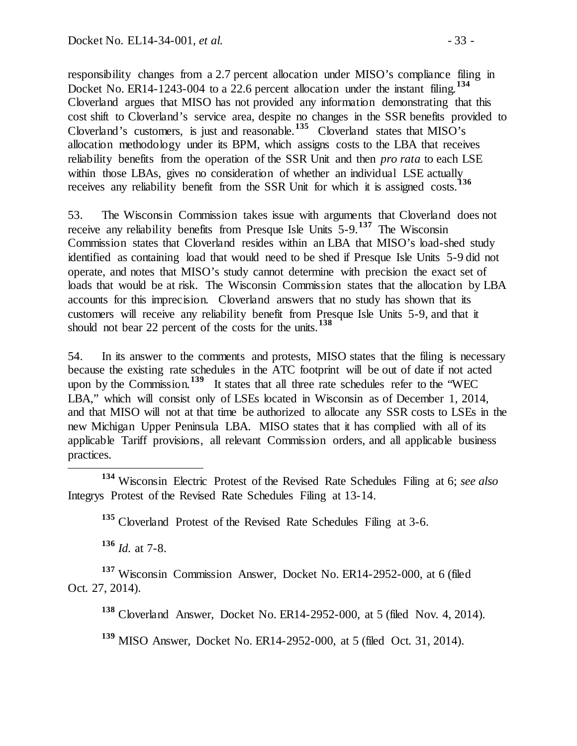responsibility changes from a 2.7 percent allocation under MISO's compliance filing in Docket No. ER14-1243-004 to a 22.6 percent allocation under the instant filing.<sup>[134](#page-32-0)</sup> Cloverland argues that MISO has not provided any information demonstrating that this cost shift to Cloverland's service area, despite no changes in the SSR benefits provided to Cloverland's customers, is just and reasonable.<sup>[135](#page-32-1)</sup> Cloverland states that MISO's allocation methodology under its BPM, which assigns costs to the LBA that receives reliability benefits from the operation of the SSR Unit and then *pro rata* to each LSE within those LBAs, gives no consideration of whether an individual LSE actually receives any reliability benefit from the SSR Unit for which it is assigned costs.<sup>1</sup>

53. The Wisconsin Commission takes issue with arguments that Cloverland does not receive any reliability benefits from Presque Isle Units 5-9.**[137](#page-32-3)** The Wisconsin Commission states that Cloverland resides within an LBA that MISO's load-shed study identified as containing load that would need to be shed if Presque Isle Units 5-9 did not operate, and notes that MISO's study cannot determine with precision the exact set of loads that would be at risk. The Wisconsin Commission states that the allocation by LBA accounts for this imprecision. Cloverland answers that no study has shown that its customers will receive any reliability benefit from Presque Isle Units 5-9, and that it should not bear 22 percent of the costs for the units.**[138](#page-32-4)**

54. In its answer to the comments and protests, MISO states that the filing is necessary because the existing rate schedules in the ATC footprint will be out of date if not acted upon by the Commission.**[139](#page-32-5)** It states that all three rate schedules refer to the "WEC LBA," which will consist only of LSEs located in Wisconsin as of December 1, 2014, and that MISO will not at that time be authorized to allocate any SSR costs to LSEs in the new Michigan Upper Peninsula LBA. MISO states that it has complied with all of its applicable Tariff provisions, all relevant Commission orders, and all applicable business practices.

<span id="page-32-1"></span><span id="page-32-0"></span> **<sup>134</sup>** Wisconsin Electric Protest of the Revised Rate Schedules Filing at 6; *see also* Integrys Protest of the Revised Rate Schedules Filing at 13-14.

**<sup>135</sup>** Cloverland Protest of the Revised Rate Schedules Filing at 3-6.

**<sup>136</sup>** *Id.* at 7-8.

<span id="page-32-5"></span><span id="page-32-4"></span><span id="page-32-3"></span><span id="page-32-2"></span><sup>137</sup> Wisconsin Commission Answer, Docket No. ER14-2952-000, at 6 (filed Oct. 27, 2014).

**<sup>138</sup>** Cloverland Answer, Docket No. ER14-2952-000, at 5 (filed Nov. 4, 2014).

**<sup>139</sup>** MISO Answer, Docket No. ER14-2952-000, at 5 (filed Oct. 31, 2014).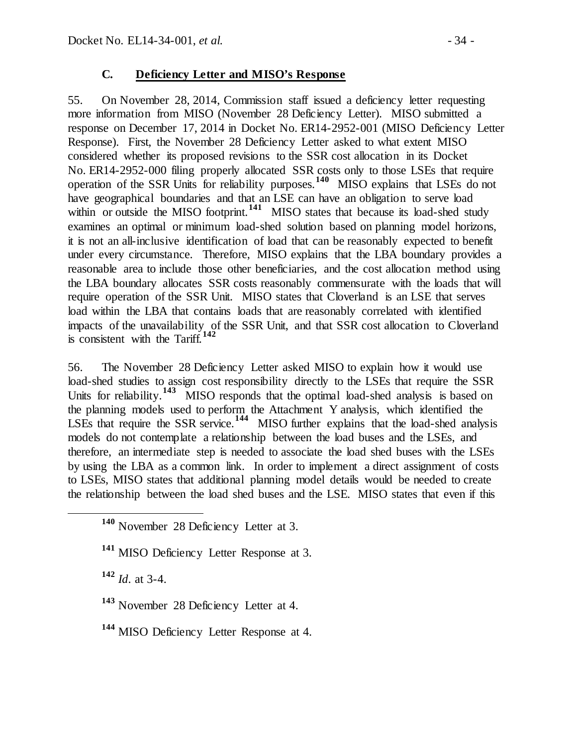## **C. Deficiency Letter and MISO's Response**

55. On November 28, 2014, Commission staff issued a deficiency letter requesting more information from MISO (November 28 Deficiency Letter). MISO submitted a response on December 17, 2014 in Docket No. ER14-2952-001 (MISO Deficiency Letter Response). First, the November 28 Deficiency Letter asked to what extent MISO considered whether its proposed revisions to the SSR cost allocation in its Docket No. ER14-2952-000 filing properly allocated SSR costs only to those LSEs that require operation of the SSR Units for reliability purposes.**[140](#page-33-0)** MISO explains that LSEs do not have geographical boundaries and that an LSE can have an obligation to serve load within or outside the MISO footprint.<sup>[141](#page-33-1)</sup> MISO states that because its load-shed study examines an optimal or minimum load-shed solution based on planning model horizons, it is not an all-inclusive identification of load that can be reasonably expected to benefit under every circumstance. Therefore, MISO explains that the LBA boundary provides a reasonable area to include those other beneficiaries, and the cost allocation method using the LBA boundary allocates SSR costs reasonably commensurate with the loads that will require operation of the SSR Unit. MISO states that Cloverland is an LSE that serves load within the LBA that contains loads that are reasonably correlated with identified impacts of the unavailability of the SSR Unit, and that SSR cost allocation to Cloverland is consistent with the Tariff.**[142](#page-33-2)**

56. The November 28 Deficiency Letter asked MISO to explain how it would use load-shed studies to assign cost responsibility directly to the LSEs that require the SSR Units for reliability.<sup>[143](#page-33-3)</sup> MISO responds that the optimal load-shed analysis is based on the planning models used to perform the Attachment Y analysis, which identified the LSEs that require the SSR service.<sup>[144](#page-33-4)</sup> MISO further explains that the load-shed analysis models do not contemplate a relationship between the load buses and the LSEs, and therefore, an intermediate step is needed to associate the load shed buses with the LSEs by using the LBA as a common link. In order to implement a direct assignment of costs to LSEs, MISO states that additional planning model details would be needed to create the relationship between the load shed buses and the LSE. MISO states that even if this

<span id="page-33-2"></span>**<sup>142</sup>** *Id*. at 3-4.

<span id="page-33-0"></span>**<sup>140</sup>** November 28 Deficiency Letter at 3.

<span id="page-33-1"></span>**<sup>141</sup>** MISO Deficiency Letter Response at 3.

<span id="page-33-3"></span>**<sup>143</sup>** November 28 Deficiency Letter at 4.

<span id="page-33-4"></span>**<sup>144</sup>** MISO Deficiency Letter Response at 4.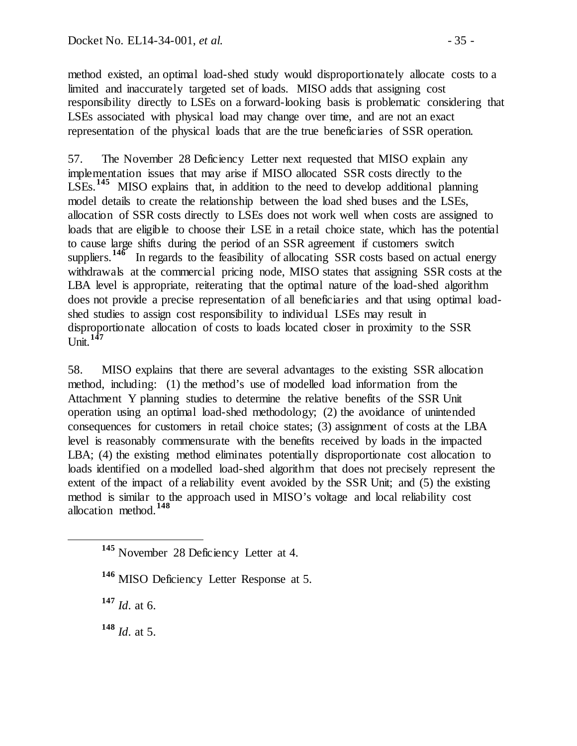method existed, an optimal load-shed study would disproportionately allocate costs to a limited and inaccurately targeted set of loads. MISO adds that assigning cost responsibility directly to LSEs on a forward-looking basis is problematic considering that LSEs associated with physical load may change over time, and are not an exact representation of the physical loads that are the true beneficiaries of SSR operation.

57. The November 28 Deficiency Letter next requested that MISO explain any implementation issues that may arise if MISO allocated SSR costs directly to the LSEs.**[145](#page-34-0)** MISO explains that, in addition to the need to develop additional planning model details to create the relationship between the load shed buses and the LSEs, allocation of SSR costs directly to LSEs does not work well when costs are assigned to loads that are eligible to choose their LSE in a retail choice state, which has the potential to cause large shifts during the period of an SSR agreement if customers switch suppliers.<sup>[146](#page-34-1)</sup> In regards to the feasibility of allocating SSR costs based on actual energy withdrawals at the commercial pricing node, MISO states that assigning SSR costs at the LBA level is appropriate, reiterating that the optimal nature of the load-shed algorithm does not provide a precise representation of all beneficiaries and that using optimal loadshed studies to assign cost responsibility to individual LSEs may result in disproportionate allocation of costs to loads located closer in proximity to the SSR Unit.**[147](#page-34-2)**

58. MISO explains that there are several advantages to the existing SSR allocation method, including: (1) the method's use of modelled load information from the Attachment Y planning studies to determine the relative benefits of the SSR Unit operation using an optimal load-shed methodology; (2) the avoidance of unintended consequences for customers in retail choice states; (3) assignment of costs at the LBA level is reasonably commensurate with the benefits received by loads in the impacted LBA; (4) the existing method eliminates potentially disproportionate cost allocation to loads identified on a modelled load-shed algorithm that does not precisely represent the extent of the impact of a reliability event avoided by the SSR Unit; and (5) the existing method is similar to the approach used in MISO's voltage and local reliability cost allocation method.**[148](#page-34-3)**

<span id="page-34-2"></span>**<sup>147</sup>** *Id*. at 6.

<span id="page-34-3"></span>**<sup>148</sup>** *Id*. at 5.

<span id="page-34-0"></span>**<sup>145</sup>** November 28 Deficiency Letter at 4.

<span id="page-34-1"></span>**<sup>146</sup>** MISO Deficiency Letter Response at 5.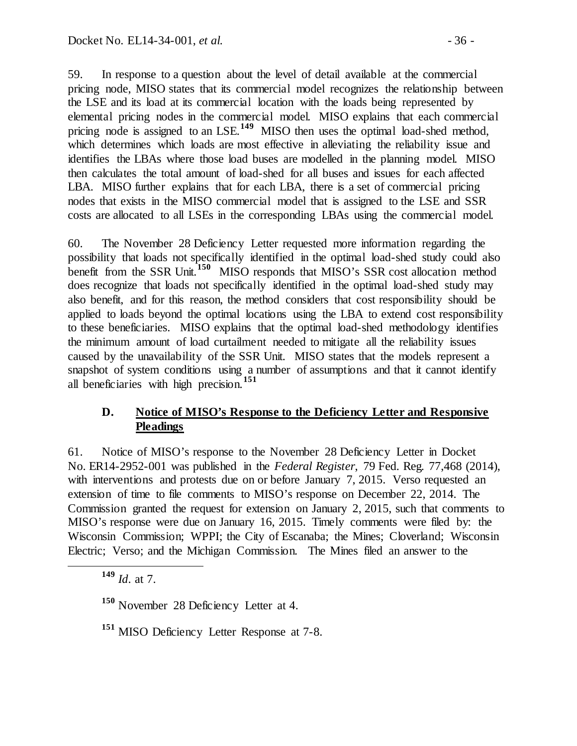59. In response to a question about the level of detail available at the commercial pricing node, MISO states that its commercial model recognizes the relationship between the LSE and its load at its commercial location with the loads being represented by elemental pricing nodes in the commercial model. MISO explains that each commercial pricing node is assigned to an LSE.<sup>[149](#page-35-0)</sup> MISO then uses the optimal load-shed method, which determines which loads are most effective in alleviating the reliability issue and identifies the LBAs where those load buses are modelled in the planning model. MISO then calculates the total amount of load-shed for all buses and issues for each affected LBA. MISO further explains that for each LBA, there is a set of commercial pricing nodes that exists in the MISO commercial model that is assigned to the LSE and SSR costs are allocated to all LSEs in the corresponding LBAs using the commercial model.

60. The November 28 Deficiency Letter requested more information regarding the possibility that loads not specifically identified in the optimal load-shed study could also benefit from the SSR Unit.**[150](#page-35-1)** MISO responds that MISO's SSR cost allocation method does recognize that loads not specifically identified in the optimal load-shed study may also benefit, and for this reason, the method considers that cost responsibility should be applied to loads beyond the optimal locations using the LBA to extend cost responsibility to these beneficiaries. MISO explains that the optimal load-shed methodology identifies the minimum amount of load curtailment needed to mitigate all the reliability issues caused by the unavailability of the SSR Unit. MISO states that the models represent a snapshot of system conditions using a number of assumptions and that it cannot identify all beneficiaries with high precision.**[151](#page-35-2)**

## **D. Notice of MISO's Response to the Deficiency Letter and Responsive Pleadings**

61. Notice of MISO's response to the November 28 Deficiency Letter in Docket No. ER14-2952-001 was published in the *Federal Register*, 79 Fed. Reg. 77,468 (2014), with interventions and protests due on or before January 7, 2015. Verso requested an extension of time to file comments to MISO's response on December 22, 2014. The Commission granted the request for extension on January 2, 2015, such that comments to MISO's response were due on January 16, 2015. Timely comments were filed by: the Wisconsin Commission; WPPI; the City of Escanaba; the Mines; Cloverland; Wisconsin Electric; Verso; and the Michigan Commission. The Mines filed an answer to the

<span id="page-35-0"></span>**<sup>149</sup>** *Id*. at 7.

<span id="page-35-1"></span>**<sup>150</sup>** November 28 Deficiency Letter at 4.

<span id="page-35-2"></span>**<sup>151</sup>** MISO Deficiency Letter Response at 7-8.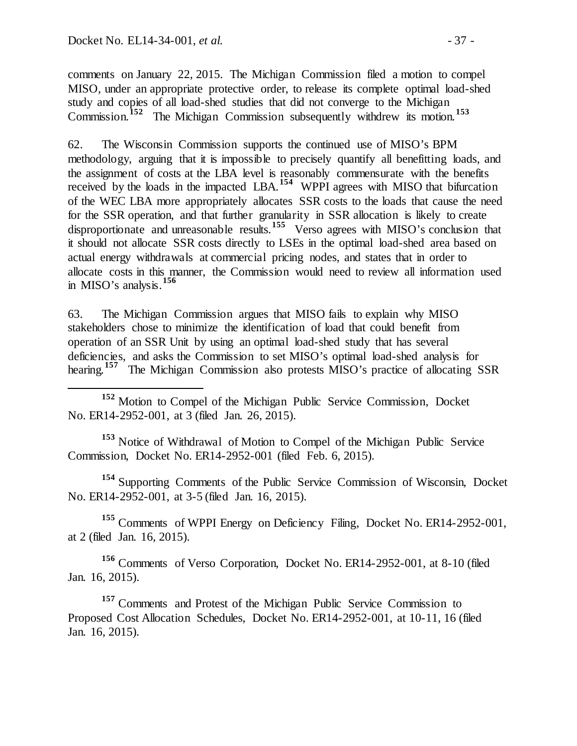comments on January 22, 2015. The Michigan Commission filed a motion to compel MISO, under an appropriate protective order, to release its complete optimal load-shed study and copies of all load-shed studies that did not converge to the Michigan Commission.**[152](#page-36-0)** The Michigan Commission subsequently withdrew its motion.**[153](#page-36-1)**

62. The Wisconsin Commission supports the continued use of MISO's BPM methodology, arguing that it is impossible to precisely quantify all benefitting loads, and the assignment of costs at the LBA level is reasonably commensurate with the benefits received by the loads in the impacted LBA.**[154](#page-36-2)** WPPI agrees with MISO that bifurcation of the WEC LBA more appropriately allocates SSR costs to the loads that cause the need for the SSR operation, and that further granularity in SSR allocation is likely to create disproportionate and unreasonable results.<sup>[155](#page-36-3)</sup> Verso agrees with MISO's conclusion that it should not allocate SSR costs directly to LSEs in the optimal load-shed area based on actual energy withdrawals at commercial pricing nodes, and states that in order to allocate costs in this manner, the Commission would need to review all information used in MISO's analysis.**[156](#page-36-4)**

63. The Michigan Commission argues that MISO fails to explain why MISO stakeholders chose to minimize the identification of load that could benefit from operation of an SSR Unit by using an optimal load-shed study that has several deficiencies, and asks the Commission to set MISO's optimal load-shed analysis for hearing.<sup>[157](#page-36-5)</sup> The Michigan Commission also protests MISO's practice of allocating SSR

<span id="page-36-0"></span> **<sup>152</sup>** Motion to Compel of the Michigan Public Service Commission, Docket No. ER14-2952-001, at 3 (filed Jan. 26, 2015).

<span id="page-36-1"></span>**<sup>153</sup>** Notice of Withdrawal of Motion to Compel of the Michigan Public Service Commission, Docket No. ER14-2952-001 (filed Feb. 6, 2015).

<span id="page-36-2"></span>**<sup>154</sup>** Supporting Comments of the Public Service Commission of Wisconsin, Docket No. ER14-2952-001, at 3-5 (filed Jan. 16, 2015).

<span id="page-36-3"></span>**<sup>155</sup>** Comments of WPPI Energy on Deficiency Filing, Docket No. ER14-2952-001, at 2 (filed Jan. 16, 2015).

<span id="page-36-4"></span>**<sup>156</sup>** Comments of Verso Corporation, Docket No. ER14-2952-001, at 8-10 (filed Jan. 16, 2015).

<span id="page-36-5"></span>**<sup>157</sup>** Comments and Protest of the Michigan Public Service Commission to Proposed Cost Allocation Schedules, Docket No. ER14-2952-001, at 10-11, 16 (filed Jan. 16, 2015).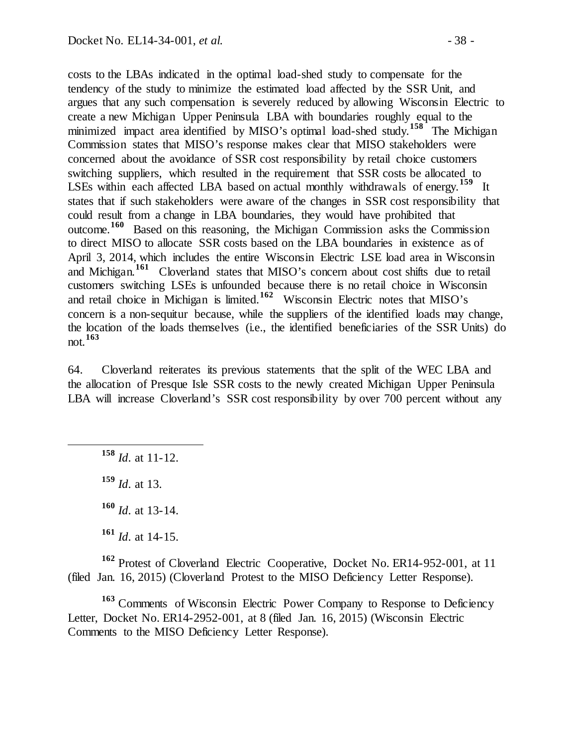costs to the LBAs indicated in the optimal load-shed study to compensate for the tendency of the study to minimize the estimated load affected by the SSR Unit, and argues that any such compensation is severely reduced by allowing Wisconsin Electric to create a new Michigan Upper Peninsula LBA with boundaries roughly equal to the minimized impact area identified by MISO's optimal load-shed study.**[158](#page-37-0)** The Michigan Commission states that MISO's response makes clear that MISO stakeholders were concerned about the avoidance of SSR cost responsibility by retail choice customers switching suppliers, which resulted in the requirement that SSR costs be allocated to LSEs within each affected LBA based on actual monthly withdrawals of energy.**[159](#page-37-1)** It states that if such stakeholders were aware of the changes in SSR cost responsibility that could result from a change in LBA boundaries, they would have prohibited that outcome.**[160](#page-37-2)** Based on this reasoning, the Michigan Commission asks the Commission to direct MISO to allocate SSR costs based on the LBA boundaries in existence as of April 3, 2014, which includes the entire Wisconsin Electric LSE load area in Wisconsin and Michigan.**[161](#page-37-3)** Cloverland states that MISO's concern about cost shifts due to retail customers switching LSEs is unfounded because there is no retail choice in Wisconsin and retail choice in Michigan is limited.**[162](#page-37-4)** Wisconsin Electric notes that MISO's concern is a non-sequitur because, while the suppliers of the identified loads may change, the location of the loads themselves (i.e., the identified beneficiaries of the SSR Units) do not.**[163](#page-37-5)**

64. Cloverland reiterates its previous statements that the split of the WEC LBA and the allocation of Presque Isle SSR costs to the newly created Michigan Upper Peninsula LBA will increase Cloverland's SSR cost responsibility by over 700 percent without any

<span id="page-37-0"></span>**<sup>158</sup>** *Id*. at 11-12.

<span id="page-37-1"></span>**<sup>159</sup>** *Id*. at 13.

**<sup>160</sup>** *Id*. at 13-14.

**<sup>161</sup>** *Id*. at 14-15.

<span id="page-37-4"></span><span id="page-37-3"></span><span id="page-37-2"></span>**<sup>162</sup>** Protest of Cloverland Electric Cooperative, Docket No. ER14-952-001, at 11 (filed Jan. 16, 2015) (Cloverland Protest to the MISO Deficiency Letter Response).

<span id="page-37-5"></span>**<sup>163</sup>** Comments of Wisconsin Electric Power Company to Response to Deficiency Letter, Docket No. ER14-2952-001, at 8 (filed Jan. 16, 2015) (Wisconsin Electric Comments to the MISO Deficiency Letter Response).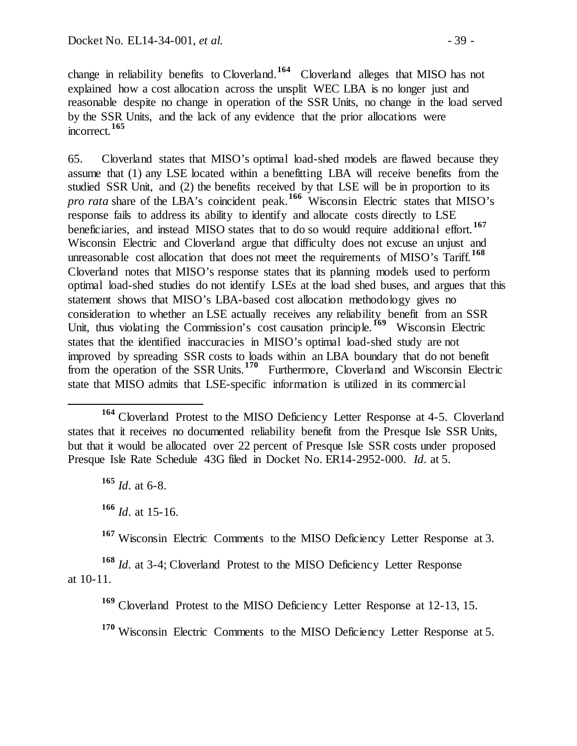change in reliability benefits to Cloverland. **[164](#page-38-0)** Cloverland alleges that MISO has not explained how a cost allocation across the unsplit WEC LBA is no longer just and reasonable despite no change in operation of the SSR Units, no change in the load served by the SSR Units, and the lack of any evidence that the prior allocations were incorrect.**[165](#page-38-1)**

65. Cloverland states that MISO's optimal load-shed models are flawed because they assume that (1) any LSE located within a benefitting LBA will receive benefits from the studied SSR Unit, and (2) the benefits received by that LSE will be in proportion to its *pro rata* share of the LBA's coincident peak.**[166](#page-38-2)** Wisconsin Electric states that MISO's response fails to address its ability to identify and allocate costs directly to LSE beneficiaries, and instead MISO states that to do so would require additional effort.**[167](#page-38-3)** Wisconsin Electric and Cloverland argue that difficulty does not excuse an unjust and unreasonable cost allocation that does not meet the requirements of MISO's Tariff. **[168](#page-38-4)** Cloverland notes that MISO's response states that its planning models used to perform optimal load-shed studies do not identify LSEs at the load shed buses, and argues that this statement shows that MISO's LBA-based cost allocation methodology gives no consideration to whether an LSE actually receives any reliability benefit from an SSR Unit, thus violating the Commission's cost causation principle.**[169](#page-38-5)** Wisconsin Electric states that the identified inaccuracies in MISO's optimal load-shed study are not improved by spreading SSR costs to loads within an LBA boundary that do not benefit from the operation of the SSR Units.**[170](#page-38-6)** Furthermore, Cloverland and Wisconsin Electric state that MISO admits that LSE-specific information is utilized in its commercial

**<sup>165</sup>** *Id*. at 6-8.

**<sup>166</sup>** *Id*. at 15-16.

**<sup>167</sup>** Wisconsin Electric Comments to the MISO Deficiency Letter Response at 3.

<span id="page-38-6"></span><span id="page-38-5"></span><span id="page-38-4"></span><span id="page-38-3"></span><span id="page-38-2"></span>**<sup>168</sup>** *Id*. at 3-4; Cloverland Protest to the MISO Deficiency Letter Response at 10-11.

**<sup>169</sup>** Cloverland Protest to the MISO Deficiency Letter Response at 12-13, 15.

**<sup>170</sup>** Wisconsin Electric Comments to the MISO Deficiency Letter Response at 5.

<span id="page-38-1"></span><span id="page-38-0"></span>**<sup>164</sup>** Cloverland Protest to the MISO Deficiency Letter Response at 4-5. Cloverland states that it receives no documented reliability benefit from the Presque Isle SSR Units, but that it would be allocated over 22 percent of Presque Isle SSR costs under proposed Presque Isle Rate Schedule 43G filed in Docket No. ER14-2952-000. *Id*. at 5.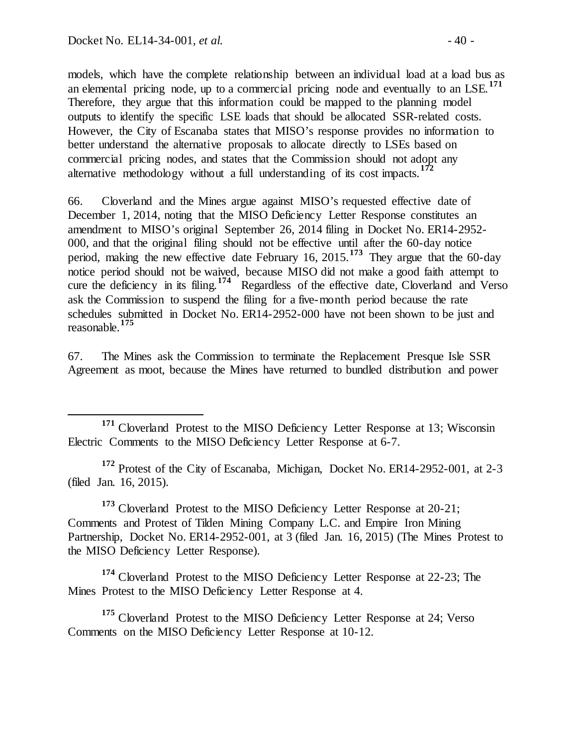models, which have the complete relationship between an individual load at a load bus as an elemental pricing node, up to a commercial pricing node and eventually to an LSE.**[171](#page-39-0)** Therefore, they argue that this information could be mapped to the planning model outputs to identify the specific LSE loads that should be allocated SSR-related costs. However, the City of Escanaba states that MISO's response provides no information to better understand the alternative proposals to allocate directly to LSEs based on commercial pricing nodes, and states that the Commission should not adopt any alternative methodology without a full understanding of its cost impacts.**[172](#page-39-1)**

66. Cloverland and the Mines argue against MISO's requested effective date of December 1, 2014, noting that the MISO Deficiency Letter Response constitutes an amendment to MISO's original September 26, 2014 filing in Docket No. ER14-2952- 000, and that the original filing should not be effective until after the 60-day notice period, making the new effective date February 16, 2015.**[173](#page-39-2)** They argue that the 60-day notice period should not be waived, because MISO did not make a good faith attempt to cure the deficiency in its filing.**[174](#page-39-3)** Regardless of the effective date, Cloverland and Verso ask the Commission to suspend the filing for a five-month period because the rate schedules submitted in Docket No. ER14-2952-000 have not been shown to be just and reasonable.**[175](#page-39-4)**

67. The Mines ask the Commission to terminate the Replacement Presque Isle SSR Agreement as moot, because the Mines have returned to bundled distribution and power

<span id="page-39-1"></span>**<sup>172</sup>** Protest of the City of Escanaba, Michigan, Docket No. ER14-2952-001, at 2-3 (filed Jan. 16, 2015).

<span id="page-39-2"></span><sup>173</sup> Cloverland Protest to the MISO Deficiency Letter Response at 20-21; Comments and Protest of Tilden Mining Company L.C. and Empire Iron Mining Partnership, Docket No. ER14-2952-001, at 3 (filed Jan. 16, 2015) (The Mines Protest to the MISO Deficiency Letter Response).

<span id="page-39-3"></span>**<sup>174</sup>** Cloverland Protest to the MISO Deficiency Letter Response at 22-23; The Mines Protest to the MISO Deficiency Letter Response at 4.

<span id="page-39-4"></span>**<sup>175</sup>** Cloverland Protest to the MISO Deficiency Letter Response at 24; Verso Comments on the MISO Deficiency Letter Response at 10-12.

<span id="page-39-0"></span><sup>&</sup>lt;sup>171</sup> Cloverland Protest to the MISO Deficiency Letter Response at 13; Wisconsin Electric Comments to the MISO Deficiency Letter Response at 6-7.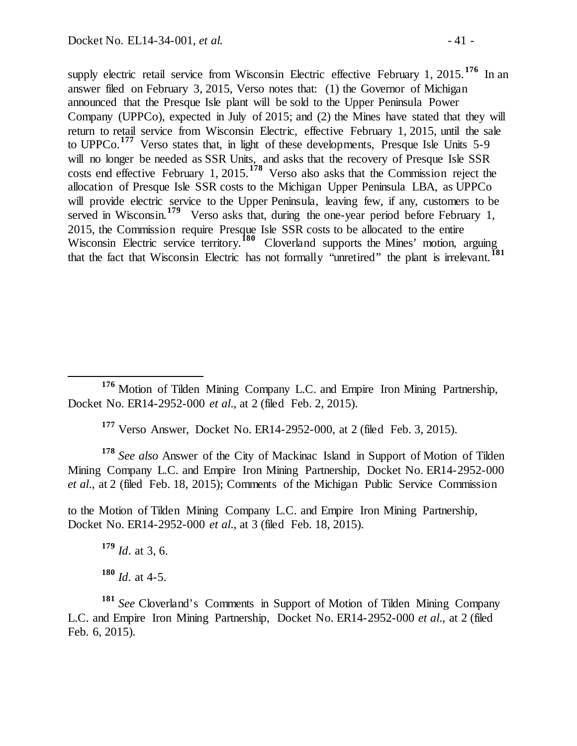supply electric retail service from Wisconsin Electric effective February 1, 2015.<sup>[176](#page-40-0)</sup> In an answer filed on February 3, 2015, Verso notes that: (1) the Governor of Michigan announced that the Presque Isle plant will be sold to the Upper Peninsula Power Company (UPPCo), expected in July of 2015; and (2) the Mines have stated that they will return to retail service from Wisconsin Electric, effective February 1, 2015, until the sale to UPPCo.**[177](#page-40-1)** Verso states that, in light of these developments, Presque Isle Units 5-9 will no longer be needed as SSR Units, and asks that the recovery of Presque Isle SSR costs end effective February 1, 2015.**[178](#page-40-2)** Verso also asks that the Commission reject the allocation of Presque Isle SSR costs to the Michigan Upper Peninsula LBA, as UPPCo will provide electric service to the Upper Peninsula, leaving few, if any, customers to be served in Wisconsin.<sup>[179](#page-40-3)</sup> Verso asks that, during the one-year period before February 1, 2015, the Commission require Presque Isle SSR costs to be allocated to the entire Wisconsin Electric service territory.<sup>[180](#page-40-4)</sup> Cloverland supports the Mines' motion, arguing that the fact that Wisconsin Electric has not formally "unretired" the plant is irrelevant.<sup>[181](#page-40-5)</sup>

**<sup>177</sup>** Verso Answer, Docket No. ER14-2952-000, at 2 (filed Feb. 3, 2015).

<span id="page-40-2"></span><span id="page-40-1"></span>**<sup>178</sup>** *See also* Answer of the City of Mackinac Island in Support of Motion of Tilden Mining Company L.C. and Empire Iron Mining Partnership, Docket No. ER14-2952-000 *et al*., at 2 (filed Feb. 18, 2015); Comments of the Michigan Public Service Commission

<span id="page-40-3"></span>to the Motion of Tilden Mining Company L.C. and Empire Iron Mining Partnership, Docket No. ER14-2952-000 *et al*., at 3 (filed Feb. 18, 2015).

**<sup>179</sup>** *Id*. at 3, 6.  $180$  *Id.* at 4-5.

<span id="page-40-5"></span><span id="page-40-4"></span>**<sup>181</sup>** *See* Cloverland's Comments in Support of Motion of Tilden Mining Company L.C. and Empire Iron Mining Partnership, Docket No. ER14-2952-000 *et al*., at 2 (filed Feb. 6, 2015).

<span id="page-40-0"></span>**<sup>176</sup>** Motion of Tilden Mining Company L.C. and Empire Iron Mining Partnership, Docket No. ER14-2952-000 *et al*., at 2 (filed Feb. 2, 2015).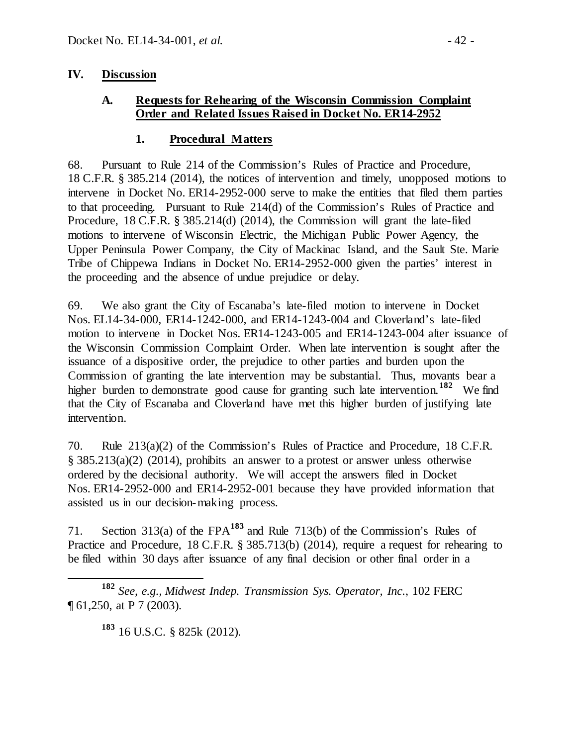### **IV. Discussion**

### **A. Requests for Rehearing of the Wisconsin Commission Complaint Order and Related Issues Raised in Docket No. ER14-2952**

### **1. Procedural Matters**

68. Pursuant to Rule 214 of the Commission's Rules of Practice and Procedure, 18 C.F.R. § 385.214 (2014), the notices of intervention and timely, unopposed motions to intervene in Docket No. ER14-2952-000 serve to make the entities that filed them parties to that proceeding. Pursuant to Rule 214(d) of the Commission's Rules of Practice and Procedure, 18 C.F.R. § 385.214(d) (2014), the Commission will grant the late-filed motions to intervene of Wisconsin Electric, the Michigan Public Power Agency, the Upper Peninsula Power Company, the City of Mackinac Island, and the Sault Ste. Marie Tribe of Chippewa Indians in Docket No. ER14-2952-000 given the parties' interest in the proceeding and the absence of undue prejudice or delay.

69. We also grant the City of Escanaba's late-filed motion to intervene in Docket Nos. EL14-34-000, ER14-1242-000, and ER14-1243-004 and Cloverland's late-filed motion to intervene in Docket Nos. ER14-1243-005 and ER14-1243-004 after issuance of the Wisconsin Commission Complaint Order. When late intervention is sought after the issuance of a dispositive order, the prejudice to other parties and burden upon the Commission of granting the late intervention may be substantial. Thus, movants bear a higher burden to demonstrate good cause for granting such late intervention.<sup>[182](#page-41-0)</sup> We find that the City of Escanaba and Cloverland have met this higher burden of justifying late intervention.

70. Rule 213(a)(2) of the Commission's Rules of Practice and Procedure, 18 C.F.R. § 385.213(a)(2) (2014), prohibits an answer to a protest or answer unless otherwise ordered by the decisional authority. We will accept the answers filed in Docket Nos. ER14-2952-000 and ER14-2952-001 because they have provided information that assisted us in our decision-making process.

71. Section 313(a) of the FPA**[183](#page-41-1)** and Rule 713(b) of the Commission's Rules of Practice and Procedure, 18 C.F.R. § 385.713(b) (2014), require a request for rehearing to be filed within 30 days after issuance of any final decision or other final order in a

<span id="page-41-1"></span><span id="page-41-0"></span> **<sup>182</sup>** *See, e.g., Midwest Indep. Transmission Sys. Operator, Inc.*, 102 FERC ¶ 61,250, at P 7 (2003).

**<sup>183</sup>** 16 U.S.C. § 825k (2012).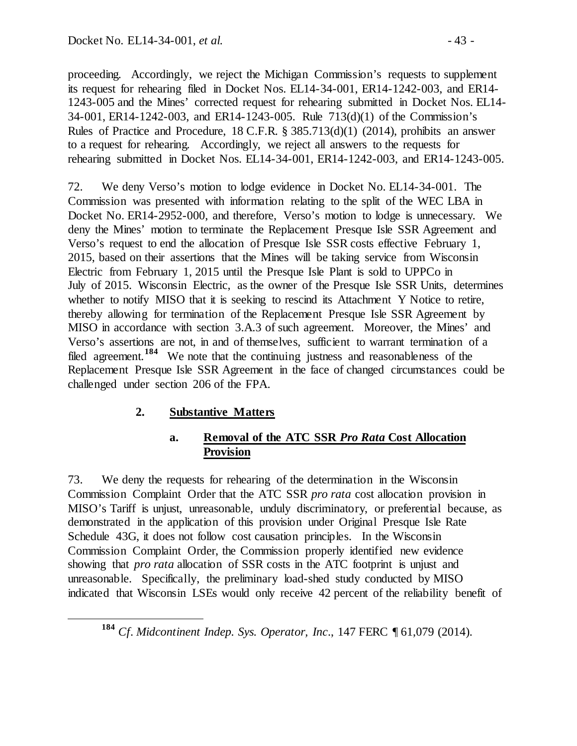proceeding. Accordingly, we reject the Michigan Commission's requests to supplement its request for rehearing filed in Docket Nos. EL14-34-001, ER14-1242-003, and ER14- 1243-005 and the Mines' corrected request for rehearing submitted in Docket Nos. EL14- 34-001, ER14-1242-003, and ER14-1243-005. Rule 713(d)(1) of the Commission's Rules of Practice and Procedure, 18 C.F.R. § 385.713(d)(1) (2014), prohibits an answer to a request for rehearing. Accordingly, we reject all answers to the requests for rehearing submitted in Docket Nos. EL14-34-001, ER14-1242-003, and ER14-1243-005.

72. We deny Verso's motion to lodge evidence in Docket No. EL14-34-001. The Commission was presented with information relating to the split of the WEC LBA in Docket No. ER14-2952-000, and therefore, Verso's motion to lodge is unnecessary. We deny the Mines' motion to terminate the Replacement Presque Isle SSR Agreement and Verso's request to end the allocation of Presque Isle SSR costs effective February 1, 2015, based on their assertions that the Mines will be taking service from Wisconsin Electric from February 1, 2015 until the Presque Isle Plant is sold to UPPCo in July of 2015. Wisconsin Electric, as the owner of the Presque Isle SSR Units, determines whether to notify MISO that it is seeking to rescind its Attachment Y Notice to retire, thereby allowing for termination of the Replacement Presque Isle SSR Agreement by MISO in accordance with section 3.A.3 of such agreement. Moreover, the Mines' and Verso's assertions are not, in and of themselves, sufficient to warrant termination of a filed agreement.<sup>[184](#page-42-0)</sup> We note that the continuing justness and reasonableness of the Replacement Presque Isle SSR Agreement in the face of changed circumstances could be challenged under section 206 of the FPA.

# **2. Substantive Matters**

## **a. Removal of the ATC SSR** *Pro Rata* **Cost Allocation Provision**

73. We deny the requests for rehearing of the determination in the Wisconsin Commission Complaint Order that the ATC SSR *pro rata* cost allocation provision in MISO's Tariff is unjust, unreasonable, unduly discriminatory, or preferential because, as demonstrated in the application of this provision under Original Presque Isle Rate Schedule 43G, it does not follow cost causation principles. In the Wisconsin Commission Complaint Order, the Commission properly identified new evidence showing that *pro rata* allocation of SSR costs in the ATC footprint is unjust and unreasonable. Specifically, the preliminary load-shed study conducted by MISO indicated that Wisconsin LSEs would only receive 42 percent of the reliability benefit of

<span id="page-42-0"></span>**<sup>184</sup>** *Cf*. *Midcontinent Indep. Sys. Operator, Inc*., 147 FERC ¶ 61,079 (2014).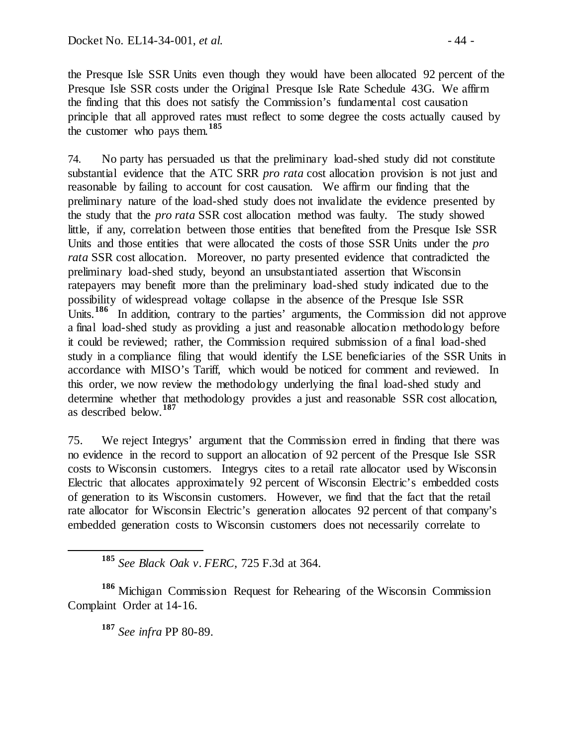the Presque Isle SSR Units even though they would have been allocated 92 percent of the Presque Isle SSR costs under the Original Presque Isle Rate Schedule 43G. We affirm the finding that this does not satisfy the Commission's fundamental cost causation principle that all approved rates must reflect to some degree the costs actually caused by the customer who pays them.**[185](#page-43-0)**

74. No party has persuaded us that the preliminary load-shed study did not constitute substantial evidence that the ATC SRR *pro rata* cost allocation provision is not just and reasonable by failing to account for cost causation. We affirm our finding that the preliminary nature of the load-shed study does not invalidate the evidence presented by the study that the *pro rata* SSR cost allocation method was faulty. The study showed little, if any, correlation between those entities that benefited from the Presque Isle SSR Units and those entities that were allocated the costs of those SSR Units under the *pro rata* SSR cost allocation. Moreover, no party presented evidence that contradicted the preliminary load-shed study, beyond an unsubstantiated assertion that Wisconsin ratepayers may benefit more than the preliminary load-shed study indicated due to the possibility of widespread voltage collapse in the absence of the Presque Isle SSR Units.<sup>[186](#page-43-1)</sup> In addition, contrary to the parties' arguments, the Commission did not approve a final load-shed study as providing a just and reasonable allocation methodology before it could be reviewed; rather, the Commission required submission of a final load-shed study in a compliance filing that would identify the LSE beneficiaries of the SSR Units in accordance with MISO's Tariff, which would be noticed for comment and reviewed. In this order, we now review the methodology underlying the final load-shed study and determine whether that methodology provides a just and reasonable SSR cost allocation, as described below.**[187](#page-43-2)**

75. We reject Integrys' argument that the Commission erred in finding that there was no evidence in the record to support an allocation of 92 percent of the Presque Isle SSR costs to Wisconsin customers. Integrys cites to a retail rate allocator used by Wisconsin Electric that allocates approximately 92 percent of Wisconsin Electric's embedded costs of generation to its Wisconsin customers. However, we find that the fact that the retail rate allocator for Wisconsin Electric's generation allocates 92 percent of that company's embedded generation costs to Wisconsin customers does not necessarily correlate to

**<sup>185</sup>** *See Black Oak v. FERC*, 725 F.3d at 364.

<span id="page-43-2"></span><span id="page-43-1"></span><span id="page-43-0"></span>**<sup>186</sup>** Michigan Commission Request for Rehearing of the Wisconsin Commission Complaint Order at 14-16.

**<sup>187</sup>** *See infra* PP 80-89.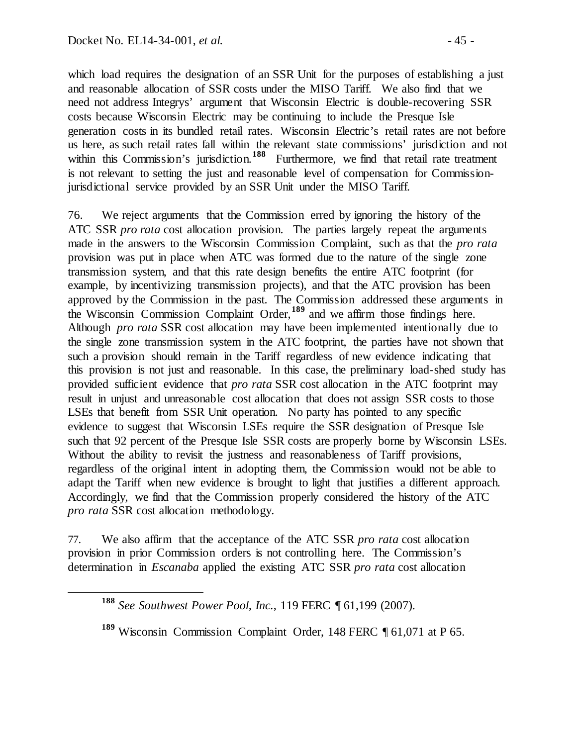which load requires the designation of an SSR Unit for the purposes of establishing a just and reasonable allocation of SSR costs under the MISO Tariff. We also find that we need not address Integrys' argument that Wisconsin Electric is double-recovering SSR costs because Wisconsin Electric may be continuing to include the Presque Isle generation costs in its bundled retail rates. Wisconsin Electric's retail rates are not before us here, as such retail rates fall within the relevant state commissions' jurisdiction and not within this Commission's jurisdiction.<sup>[188](#page-44-0)</sup> Furthermore, we find that retail rate treatment is not relevant to setting the just and reasonable level of compensation for Commissionjurisdictional service provided by an SSR Unit under the MISO Tariff.

76. We reject arguments that the Commission erred by ignoring the history of the ATC SSR *pro rata* cost allocation provision. The parties largely repeat the arguments made in the answers to the Wisconsin Commission Complaint, such as that the *pro rata* provision was put in place when ATC was formed due to the nature of the single zone transmission system, and that this rate design benefits the entire ATC footprint (for example, by incentivizing transmission projects), and that the ATC provision has been approved by the Commission in the past. The Commission addressed these arguments in the Wisconsin Commission Complaint Order,**[189](#page-44-1)** and we affirm those findings here. Although *pro rata* SSR cost allocation may have been implemented intentionally due to the single zone transmission system in the ATC footprint, the parties have not shown that such a provision should remain in the Tariff regardless of new evidence indicating that this provision is not just and reasonable. In this case, the preliminary load-shed study has provided sufficient evidence that *pro rata* SSR cost allocation in the ATC footprint may result in unjust and unreasonable cost allocation that does not assign SSR costs to those LSEs that benefit from SSR Unit operation. No party has pointed to any specific evidence to suggest that Wisconsin LSEs require the SSR designation of Presque Isle such that 92 percent of the Presque Isle SSR costs are properly borne by Wisconsin LSEs. Without the ability to revisit the justness and reasonableness of Tariff provisions, regardless of the original intent in adopting them, the Commission would not be able to adapt the Tariff when new evidence is brought to light that justifies a different approach. Accordingly, we find that the Commission properly considered the history of the ATC *pro rata* SSR cost allocation methodology.

<span id="page-44-0"></span>77. We also affirm that the acceptance of the ATC SSR *pro rata* cost allocation provision in prior Commission orders is not controlling here. The Commission's determination in *Escanaba* applied the existing ATC SSR *pro rata* cost allocation

**<sup>188</sup>** *See Southwest Power Pool, Inc.*, 119 FERC ¶ 61,199 (2007).

<span id="page-44-1"></span>**<sup>189</sup>** Wisconsin Commission Complaint Order, 148 FERC ¶ 61,071 at P 65.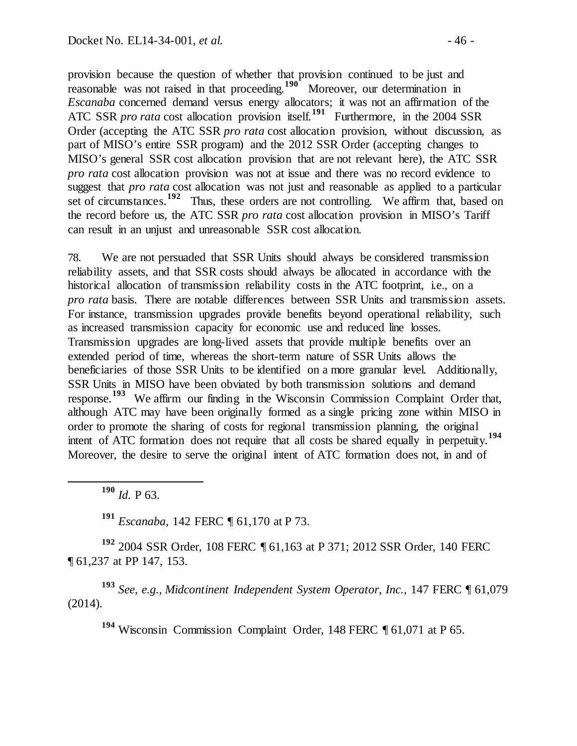provision because the question of whether that provision continued to be just and reasonable was not raised in that proceeding.<sup>[190](#page-45-0)</sup> Moreover, our determination in *Escanaba* concerned demand versus energy allocators; it was not an affirmation of the ATC SSR *pro rata* cost allocation provision itself.<sup>[191](#page-45-1)</sup> Furthermore, in the 2004 SSR Order (accepting the ATC SSR *pro rata* cost allocation provision, without discussion, as part of MISO's entire SSR program) and the 2012 SSR Order (accepting changes to MISO's general SSR cost allocation provision that are not relevant here), the ATC SSR *pro rata* cost allocation provision was not at issue and there was no record evidence to suggest that *pro rata* cost allocation was not just and reasonable as applied to a particular set of circumstances.<sup>[192](#page-45-2)</sup> Thus, these orders are not controlling. We affirm that, based on the record before us, the ATC SSR *pro rata* cost allocation provision in MISO's Tariff can result in an unjust and unreasonable SSR cost allocation.

78. We are not persuaded that SSR Units should always be considered transmission reliability assets, and that SSR costs should always be allocated in accordance with the historical allocation of transmission reliability costs in the ATC footprint, i.e., on a *pro rata* basis. There are notable differences between SSR Units and transmission assets. For instance, transmission upgrades provide benefits beyond operational reliability, such as increased transmission capacity for economic use and reduced line losses. Transmission upgrades are long-lived assets that provide multiple benefits over an extended period of time, whereas the short-term nature of SSR Units allows the beneficiaries of those SSR Units to be identified on a more granular level. Additionally, SSR Units in MISO have been obviated by both transmission solutions and demand response. **[193](#page-45-3)** We affirm our finding in the Wisconsin Commission Complaint Order that, although ATC may have been originally formed as a single pricing zone within MISO in order to promote the sharing of costs for regional transmission planning, the original intent of ATC formation does not require that all costs be shared equally in perpetuity. **[194](#page-45-4)** Moreover, the desire to serve the original intent of ATC formation does not, in and of

**<sup>190</sup>** *Id.* P 63.

**<sup>191</sup>** *Escanaba*, 142 FERC ¶ 61,170 at P 73.

<span id="page-45-2"></span><span id="page-45-1"></span><span id="page-45-0"></span>**<sup>192</sup>** 2004 SSR Order, 108 FERC ¶ 61,163 at P 371; 2012 SSR Order, 140 FERC ¶ 61,237 at PP 147, 153.

<span id="page-45-4"></span><span id="page-45-3"></span>**<sup>193</sup>** *See, e.g., Midcontinent Independent System Operator, Inc.,* 147 FERC ¶ 61,079 (2014).

**<sup>194</sup>** Wisconsin Commission Complaint Order, 148 FERC ¶ 61,071 at P 65.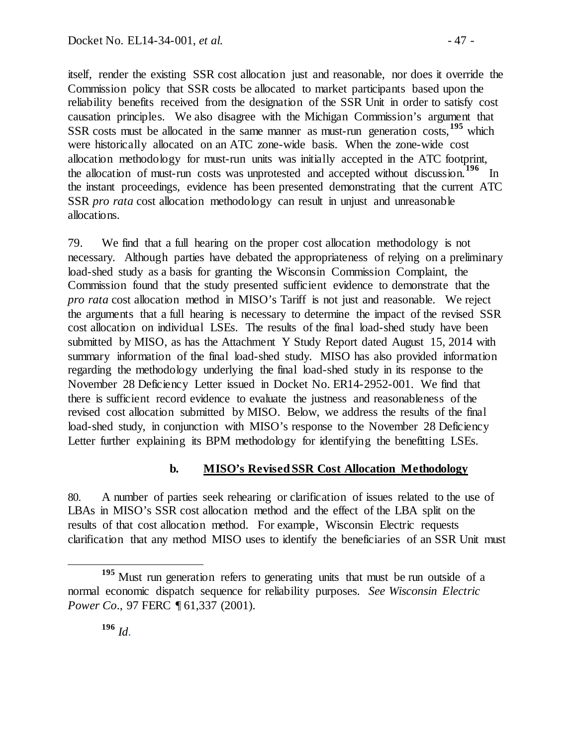itself, render the existing SSR cost allocation just and reasonable, nor does it override the Commission policy that SSR costs be allocated to market participants based upon the reliability benefits received from the designation of the SSR Unit in order to satisfy cost causation principles. We also disagree with the Michigan Commission's argument that SSR costs must be allocated in the same manner as must-run generation costs,**[195](#page-46-0)** which were historically allocated on an ATC zone-wide basis. When the zone-wide cost allocation methodology for must-run units was initially accepted in the ATC footprint, the allocation of must-run costs was unprotested and accepted without discussion.**[196](#page-46-1)** In the instant proceedings, evidence has been presented demonstrating that the current ATC SSR *pro rata* cost allocation methodology can result in unjust and unreasonable allocations.

79. We find that a full hearing on the proper cost allocation methodology is not necessary. Although parties have debated the appropriateness of relying on a preliminary load-shed study as a basis for granting the Wisconsin Commission Complaint, the Commission found that the study presented sufficient evidence to demonstrate that the *pro rata* cost allocation method in MISO's Tariff is not just and reasonable. We reject the arguments that a full hearing is necessary to determine the impact of the revised SSR cost allocation on individual LSEs. The results of the final load-shed study have been submitted by MISO, as has the Attachment Y Study Report dated August 15, 2014 with summary information of the final load-shed study. MISO has also provided information regarding the methodology underlying the final load-shed study in its response to the November 28 Deficiency Letter issued in Docket No. ER14-2952-001. We find that there is sufficient record evidence to evaluate the justness and reasonableness of the revised cost allocation submitted by MISO. Below, we address the results of the final load-shed study, in conjunction with MISO's response to the November 28 Deficiency Letter further explaining its BPM methodology for identifying the benefitting LSEs.

#### **b. MISO's Revised SSR Cost Allocation Methodology**

80. A number of parties seek rehearing or clarification of issues related to the use of LBAs in MISO's SSR cost allocation method and the effect of the LBA split on the results of that cost allocation method. For example, Wisconsin Electric requests clarification that any method MISO uses to identify the beneficiaries of an SSR Unit must

<span id="page-46-1"></span><span id="page-46-0"></span>**<sup>195</sup>** Must run generation refers to generating units that must be run outside of a normal economic dispatch sequence for reliability purposes. *See Wisconsin Electric Power Co.*, 97 FERC ¶ 61,337 (2001).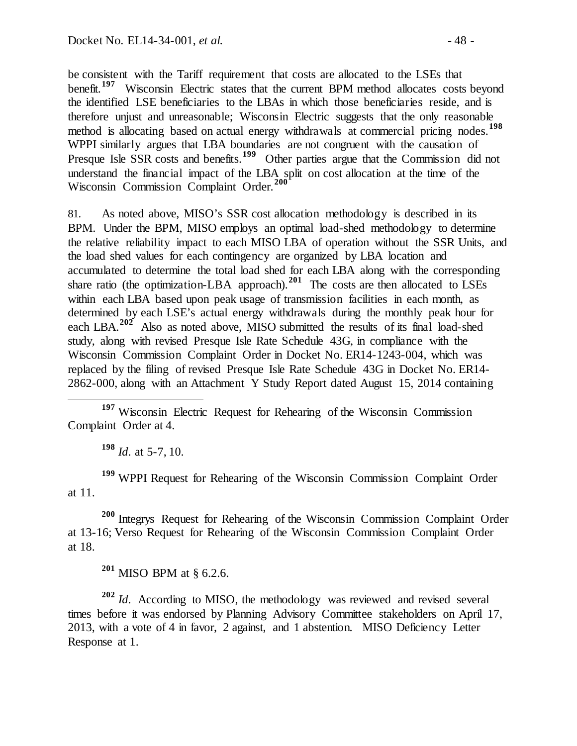be consistent with the Tariff requirement that costs are allocated to the LSEs that benefit.<sup>[197](#page-47-0)</sup> Wisconsin Electric states that the current BPM method allocates costs beyond the identified LSE beneficiaries to the LBAs in which those beneficiaries reside, and is therefore unjust and unreasonable; Wisconsin Electric suggests that the only reasonable method is allocating based on actual energy withdrawals at commercial pricing nodes.<sup>[198](#page-47-1)</sup> WPPI similarly argues that LBA boundaries are not congruent with the causation of Presque Isle SSR costs and benefits.<sup>[199](#page-47-2)</sup> Other parties argue that the Commission did not understand the financial impact of the LBA split on cost allocation at the time of the Wisconsin Commission Complaint Order  $^{200}$ Wisconsin Commission Complaint Order.<sup>2</sup>

81. As noted above, MISO's SSR cost allocation methodology is described in its BPM. Under the BPM, MISO employs an optimal load-shed methodology to determine the relative reliability impact to each MISO LBA of operation without the SSR Units, and the load shed values for each contingency are organized by LBA location and accumulated to determine the total load shed for each LBA along with the corresponding share ratio (the optimization-LBA approach).<sup>[201](#page-47-4)</sup> The costs are then allocated to LSEs within each LBA based upon peak usage of transmission facilities in each month, as determined by each LSE's actual energy withdrawals during the monthly peak hour for each LBA.**[202](#page-47-5)** Also as noted above, MISO submitted the results of its final load-shed study, along with revised Presque Isle Rate Schedule 43G, in compliance with the Wisconsin Commission Complaint Order in Docket No. ER14-1243-004, which was replaced by the filing of revised Presque Isle Rate Schedule 43G in Docket No. ER14- 2862-000, along with an Attachment Y Study Report dated August 15, 2014 containing

<span id="page-47-0"></span> **<sup>197</sup>** Wisconsin Electric Request for Rehearing of the Wisconsin Commission Complaint Order at 4.

**<sup>198</sup>** *Id*. at 5-7, 10.

<span id="page-47-2"></span><span id="page-47-1"></span>**<sup>199</sup>** WPPI Request for Rehearing of the Wisconsin Commission Complaint Order at 11.

<span id="page-47-3"></span>**<sup>200</sup>** Integrys Request for Rehearing of the Wisconsin Commission Complaint Order at 13-16; Verso Request for Rehearing of the Wisconsin Commission Complaint Order at 18.

**<sup>201</sup>** MISO BPM at § 6.2.6.

<span id="page-47-5"></span><span id="page-47-4"></span>**<sup>202</sup>** *Id*. According to MISO, the methodology was reviewed and revised several times before it was endorsed by Planning Advisory Committee stakeholders on April 17, 2013, with a vote of 4 in favor, 2 against, and 1 abstention. MISO Deficiency Letter Response at 1.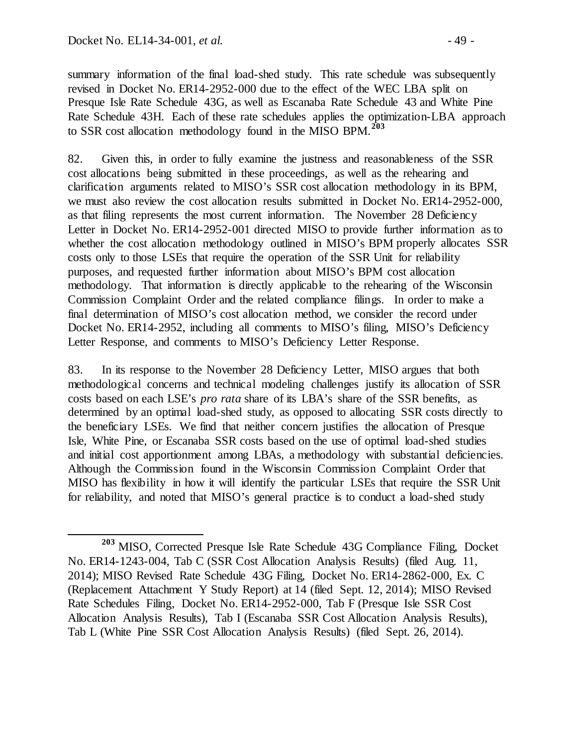summary information of the final load-shed study. This rate schedule was subsequently revised in Docket No. ER14-2952-000 due to the effect of the WEC LBA split on Presque Isle Rate Schedule 43G, as well as Escanaba Rate Schedule 43 and White Pine Rate Schedule 43H. Each of these rate schedules applies the optimization-LBA approach to SSR cost allocation methodology found in the MISO BPM.**[203](#page-48-0)**

82. Given this, in order to fully examine the justness and reasonableness of the SSR cost allocations being submitted in these proceedings, as well as the rehearing and clarification arguments related to MISO's SSR cost allocation methodology in its BPM, we must also review the cost allocation results submitted in Docket No. ER14-2952-000, as that filing represents the most current information. The November 28 Deficiency Letter in Docket No. ER14-2952-001 directed MISO to provide further information as to whether the cost allocation methodology outlined in MISO's BPM properly allocates SSR costs only to those LSEs that require the operation of the SSR Unit for reliability purposes, and requested further information about MISO's BPM cost allocation methodology. That information is directly applicable to the rehearing of the Wisconsin Commission Complaint Order and the related compliance filings. In order to make a final determination of MISO's cost allocation method, we consider the record under Docket No. ER14-2952, including all comments to MISO's filing, MISO's Deficiency Letter Response, and comments to MISO's Deficiency Letter Response.

83. In its response to the November 28 Deficiency Letter, MISO argues that both methodological concerns and technical modeling challenges justify its allocation of SSR costs based on each LSE's *pro rata* share of its LBA's share of the SSR benefits, as determined by an optimal load-shed study, as opposed to allocating SSR costs directly to the beneficiary LSEs. We find that neither concern justifies the allocation of Presque Isle, White Pine, or Escanaba SSR costs based on the use of optimal load-shed studies and initial cost apportionment among LBAs, a methodology with substantial deficiencies. Although the Commission found in the Wisconsin Commission Complaint Order that MISO has flexibility in how it will identify the particular LSEs that require the SSR Unit for reliability, and noted that MISO's general practice is to conduct a load-shed study

<span id="page-48-0"></span>**<sup>203</sup>** MISO, Corrected Presque Isle Rate Schedule 43G Compliance Filing, Docket No. ER14-1243-004, Tab C (SSR Cost Allocation Analysis Results) (filed Aug. 11, 2014); MISO Revised Rate Schedule 43G Filing, Docket No. ER14-2862-000, Ex. C (Replacement Attachment Y Study Report) at 14 (filed Sept. 12, 2014); MISO Revised Rate Schedules Filing, Docket No. ER14-2952-000, Tab F (Presque Isle SSR Cost Allocation Analysis Results), Tab I (Escanaba SSR Cost Allocation Analysis Results), Tab L (White Pine SSR Cost Allocation Analysis Results) (filed Sept. 26, 2014).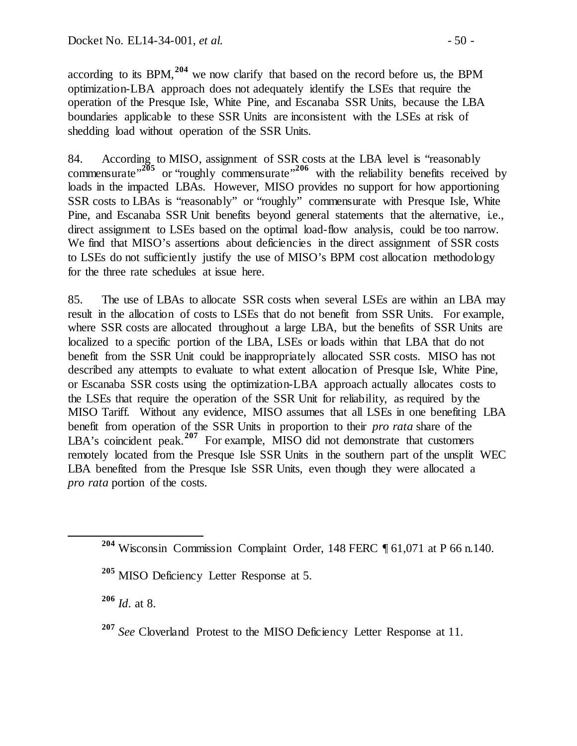according to its BPM,**[204](#page-49-0)** we now clarify that based on the record before us, the BPM optimization-LBA approach does not adequately identify the LSEs that require the operation of the Presque Isle, White Pine, and Escanaba SSR Units, because the LBA boundaries applicable to these SSR Units are inconsistent with the LSEs at risk of shedding load without operation of the SSR Units.

84. According to MISO, assignment of SSR costs at the LBA level is "reasonably commensurate<sup>",[205](#page-49-1)</sup> or "roughly commensurate"<sup>[206](#page-49-2)</sup> with the reliability benefits received by loads in the impacted LBAs. However, MISO provides no support for how apportioning SSR costs to LBAs is "reasonably" or "roughly" commensurate with Presque Isle, White Pine, and Escanaba SSR Unit benefits beyond general statements that the alternative, i.e., direct assignment to LSEs based on the optimal load-flow analysis, could be too narrow. We find that MISO's assertions about deficiencies in the direct assignment of SSR costs to LSEs do not sufficiently justify the use of MISO's BPM cost allocation methodology for the three rate schedules at issue here.

85. The use of LBAs to allocate SSR costs when several LSEs are within an LBA may result in the allocation of costs to LSEs that do not benefit from SSR Units. For example, where SSR costs are allocated throughout a large LBA, but the benefits of SSR Units are localized to a specific portion of the LBA, LSEs or loads within that LBA that do not benefit from the SSR Unit could be inappropriately allocated SSR costs. MISO has not described any attempts to evaluate to what extent allocation of Presque Isle, White Pine, or Escanaba SSR costs using the optimization-LBA approach actually allocates costs to the LSEs that require the operation of the SSR Unit for reliability, as required by the MISO Tariff. Without any evidence, MISO assumes that all LSEs in one benefiting LBA benefit from operation of the SSR Units in proportion to their *pro rata* share of the LBA's coincident peak.<sup>[207](#page-49-3)</sup> For example, MISO did not demonstrate that customers remotely located from the Presque Isle SSR Units in the southern part of the unsplit WEC LBA benefited from the Presque Isle SSR Units, even though they were allocated a *pro rata* portion of the costs.

<span id="page-49-2"></span>**<sup>206</sup>** *Id*. at 8.

<span id="page-49-0"></span>**<sup>204</sup>** Wisconsin Commission Complaint Order, 148 FERC ¶ 61,071 at P 66 n.140.

<span id="page-49-1"></span>**<sup>205</sup>** MISO Deficiency Letter Response at 5.

<span id="page-49-3"></span>**<sup>207</sup>** *See* Cloverland Protest to the MISO Deficiency Letter Response at 11.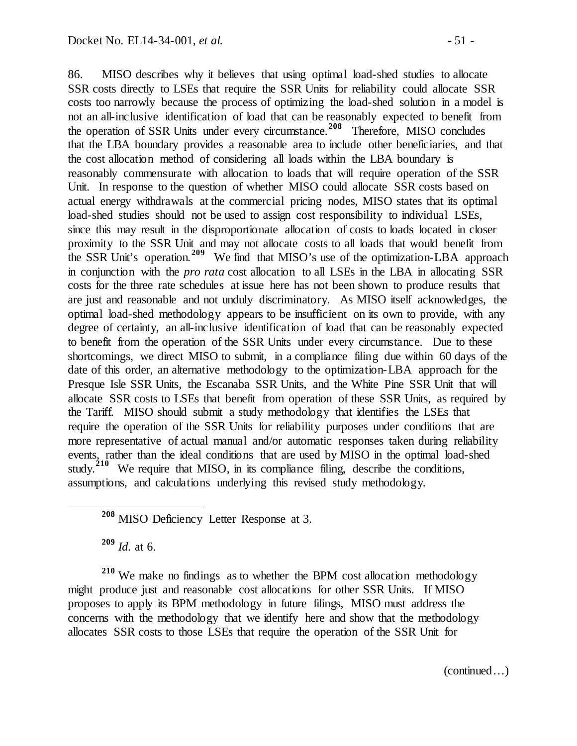86. MISO describes why it believes that using optimal load-shed studies to allocate SSR costs directly to LSEs that require the SSR Units for reliability could allocate SSR costs too narrowly because the process of optimizing the load-shed solution in a model is not an all-inclusive identification of load that can be reasonably expected to benefit from the operation of SSR Units under every circumstance.**[208](#page-50-0)** Therefore, MISO concludes that the LBA boundary provides a reasonable area to include other beneficiaries, and that the cost allocation method of considering all loads within the LBA boundary is reasonably commensurate with allocation to loads that will require operation of the SSR Unit. In response to the question of whether MISO could allocate SSR costs based on actual energy withdrawals at the commercial pricing nodes, MISO states that its optimal load-shed studies should not be used to assign cost responsibility to individual LSEs, since this may result in the disproportionate allocation of costs to loads located in closer proximity to the SSR Unit and may not allocate costs to all loads that would benefit from the SSR Unit's operation.**[209](#page-50-1)** We find that MISO's use of the optimization-LBA approach in conjunction with the *pro rata* cost allocation to all LSEs in the LBA in allocating SSR costs for the three rate schedules at issue here has not been shown to produce results that are just and reasonable and not unduly discriminatory. As MISO itself acknowledges, the optimal load-shed methodology appears to be insufficient on its own to provide, with any degree of certainty, an all-inclusive identification of load that can be reasonably expected to benefit from the operation of the SSR Units under every circumstance. Due to these shortcomings, we direct MISO to submit, in a compliance filing due within 60 days of the date of this order, an alternative methodology to the optimization-LBA approach for the Presque Isle SSR Units, the Escanaba SSR Units, and the White Pine SSR Unit that will allocate SSR costs to LSEs that benefit from operation of these SSR Units, as required by the Tariff. MISO should submit a study methodology that identifies the LSEs that require the operation of the SSR Units for reliability purposes under conditions that are more representative of actual manual and/or automatic responses taken during reliability events, rather than the ideal conditions that are used by MISO in the optimal load-shed study.<sup>[210](#page-50-2)</sup> We require that MISO, in its compliance filing, describe the conditions, assumptions, and calculations underlying this revised study methodology.

**<sup>208</sup>** MISO Deficiency Letter Response at 3.

**<sup>209</sup>** *Id.* at 6.

<span id="page-50-2"></span><span id="page-50-1"></span><span id="page-50-0"></span>**<sup>210</sup>** We make no findings as to whether the BPM cost allocation methodology might produce just and reasonable cost allocations for other SSR Units. If MISO proposes to apply its BPM methodology in future filings, MISO must address the concerns with the methodology that we identify here and show that the methodology allocates SSR costs to those LSEs that require the operation of the SSR Unit for

(continued…)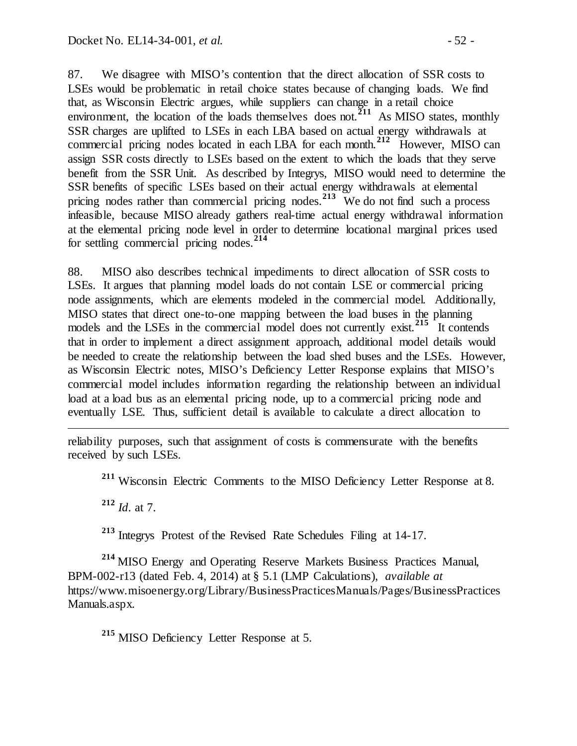87. We disagree with MISO's contention that the direct allocation of SSR costs to LSEs would be problematic in retail choice states because of changing loads. We find that, as Wisconsin Electric argues, while suppliers can change in a retail choice environment, the location of the loads themselves does not.<sup>[211](#page-51-0)</sup> As MISO states, monthly SSR charges are uplifted to LSEs in each LBA based on actual energy withdrawals at commercial pricing nodes located in each LBA for each month.**[212](#page-51-1)** However, MISO can assign SSR costs directly to LSEs based on the extent to which the loads that they serve benefit from the SSR Unit. As described by Integrys, MISO would need to determine the SSR benefits of specific LSEs based on their actual energy withdrawals at elemental pricing nodes rather than commercial pricing nodes.<sup>[213](#page-51-2)</sup> We do not find such a process infeasible, because MISO already gathers real-time actual energy withdrawal information at the elemental pricing node level in order to determine locational marginal prices used for settling commercial pricing nodes. **[214](#page-51-3)**

88. MISO also describes technical impediments to direct allocation of SSR costs to LSEs. It argues that planning model loads do not contain LSE or commercial pricing node assignments, which are elements modeled in the commercial model. Additionally, MISO states that direct one-to-one mapping between the load buses in the planning models and the LSEs in the commercial model does not currently exist.<sup>[215](#page-51-4)</sup> It contends that in order to implement a direct assignment approach, additional model details would be needed to create the relationship between the load shed buses and the LSEs. However, as Wisconsin Electric notes, MISO's Deficiency Letter Response explains that MISO's commercial model includes information regarding the relationship between an individual load at a load bus as an elemental pricing node, up to a commercial pricing node and eventually LSE. Thus, sufficient detail is available to calculate a direct allocation to

<span id="page-51-0"></span>reliability purposes, such that assignment of costs is commensurate with the benefits received by such LSEs.

**<sup>211</sup>** Wisconsin Electric Comments to the MISO Deficiency Letter Response at 8.

**<sup>212</sup>** *Id*. at 7.

 $\overline{a}$ 

**<sup>213</sup>** Integrys Protest of the Revised Rate Schedules Filing at 14-17.

<span id="page-51-3"></span><span id="page-51-2"></span><span id="page-51-1"></span>**<sup>214</sup>** MISO Energy and Operating Reserve Markets Business Practices Manual, BPM-002-r13 (dated Feb. 4, 2014) at § 5.1 (LMP Calculations), *available at* https://www.misoenergy.org/Library/BusinessPracticesManuals/Pages/BusinessPractices Manuals.aspx.

<span id="page-51-4"></span>**<sup>215</sup>** MISO Deficiency Letter Response at 5.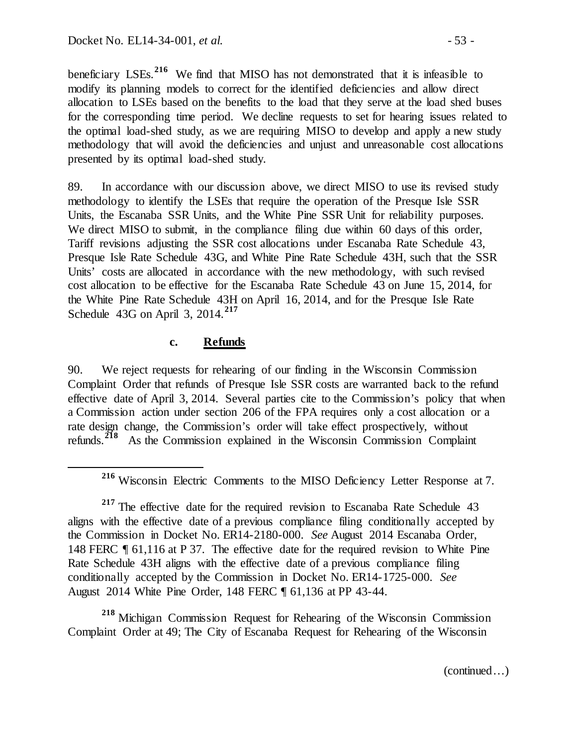beneficiary LSEs.<sup>[216](#page-52-0)</sup> We find that MISO has not demonstrated that it is infeasible to modify its planning models to correct for the identified deficiencies and allow direct allocation to LSEs based on the benefits to the load that they serve at the load shed buses for the corresponding time period. We decline requests to set for hearing issues related to the optimal load-shed study, as we are requiring MISO to develop and apply a new study methodology that will avoid the deficiencies and unjust and unreasonable cost allocations presented by its optimal load-shed study.

89. In accordance with our discussion above, we direct MISO to use its revised study methodology to identify the LSEs that require the operation of the Presque Isle SSR Units, the Escanaba SSR Units, and the White Pine SSR Unit for reliability purposes. We direct MISO to submit, in the compliance filing due within 60 days of this order, Tariff revisions adjusting the SSR cost allocations under Escanaba Rate Schedule 43, Presque Isle Rate Schedule 43G, and White Pine Rate Schedule 43H, such that the SSR Units' costs are allocated in accordance with the new methodology, with such revised cost allocation to be effective for the Escanaba Rate Schedule 43 on June 15, 2014, for the White Pine Rate Schedule 43H on April 16, 2014, and for the Presque Isle Rate Schedule 43G on April 3, 2014.**[217](#page-52-1)**

#### **c. Refunds**

90. We reject requests for rehearing of our finding in the Wisconsin Commission Complaint Order that refunds of Presque Isle SSR costs are warranted back to the refund effective date of April 3, 2014. Several parties cite to the Commission's policy that when a Commission action under section 206 of the FPA requires only a cost allocation or a rate design change, the Commission's order will take effect prospectively, without refunds.**[218](#page-52-2)** As the Commission explained in the Wisconsin Commission Complaint

<span id="page-52-2"></span>**<sup>218</sup>** Michigan Commission Request for Rehearing of the Wisconsin Commission Complaint Order at 49; The City of Escanaba Request for Rehearing of the Wisconsin

(continued…)

**<sup>216</sup>** Wisconsin Electric Comments to the MISO Deficiency Letter Response at 7.

<span id="page-52-1"></span><span id="page-52-0"></span><sup>&</sup>lt;sup>217</sup> The effective date for the required revision to Escanaba Rate Schedule 43 aligns with the effective date of a previous compliance filing conditionally accepted by the Commission in Docket No. ER14-2180-000. *See* August 2014 Escanaba Order, 148 FERC ¶ 61,116 at P 37. The effective date for the required revision to White Pine Rate Schedule 43H aligns with the effective date of a previous compliance filing conditionally accepted by the Commission in Docket No. ER14-1725-000. *See*  August 2014 White Pine Order, 148 FERC ¶ 61,136 at PP 43-44.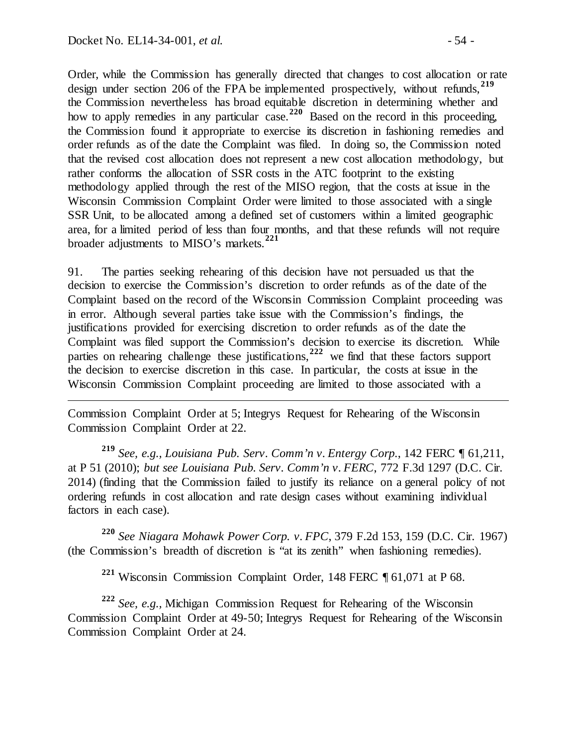$\overline{a}$ 

Order, while the Commission has generally directed that changes to cost allocation or rate design under section 206 of the FPA be implemented prospectively, without refunds,**[219](#page-53-0)** the Commission nevertheless has broad equitable discretion in determining whether and how to apply remedies in any particular case.<sup>[220](#page-53-1)</sup> Based on the record in this proceeding, the Commission found it appropriate to exercise its discretion in fashioning remedies and order refunds as of the date the Complaint was filed. In doing so, the Commission noted that the revised cost allocation does not represent a new cost allocation methodology, but rather conforms the allocation of SSR costs in the ATC footprint to the existing methodology applied through the rest of the MISO region, that the costs at issue in the Wisconsin Commission Complaint Order were limited to those associated with a single SSR Unit, to be allocated among a defined set of customers within a limited geographic area, for a limited period of less than four months, and that these refunds will not require broader adjustments to MISO's markets.**[221](#page-53-2)**

91. The parties seeking rehearing of this decision have not persuaded us that the decision to exercise the Commission's discretion to order refunds as of the date of the Complaint based on the record of the Wisconsin Commission Complaint proceeding was in error. Although several parties take issue with the Commission's findings, the justifications provided for exercising discretion to order refunds as of the date the Complaint was filed support the Commission's decision to exercise its discretion. While parties on rehearing challenge these justifications,**[222](#page-53-3)** we find that these factors support the decision to exercise discretion in this case. In particular, the costs at issue in the Wisconsin Commission Complaint proceeding are limited to those associated with a

Commission Complaint Order at 5; Integrys Request for Rehearing of the Wisconsin Commission Complaint Order at 22.

<span id="page-53-0"></span>**<sup>219</sup>** *See, e.g., Louisiana Pub. Serv. Comm'n v. Entergy Corp.*, 142 FERC ¶ 61,211, at P 51 (2010); *but see Louisiana Pub. Serv. Comm'n v. FERC*, 772 F.3d 1297 (D.C. Cir. 2014) (finding that the Commission failed to justify its reliance on a general policy of not ordering refunds in cost allocation and rate design cases without examining individual factors in each case).

<span id="page-53-1"></span>**<sup>220</sup>** *See Niagara Mohawk Power Corp. v. FPC*, 379 F.2d 153, 159 (D.C. Cir. 1967) (the Commission's breadth of discretion is "at its zenith" when fashioning remedies).

**<sup>221</sup>** Wisconsin Commission Complaint Order, 148 FERC ¶ 61,071 at P 68.

<span id="page-53-3"></span><span id="page-53-2"></span>**<sup>222</sup>** *See, e.g.,* Michigan Commission Request for Rehearing of the Wisconsin Commission Complaint Order at 49-50; Integrys Request for Rehearing of the Wisconsin Commission Complaint Order at 24.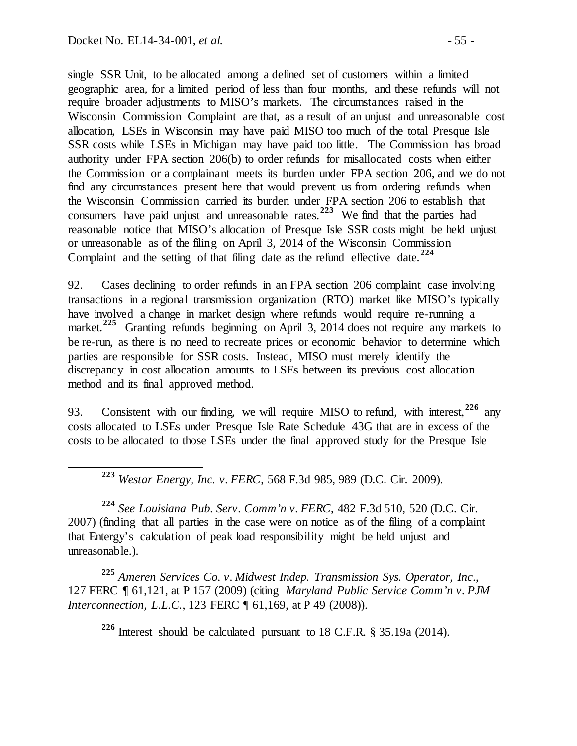single SSR Unit, to be allocated among a defined set of customers within a limited geographic area, for a limited period of less than four months, and these refunds will not require broader adjustments to MISO's markets. The circumstances raised in the Wisconsin Commission Complaint are that, as a result of an unjust and unreasonable cost allocation, LSEs in Wisconsin may have paid MISO too much of the total Presque Isle SSR costs while LSEs in Michigan may have paid too little. The Commission has broad authority under FPA section 206(b) to order refunds for misallocated costs when either the Commission or a complainant meets its burden under FPA section 206, and we do not find any circumstances present here that would prevent us from ordering refunds when the Wisconsin Commission carried its burden under FPA section 206 to establish that consumers have paid unjust and unreasonable rates.**[223](#page-54-0)** We find that the parties had reasonable notice that MISO's allocation of Presque Isle SSR costs might be held unjust or unreasonable as of the filing on April 3, 2014 of the Wisconsin Commission Complaint and the setting of that filing date as the refund effective date.**[224](#page-54-1)**

92. Cases declining to order refunds in an FPA section 206 complaint case involving transactions in a regional transmission organization (RTO) market like MISO's typically have involved a change in market design where refunds would require re-running a market.<sup>[225](#page-54-2)</sup> Granting refunds beginning on April 3, 2014 does not require any markets to be re-run, as there is no need to recreate prices or economic behavior to determine which parties are responsible for SSR costs. Instead, MISO must merely identify the discrepancy in cost allocation amounts to LSEs between its previous cost allocation method and its final approved method.

93. Consistent with our finding, we will require MISO to refund, with interest, <sup>[226](#page-54-3)</sup> any costs allocated to LSEs under Presque Isle Rate Schedule 43G that are in excess of the costs to be allocated to those LSEs under the final approved study for the Presque Isle

**<sup>223</sup>** *Westar Energy, Inc. v. FERC*, 568 F.3d 985, 989 (D.C. Cir. 2009).

<span id="page-54-1"></span><span id="page-54-0"></span>**<sup>224</sup>** *See Louisiana Pub. Serv. Comm'n v. FERC*, 482 F.3d 510, 520 (D.C. Cir. 2007) (finding that all parties in the case were on notice as of the filing of a complaint that Entergy's calculation of peak load responsibility might be held unjust and unreasonable.).

<span id="page-54-3"></span><span id="page-54-2"></span>**<sup>225</sup>** *Ameren Services Co. v. Midwest Indep. Transmission Sys. Operator, Inc*., 127 FERC ¶ 61,121, at P 157 (2009) (citing *Maryland Public Service Comm'n v. PJM Interconnection, L.L.C.*, 123 FERC ¶ 61,169, at P 49 (2008)).

**<sup>226</sup>** Interest should be calculated pursuant to 18 C.F.R. § 35.19a (2014).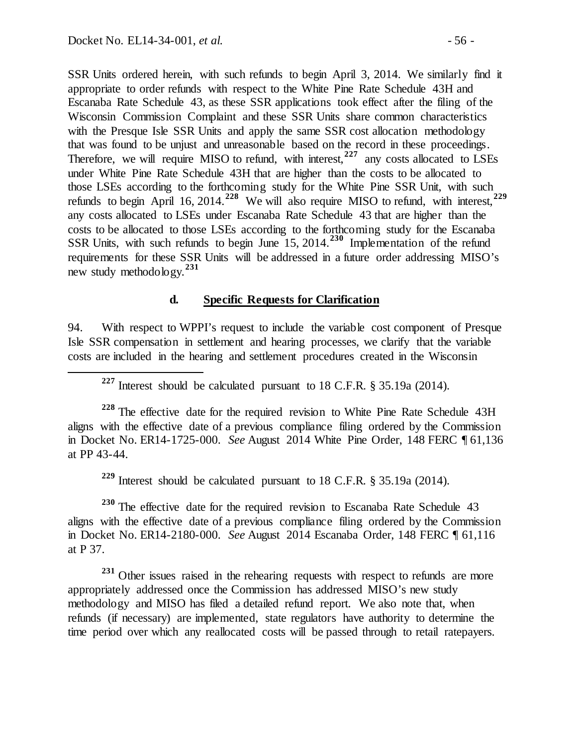SSR Units ordered herein, with such refunds to begin April 3, 2014. We similarly find it appropriate to order refunds with respect to the White Pine Rate Schedule 43H and Escanaba Rate Schedule 43, as these SSR applications took effect after the filing of the Wisconsin Commission Complaint and these SSR Units share common characteristics with the Presque Isle SSR Units and apply the same SSR cost allocation methodology that was found to be unjust and unreasonable based on the record in these proceedings. Therefore, we will require MISO to refund, with interest,<sup>[227](#page-55-0)</sup> any costs allocated to LSEs under White Pine Rate Schedule 43H that are higher than the costs to be allocated to those LSEs according to the forthcoming study for the White Pine SSR Unit, with such refunds to begin April 16, 2014.**[228](#page-55-1)** We will also require MISO to refund, with interest,**[229](#page-55-2)** any costs allocated to LSEs under Escanaba Rate Schedule 43 that are higher than the costs to be allocated to those LSEs according to the forthcoming study for the Escanaba SSR Units, with such refunds to begin June 15, 2014.**[230](#page-55-3)** Implementation of the refund requirements for these SSR Units will be addressed in a future order addressing MISO's new study methodology.**[231](#page-55-4)**

#### **d. Specific Requests for Clarification**

94. With respect to WPPI's request to include the variable cost component of Presque Isle SSR compensation in settlement and hearing processes, we clarify that the variable costs are included in the hearing and settlement procedures created in the Wisconsin

**<sup>227</sup>** Interest should be calculated pursuant to 18 C.F.R. § 35.19a (2014).

<span id="page-55-1"></span><span id="page-55-0"></span>**<sup>228</sup>** The effective date for the required revision to White Pine Rate Schedule 43H aligns with the effective date of a previous compliance filing ordered by the Commission in Docket No. ER14-1725-000. *See* August 2014 White Pine Order, 148 FERC ¶ 61,136 at PP 43-44.

**<sup>229</sup>** Interest should be calculated pursuant to 18 C.F.R. § 35.19a (2014).

<span id="page-55-3"></span><span id="page-55-2"></span><sup>230</sup> The effective date for the required revision to Escanaba Rate Schedule 43 aligns with the effective date of a previous compliance filing ordered by the Commission in Docket No. ER14-2180-000. *See* August 2014 Escanaba Order, 148 FERC ¶ 61,116 at P 37.

<span id="page-55-4"></span>**<sup>231</sup>** Other issues raised in the rehearing requests with respect to refunds are more appropriately addressed once the Commission has addressed MISO's new study methodology and MISO has filed a detailed refund report. We also note that, when refunds (if necessary) are implemented, state regulators have authority to determine the time period over which any reallocated costs will be passed through to retail ratepayers.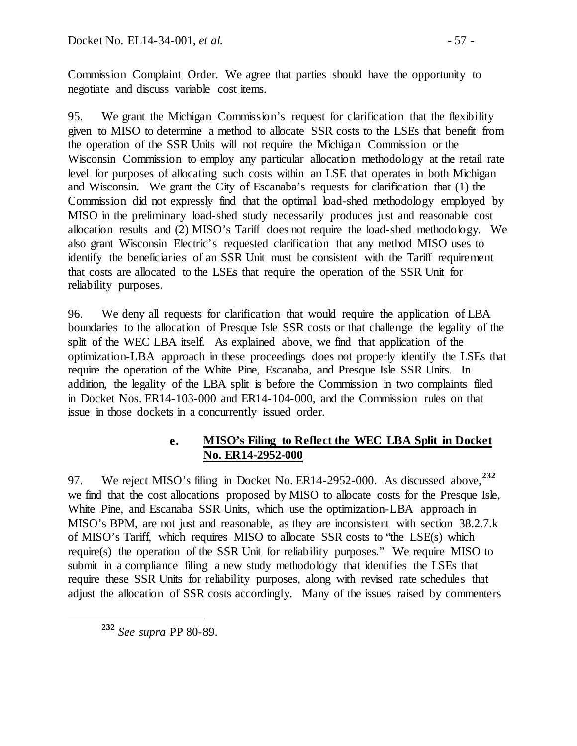Commission Complaint Order. We agree that parties should have the opportunity to negotiate and discuss variable cost items.

95. We grant the Michigan Commission's request for clarification that the flexibility given to MISO to determine a method to allocate SSR costs to the LSEs that benefit from the operation of the SSR Units will not require the Michigan Commission or the Wisconsin Commission to employ any particular allocation methodology at the retail rate level for purposes of allocating such costs within an LSE that operates in both Michigan and Wisconsin. We grant the City of Escanaba's requests for clarification that (1) the Commission did not expressly find that the optimal load-shed methodology employed by MISO in the preliminary load-shed study necessarily produces just and reasonable cost allocation results and (2) MISO's Tariff does not require the load-shed methodology. We also grant Wisconsin Electric's requested clarification that any method MISO uses to identify the beneficiaries of an SSR Unit must be consistent with the Tariff requirement that costs are allocated to the LSEs that require the operation of the SSR Unit for reliability purposes.

96. We deny all requests for clarification that would require the application of LBA boundaries to the allocation of Presque Isle SSR costs or that challenge the legality of the split of the WEC LBA itself. As explained above, we find that application of the optimization-LBA approach in these proceedings does not properly identify the LSEs that require the operation of the White Pine, Escanaba, and Presque Isle SSR Units. In addition, the legality of the LBA split is before the Commission in two complaints filed in Docket Nos. ER14-103-000 and ER14-104-000, and the Commission rules on that issue in those dockets in a concurrently issued order.

## **e. MISO's Filing to Reflect the WEC LBA Split in Docket No. ER14-2952-000**

97. We reject MISO's filing in Docket No. ER14-2952-000. As discussed above,**[232](#page-56-0)** we find that the cost allocations proposed by MISO to allocate costs for the Presque Isle, White Pine, and Escanaba SSR Units, which use the optimization-LBA approach in MISO's BPM, are not just and reasonable, as they are inconsistent with section 38.2.7.k of MISO's Tariff, which requires MISO to allocate SSR costs to "the LSE(s) which require(s) the operation of the SSR Unit for reliability purposes." We require MISO to submit in a compliance filing a new study methodology that identifies the LSEs that require these SSR Units for reliability purposes, along with revised rate schedules that adjust the allocation of SSR costs accordingly. Many of the issues raised by commenters

<span id="page-56-0"></span>**<sup>232</sup>** *See supra* PP 80-89.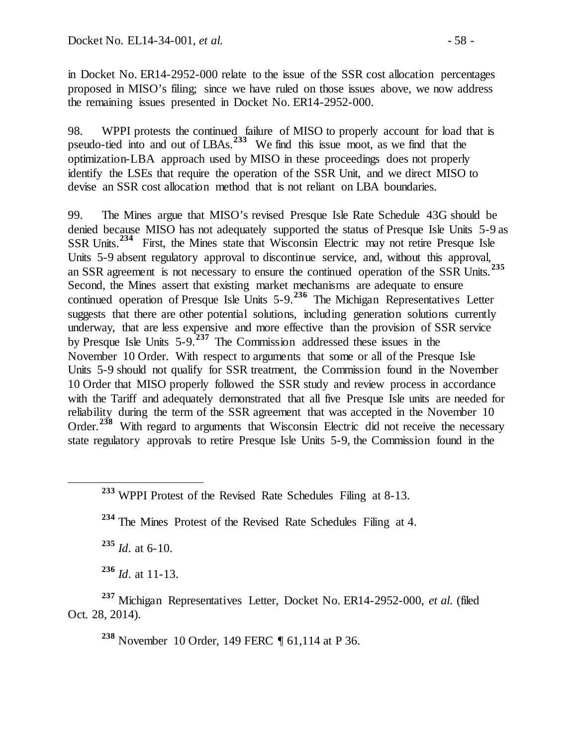in Docket No. ER14-2952-000 relate to the issue of the SSR cost allocation percentages proposed in MISO's filing; since we have ruled on those issues above, we now address the remaining issues presented in Docket No. ER14-2952-000.

98. WPPI protests the continued failure of MISO to properly account for load that is pseudo-tied into and out of LBAs.**[233](#page-57-0)** We find this issue moot, as we find that the optimization-LBA approach used by MISO in these proceedings does not properly identify the LSEs that require the operation of the SSR Unit, and we direct MISO to devise an SSR cost allocation method that is not reliant on LBA boundaries.

99. The Mines argue that MISO's revised Presque Isle Rate Schedule 43G should be denied because MISO has not adequately supported the status of Presque Isle Units 5-9 as SSR Units.**[234](#page-57-1)** First, the Mines state that Wisconsin Electric may not retire Presque Isle Units 5-9 absent regulatory approval to discontinue service, and, without this approval, an SSR agreement is not necessary to ensure the continued operation of the SSR Units. **[235](#page-57-2)** Second, the Mines assert that existing market mechanisms are adequate to ensure continued operation of Presque Isle Units 5-9.**[236](#page-57-3)** The Michigan Representatives Letter suggests that there are other potential solutions, including generation solutions currently underway, that are less expensive and more effective than the provision of SSR service by Presque Isle Units 5-9.**[237](#page-57-4)** The Commission addressed these issues in the November 10 Order. With respect to arguments that some or all of the Presque Isle Units 5-9 should not qualify for SSR treatment, the Commission found in the November 10 Order that MISO properly followed the SSR study and review process in accordance with the Tariff and adequately demonstrated that all five Presque Isle units are needed for reliability during the term of the SSR agreement that was accepted in the November 10 Order.**[238](#page-57-5)** With regard to arguments that Wisconsin Electric did not receive the necessary state regulatory approvals to retire Presque Isle Units 5-9, the Commission found in the

**<sup>235</sup>** *Id*. at 6-10.

**<sup>236</sup>** *Id*. at 11-13.

<span id="page-57-5"></span><span id="page-57-4"></span><span id="page-57-3"></span><span id="page-57-2"></span>**<sup>237</sup>** Michigan Representatives Letter, Docket No. ER14-2952-000, *et al.* (filed Oct. 28, 2014).

**<sup>238</sup>** November 10 Order, 149 FERC ¶ 61,114 at P 36.

<span id="page-57-0"></span>**<sup>233</sup>** WPPI Protest of the Revised Rate Schedules Filing at 8-13.

<span id="page-57-1"></span>**<sup>234</sup>** The Mines Protest of the Revised Rate Schedules Filing at 4.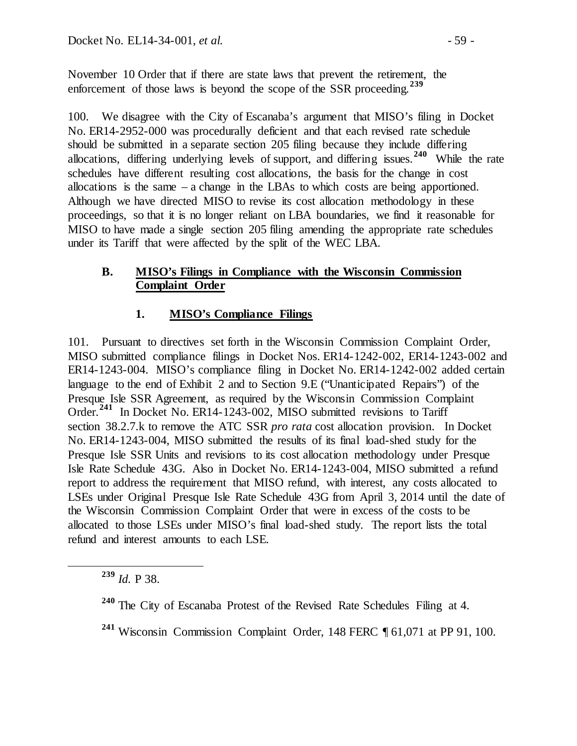November 10 Order that if there are state laws that prevent the retirement, the enforcement of those laws is beyond the scope of the SSR proceeding.<sup>[239](#page-58-0)</sup>

100. We disagree with the City of Escanaba's argument that MISO's filing in Docket No. ER14-2952-000 was procedurally deficient and that each revised rate schedule should be submitted in a separate section 205 filing because they include differing allocations, differing underlying levels of support, and differing issues.**[240](#page-58-1)** While the rate schedules have different resulting cost allocations, the basis for the change in cost allocations is the same – a change in the LBAs to which costs are being apportioned. Although we have directed MISO to revise its cost allocation methodology in these proceedings, so that it is no longer reliant on LBA boundaries, we find it reasonable for MISO to have made a single section 205 filing amending the appropriate rate schedules under its Tariff that were affected by the split of the WEC LBA.

### **B. MISO's Filings in Compliance with the Wisconsin Commission Complaint Order**

# **1. MISO's Compliance Filings**

101. Pursuant to directives set forth in the Wisconsin Commission Complaint Order, MISO submitted compliance filings in Docket Nos. ER14-1242-002, ER14-1243-002 and ER14-1243-004. MISO's compliance filing in Docket No. ER14-1242-002 added certain language to the end of Exhibit 2 and to Section 9.E ("Unanticipated Repairs") of the Presque Isle SSR Agreement, as required by the Wisconsin Commission Complaint Order.**[241](#page-58-2)** In Docket No. ER14-1243-002, MISO submitted revisions to Tariff section 38.2.7.k to remove the ATC SSR *pro rata* cost allocation provision. In Docket No. ER14-1243-004, MISO submitted the results of its final load-shed study for the Presque Isle SSR Units and revisions to its cost allocation methodology under Presque Isle Rate Schedule 43G. Also in Docket No. ER14-1243-004, MISO submitted a refund report to address the requirement that MISO refund, with interest, any costs allocated to LSEs under Original Presque Isle Rate Schedule 43G from April 3, 2014 until the date of the Wisconsin Commission Complaint Order that were in excess of the costs to be allocated to those LSEs under MISO's final load-shed study. The report lists the total refund and interest amounts to each LSE.

<span id="page-58-0"></span>**<sup>239</sup>** *Id.* P 38.

<span id="page-58-1"></span>**<sup>240</sup>** The City of Escanaba Protest of the Revised Rate Schedules Filing at 4.

<span id="page-58-2"></span>**<sup>241</sup>** Wisconsin Commission Complaint Order, 148 FERC ¶ 61,071 at PP 91, 100.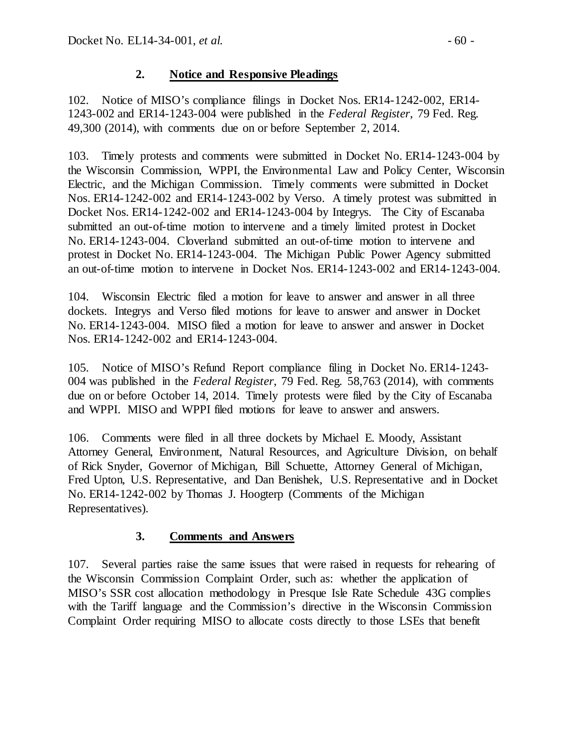## **2. Notice and Responsive Pleadings**

102. Notice of MISO's compliance filings in Docket Nos. ER14-1242-002, ER14- 1243-002 and ER14-1243-004 were published in the *Federal Register*, 79 Fed. Reg. 49,300 (2014), with comments due on or before September 2, 2014.

103. Timely protests and comments were submitted in Docket No. ER14-1243-004 by the Wisconsin Commission, WPPI, the Environmental Law and Policy Center, Wisconsin Electric, and the Michigan Commission. Timely comments were submitted in Docket Nos. ER14-1242-002 and ER14-1243-002 by Verso. A timely protest was submitted in Docket Nos. ER14-1242-002 and ER14-1243-004 by Integrys. The City of Escanaba submitted an out-of-time motion to intervene and a timely limited protest in Docket No. ER14-1243-004. Cloverland submitted an out-of-time motion to intervene and protest in Docket No. ER14-1243-004. The Michigan Public Power Agency submitted an out-of-time motion to intervene in Docket Nos. ER14-1243-002 and ER14-1243-004.

104. Wisconsin Electric filed a motion for leave to answer and answer in all three dockets. Integrys and Verso filed motions for leave to answer and answer in Docket No. ER14-1243-004. MISO filed a motion for leave to answer and answer in Docket Nos. ER14-1242-002 and ER14-1243-004.

105. Notice of MISO's Refund Report compliance filing in Docket No. ER14-1243- 004 was published in the *Federal Register*, 79 Fed. Reg. 58,763 (2014), with comments due on or before October 14, 2014. Timely protests were filed by the City of Escanaba and WPPI. MISO and WPPI filed motions for leave to answer and answers.

106. Comments were filed in all three dockets by Michael E. Moody, Assistant Attorney General, Environment, Natural Resources, and Agriculture Division, on behalf of Rick Snyder, Governor of Michigan, Bill Schuette, Attorney General of Michigan, Fred Upton, U.S. Representative, and Dan Benishek, U.S. Representative and in Docket No. ER14-1242-002 by Thomas J. Hoogterp (Comments of the Michigan Representatives).

# **3. Comments and Answers**

107. Several parties raise the same issues that were raised in requests for rehearing of the Wisconsin Commission Complaint Order, such as: whether the application of MISO's SSR cost allocation methodology in Presque Isle Rate Schedule 43G complies with the Tariff language and the Commission's directive in the Wisconsin Commission Complaint Order requiring MISO to allocate costs directly to those LSEs that benefit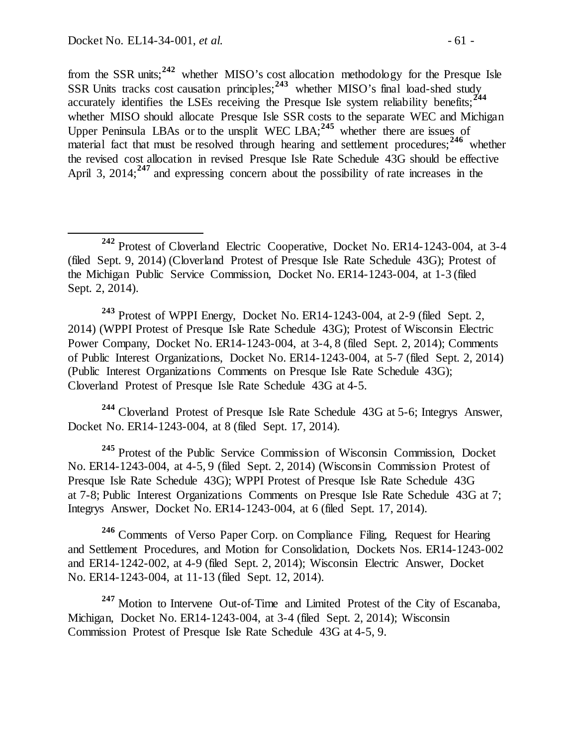from the SSR units;**[242](#page-60-0)** whether MISO's cost allocation methodology for the Presque Isle SSR Units tracks cost causation principles;<sup>[243](#page-60-1)</sup> whether MISO's final load-shed study accurately identifies the LSEs receiving the Presque Isle system reliability benefits;**[244](#page-60-2)** whether MISO should allocate Presque Isle SSR costs to the separate WEC and Michigan Upper Peninsula LBAs or to the unsplit WEC LBA;**[245](#page-60-3)** whether there are issues of material fact that must be resolved through hearing and settlement procedures;<sup>[246](#page-60-4)</sup> whether the revised cost allocation in revised Presque Isle Rate Schedule 43G should be effective April 3, 2014;<sup>[247](#page-60-5)</sup> and expressing concern about the possibility of rate increases in the

<span id="page-60-1"></span>**<sup>243</sup>** Protest of WPPI Energy, Docket No. ER14-1243-004, at 2-9 (filed Sept. 2, 2014) (WPPI Protest of Presque Isle Rate Schedule 43G); Protest of Wisconsin Electric Power Company, Docket No. ER14-1243-004, at 3-4, 8 (filed Sept. 2, 2014); Comments of Public Interest Organizations, Docket No. ER14-1243-004, at 5-7 (filed Sept. 2, 2014) (Public Interest Organizations Comments on Presque Isle Rate Schedule 43G); Cloverland Protest of Presque Isle Rate Schedule 43G at 4-5.

<span id="page-60-2"></span>**<sup>244</sup>** Cloverland Protest of Presque Isle Rate Schedule 43G at 5-6; Integrys Answer, Docket No. ER14-1243-004, at 8 (filed Sept. 17, 2014).

<span id="page-60-3"></span>**<sup>245</sup>** Protest of the Public Service Commission of Wisconsin Commission, Docket No. ER14-1243-004, at 4-5, 9 (filed Sept. 2, 2014) (Wisconsin Commission Protest of Presque Isle Rate Schedule 43G); WPPI Protest of Presque Isle Rate Schedule 43G at 7-8; Public Interest Organizations Comments on Presque Isle Rate Schedule 43G at 7; Integrys Answer, Docket No. ER14-1243-004, at 6 (filed Sept. 17, 2014).

<span id="page-60-4"></span>**<sup>246</sup>** Comments of Verso Paper Corp. on Compliance Filing, Request for Hearing and Settlement Procedures, and Motion for Consolidation, Dockets Nos. ER14-1243-002 and ER14-1242-002, at 4-9 (filed Sept. 2, 2014); Wisconsin Electric Answer, Docket No. ER14-1243-004, at 11-13 (filed Sept. 12, 2014).

<span id="page-60-5"></span>**<sup>247</sup>** Motion to Intervene Out-of-Time and Limited Protest of the City of Escanaba, Michigan, Docket No. ER14-1243-004, at 3-4 (filed Sept. 2, 2014); Wisconsin Commission Protest of Presque Isle Rate Schedule 43G at 4-5, 9.

<span id="page-60-0"></span>**<sup>242</sup>** Protest of Cloverland Electric Cooperative, Docket No. ER14-1243-004, at 3-4 (filed Sept. 9, 2014) (Cloverland Protest of Presque Isle Rate Schedule 43G); Protest of the Michigan Public Service Commission, Docket No. ER14-1243-004, at 1-3 (filed Sept. 2, 2014).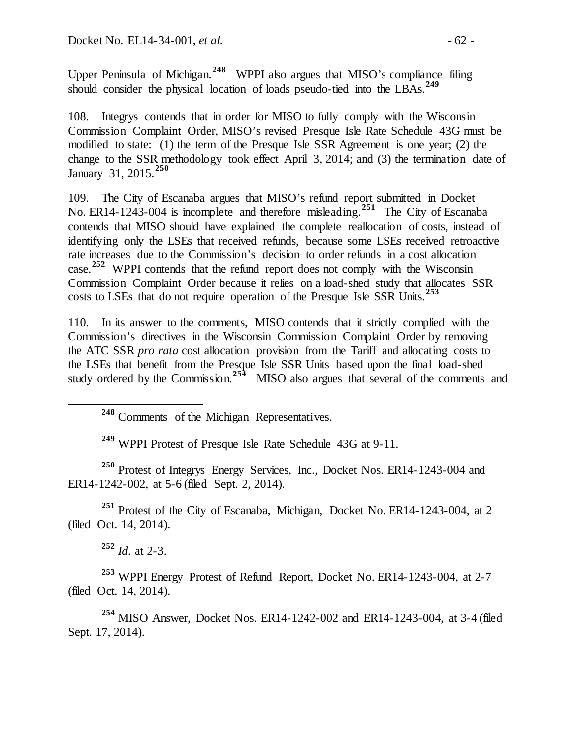Upper Peninsula of Michigan.**[248](#page-61-0)** WPPI also argues that MISO's compliance filing should consider the physical location of loads pseudo-tied into the LBAs.**[249](#page-61-1)**

108. Integrys contends that in order for MISO to fully comply with the Wisconsin Commission Complaint Order, MISO's revised Presque Isle Rate Schedule 43G must be modified to state: (1) the term of the Presque Isle SSR Agreement is one year; (2) the change to the SSR methodology took effect April 3, 2014; and (3) the termination date of January 31, 2015. **[250](#page-61-2)**

109. The City of Escanaba argues that MISO's refund report submitted in Docket No. ER14-1243-004 is incomplete and therefore misleading.**[251](#page-61-3)** The City of Escanaba contends that MISO should have explained the complete reallocation of costs, instead of identifying only the LSEs that received refunds, because some LSEs received retroactive rate increases due to the Commission's decision to order refunds in a cost allocation case. **[252](#page-61-4)** WPPI contends that the refund report does not comply with the Wisconsin Commission Complaint Order because it relies on a load-shed study that allocates SSR costs to LSEs that do not require operation of the Presque Isle SSR Units. **[253](#page-61-5)**

110. In its answer to the comments, MISO contends that it strictly complied with the Commission's directives in the Wisconsin Commission Complaint Order by removing the ATC SSR *pro rata* cost allocation provision from the Tariff and allocating costs to the LSEs that benefit from the Presque Isle SSR Units based upon the final load-shed study ordered by the Commission.<sup>[254](#page-61-6)</sup> MISO also argues that several of the comments and

**<sup>249</sup>** WPPI Protest of Presque Isle Rate Schedule 43G at 9-11.

<span id="page-61-2"></span><span id="page-61-1"></span><span id="page-61-0"></span>**<sup>250</sup>** Protest of Integrys Energy Services, Inc., Docket Nos. ER14-1243-004 and ER14-1242-002, at 5-6 (filed Sept. 2, 2014).

<span id="page-61-3"></span>**<sup>251</sup>** Protest of the City of Escanaba, Michigan, Docket No. ER14-1243-004, at 2 (filed Oct. 14, 2014).

**<sup>252</sup>** *Id.* at 2-3.

<span id="page-61-5"></span><span id="page-61-4"></span>**<sup>253</sup>** WPPI Energy Protest of Refund Report, Docket No. ER14-1243-004, at 2-7 (filed Oct. 14, 2014).

<span id="page-61-6"></span>**<sup>254</sup>** MISO Answer, Docket Nos. ER14-1242-002 and ER14-1243-004, at 3-4 (filed Sept. 17, 2014).

**<sup>248</sup>** Comments of the Michigan Representatives.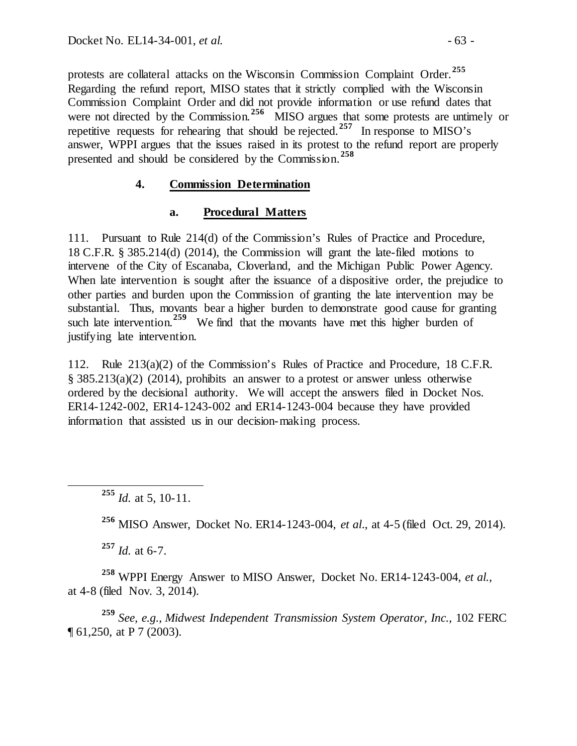protests are collateral attacks on the Wisconsin Commission Complaint Order.**[255](#page-62-0)** Regarding the refund report, MISO states that it strictly complied with the Wisconsin Commission Complaint Order and did not provide information or use refund dates that were not directed by the Commission.<sup>[256](#page-62-1)</sup> MISO argues that some protests are untimely or repetitive requests for rehearing that should be rejected.**[257](#page-62-2)** In response to MISO's answer, WPPI argues that the issues raised in its protest to the refund report are properly presented and should be considered by the Commission.**[258](#page-62-3)**

#### **4. Commission Determination**

#### **a. Procedural Matters**

111. Pursuant to Rule 214(d) of the Commission's Rules of Practice and Procedure, 18 C.F.R. § 385.214(d) (2014), the Commission will grant the late-filed motions to intervene of the City of Escanaba, Cloverland, and the Michigan Public Power Agency. When late intervention is sought after the issuance of a dispositive order, the prejudice to other parties and burden upon the Commission of granting the late intervention may be substantial. Thus, movants bear a higher burden to demonstrate good cause for granting such late intervention.<sup>[259](#page-62-4)</sup> We find that the movants have met this higher burden of justifying late intervention.

112. Rule 213(a)(2) of the Commission's Rules of Practice and Procedure, 18 C.F.R. § 385.213(a)(2) (2014), prohibits an answer to a protest or answer unless otherwise ordered by the decisional authority. We will accept the answers filed in Docket Nos. ER14-1242-002, ER14-1243-002 and ER14-1243-004 because they have provided information that assisted us in our decision-making process.

**<sup>256</sup>** MISO Answer, Docket No. ER14-1243-004, *et al*., at 4-5 (filed Oct. 29, 2014).

**<sup>257</sup>** *Id.* at 6-7.

<span id="page-62-3"></span><span id="page-62-2"></span><span id="page-62-1"></span>**<sup>258</sup>** WPPI Energy Answer to MISO Answer, Docket No. ER14-1243-004, *et al.*, at 4-8 (filed Nov. 3, 2014).

<span id="page-62-4"></span>**<sup>259</sup>** *See, e.g., Midwest Independent Transmission System Operator, Inc.*, 102 FERC ¶ 61,250, at P 7 (2003).

<span id="page-62-0"></span>**<sup>255</sup>** *Id.* at 5, 10-11.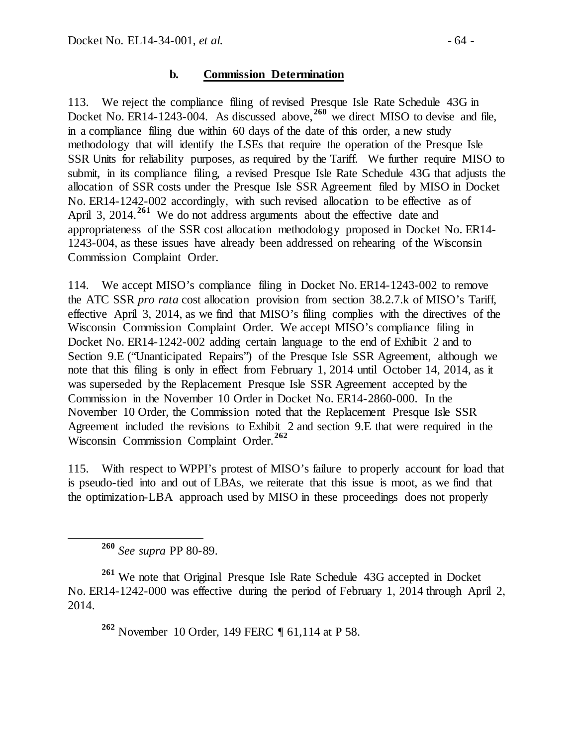#### **b. Commission Determination**

113. We reject the compliance filing of revised Presque Isle Rate Schedule 43G in Docket No. ER14-1243-004. As discussed above,<sup>[260](#page-63-0)</sup> we direct MISO to devise and file, in a compliance filing due within 60 days of the date of this order, a new study methodology that will identify the LSEs that require the operation of the Presque Isle SSR Units for reliability purposes, as required by the Tariff. We further require MISO to submit, in its compliance filing, a revised Presque Isle Rate Schedule 43G that adjusts the allocation of SSR costs under the Presque Isle SSR Agreement filed by MISO in Docket No. ER14-1242-002 accordingly, with such revised allocation to be effective as of April 3, 2014.<sup>[261](#page-63-1)</sup> We do not address arguments about the effective date and appropriateness of the SSR cost allocation methodology proposed in Docket No. ER14- 1243-004, as these issues have already been addressed on rehearing of the Wisconsin Commission Complaint Order.

114. We accept MISO's compliance filing in Docket No. ER14-1243-002 to remove the ATC SSR *pro rata* cost allocation provision from section 38.2.7.k of MISO's Tariff, effective April 3, 2014, as we find that MISO's filing complies with the directives of the Wisconsin Commission Complaint Order. We accept MISO's compliance filing in Docket No. ER14-1242-002 adding certain language to the end of Exhibit 2 and to Section 9.E ("Unanticipated Repairs") of the Presque Isle SSR Agreement, although we note that this filing is only in effect from February 1, 2014 until October 14, 2014, as it was superseded by the Replacement Presque Isle SSR Agreement accepted by the Commission in the November 10 Order in Docket No. ER14-2860-000. In the November 10 Order, the Commission noted that the Replacement Presque Isle SSR Agreement included the revisions to Exhibit 2 and section 9.E that were required in the Wisconsin Commission Complaint Order.**[262](#page-63-2)**

115. With respect to WPPI's protest of MISO's failure to properly account for load that is pseudo-tied into and out of LBAs, we reiterate that this issue is moot, as we find that the optimization-LBA approach used by MISO in these proceedings does not properly

**<sup>260</sup>** *See supra* PP 80-89.

<span id="page-63-2"></span><span id="page-63-1"></span><span id="page-63-0"></span>**<sup>261</sup>** We note that Original Presque Isle Rate Schedule 43G accepted in Docket No. ER14-1242-000 was effective during the period of February 1, 2014 through April 2, 2014.

**<sup>262</sup>** November 10 Order, 149 FERC ¶ 61,114 at P 58.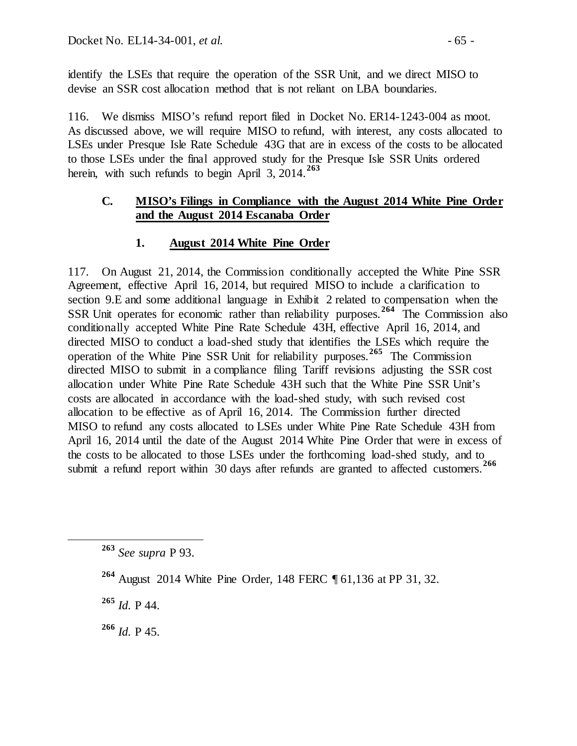identify the LSEs that require the operation of the SSR Unit, and we direct MISO to devise an SSR cost allocation method that is not reliant on LBA boundaries.

116. We dismiss MISO's refund report filed in Docket No. ER14-1243-004 as moot. As discussed above, we will require MISO to refund, with interest, any costs allocated to LSEs under Presque Isle Rate Schedule 43G that are in excess of the costs to be allocated to those LSEs under the final approved study for the Presque Isle SSR Units ordered herein, with such refunds to begin April 3, 2014.**[263](#page-64-0)**

### **C. MISO's Filings in Compliance with the August 2014 White Pine Order and the August 2014 Escanaba Order**

## **1. August 2014 White Pine Order**

117. On August 21, 2014, the Commission conditionally accepted the White Pine SSR Agreement, effective April 16, 2014, but required MISO to include a clarification to section 9.E and some additional language in Exhibit 2 related to compensation when the SSR Unit operates for economic rather than reliability purposes.**[264](#page-64-1)** The Commission also conditionally accepted White Pine Rate Schedule 43H, effective April 16, 2014, and directed MISO to conduct a load-shed study that identifies the LSEs which require the operation of the White Pine SSR Unit for reliability purposes.**[265](#page-64-2)** The Commission directed MISO to submit in a compliance filing Tariff revisions adjusting the SSR cost allocation under White Pine Rate Schedule 43H such that the White Pine SSR Unit's costs are allocated in accordance with the load-shed study, with such revised cost allocation to be effective as of April 16, 2014. The Commission further directed MISO to refund any costs allocated to LSEs under White Pine Rate Schedule 43H from April 16, 2014 until the date of the August 2014 White Pine Order that were in excess of the costs to be allocated to those LSEs under the forthcoming load-shed study, and to submit a refund report within 20 days after refunds are small distributed in  $\frac{266}{}$ submit a refund report within 30 days after refunds are granted to affected customers.<sup>2</sup>

<span id="page-64-2"></span>**<sup>265</sup>** *Id.* P 44.

<span id="page-64-3"></span>**<sup>266</sup>** *Id.* P 45.

<span id="page-64-0"></span>**<sup>263</sup>** *See supra* P 93.

<span id="page-64-1"></span>**<sup>264</sup>** August 2014 White Pine Order, 148 FERC ¶ 61,136 at PP 31, 32.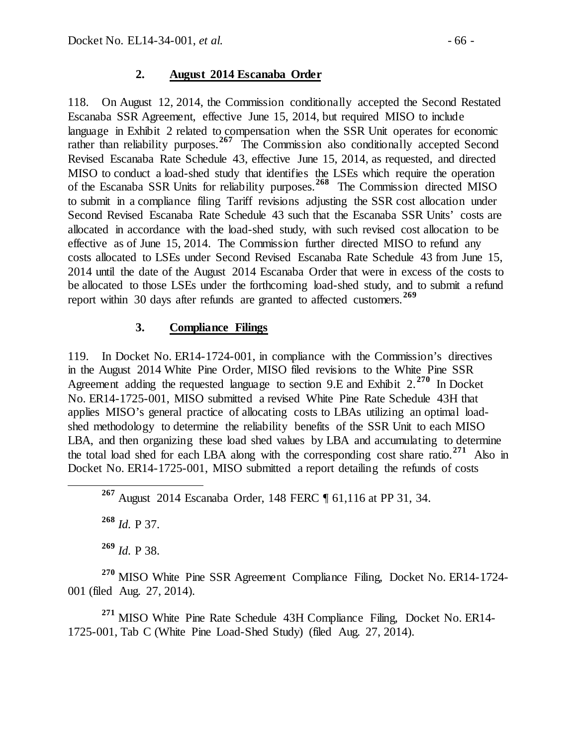### **2. August 2014 Escanaba Order**

118. On August 12, 2014, the Commission conditionally accepted the Second Restated Escanaba SSR Agreement, effective June 15, 2014, but required MISO to include language in Exhibit 2 related to compensation when the SSR Unit operates for economic rather than reliability purposes.<sup>[267](#page-65-0)</sup> The Commission also conditionally accepted Second Revised Escanaba Rate Schedule 43, effective June 15, 2014, as requested, and directed MISO to conduct a load-shed study that identifies the LSEs which require the operation of the Escanaba SSR Units for reliability purposes.**[268](#page-65-1)** The Commission directed MISO to submit in a compliance filing Tariff revisions adjusting the SSR cost allocation under Second Revised Escanaba Rate Schedule 43 such that the Escanaba SSR Units' costs are allocated in accordance with the load-shed study, with such revised cost allocation to be effective as of June 15, 2014. The Commission further directed MISO to refund any costs allocated to LSEs under Second Revised Escanaba Rate Schedule 43 from June 15, 2014 until the date of the August 2014 Escanaba Order that were in excess of the costs to be allocated to those LSEs under the forthcoming load-shed study, and to submit a refund report within 30 days after refunds are granted to affected customers.**[269](#page-65-2)**

### **3. Compliance Filings**

119. In Docket No. ER14-1724-001, in compliance with the Commission's directives in the August 2014 White Pine Order, MISO filed revisions to the White Pine SSR Agreement adding the requested language to section 9.E and Exhibit 2.**[270](#page-65-3)** In Docket No. ER14-1725-001, MISO submitted a revised White Pine Rate Schedule 43H that applies MISO's general practice of allocating costs to LBAs utilizing an optimal loadshed methodology to determine the reliability benefits of the SSR Unit to each MISO LBA, and then organizing these load shed values by LBA and accumulating to determine the total load shed for each LBA along with the corresponding cost share ratio. **[271](#page-65-4)** Also in Docket No. ER14-1725-001, MISO submitted a report detailing the refunds of costs

<span id="page-65-0"></span>**<sup>267</sup>** August 2014 Escanaba Order, 148 FERC ¶ 61,116 at PP 31, 34.

**<sup>268</sup>** *Id.* P 37.

**<sup>269</sup>** *Id.* P 38.

<span id="page-65-3"></span><span id="page-65-2"></span><span id="page-65-1"></span>**<sup>270</sup>** MISO White Pine SSR Agreement Compliance Filing, Docket No. ER14-1724- 001 (filed Aug. 27, 2014).

<span id="page-65-4"></span>**<sup>271</sup>** MISO White Pine Rate Schedule 43H Compliance Filing, Docket No. ER14- 1725-001, Tab C (White Pine Load-Shed Study) (filed Aug. 27, 2014).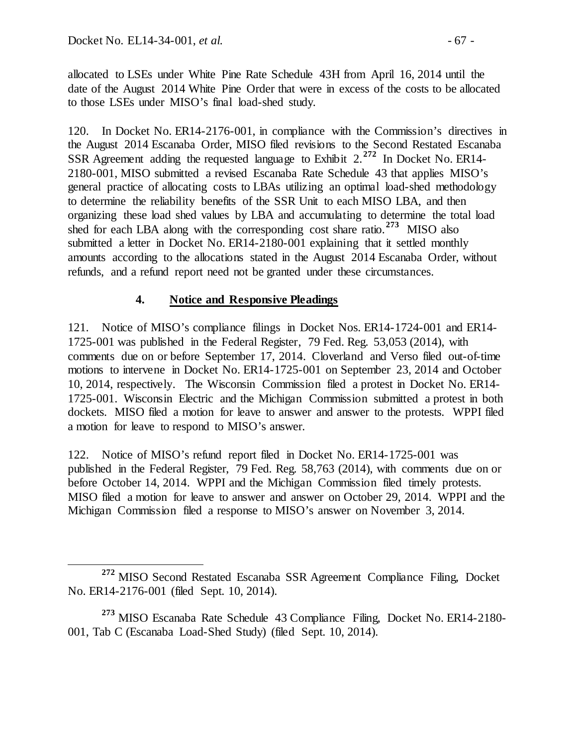allocated to LSEs under White Pine Rate Schedule 43H from April 16, 2014 until the date of the August 2014 White Pine Order that were in excess of the costs to be allocated to those LSEs under MISO's final load-shed study.

120. In Docket No. ER14-2176-001, in compliance with the Commission's directives in the August 2014 Escanaba Order, MISO filed revisions to the Second Restated Escanaba SSR Agreement adding the requested language to Exhibit 2.**[272](#page-66-0)** In Docket No. ER14- 2180-001, MISO submitted a revised Escanaba Rate Schedule 43 that applies MISO's general practice of allocating costs to LBAs utilizing an optimal load-shed methodology to determine the reliability benefits of the SSR Unit to each MISO LBA, and then organizing these load shed values by LBA and accumulating to determine the total load shed for each LBA along with the corresponding cost share ratio.**[273](#page-66-1)** MISO also submitted a letter in Docket No. ER14-2180-001 explaining that it settled monthly amounts according to the allocations stated in the August 2014 Escanaba Order, without refunds, and a refund report need not be granted under these circumstances.

### **4. Notice and Responsive Pleadings**

121. Notice of MISO's compliance filings in Docket Nos. ER14-1724-001 and ER14- 1725-001 was published in the Federal Register, 79 Fed. Reg. 53,053 (2014), with comments due on or before September 17, 2014. Cloverland and Verso filed out-of-time motions to intervene in Docket No. ER14-1725-001 on September 23, 2014 and October 10, 2014, respectively. The Wisconsin Commission filed a protest in Docket No. ER14- 1725-001. Wisconsin Electric and the Michigan Commission submitted a protest in both dockets. MISO filed a motion for leave to answer and answer to the protests. WPPI filed a motion for leave to respond to MISO's answer.

122. Notice of MISO's refund report filed in Docket No. ER14-1725-001 was published in the Federal Register, 79 Fed. Reg. 58,763 (2014), with comments due on or before October 14, 2014. WPPI and the Michigan Commission filed timely protests. MISO filed a motion for leave to answer and answer on October 29, 2014. WPPI and the Michigan Commission filed a response to MISO's answer on November 3, 2014.

<span id="page-66-0"></span>**<sup>272</sup>** MISO Second Restated Escanaba SSR Agreement Compliance Filing, Docket No. ER14-2176-001 (filed Sept. 10, 2014).

<span id="page-66-1"></span>**<sup>273</sup>** MISO Escanaba Rate Schedule 43 Compliance Filing, Docket No. ER14-2180- 001, Tab C (Escanaba Load-Shed Study) (filed Sept. 10, 2014).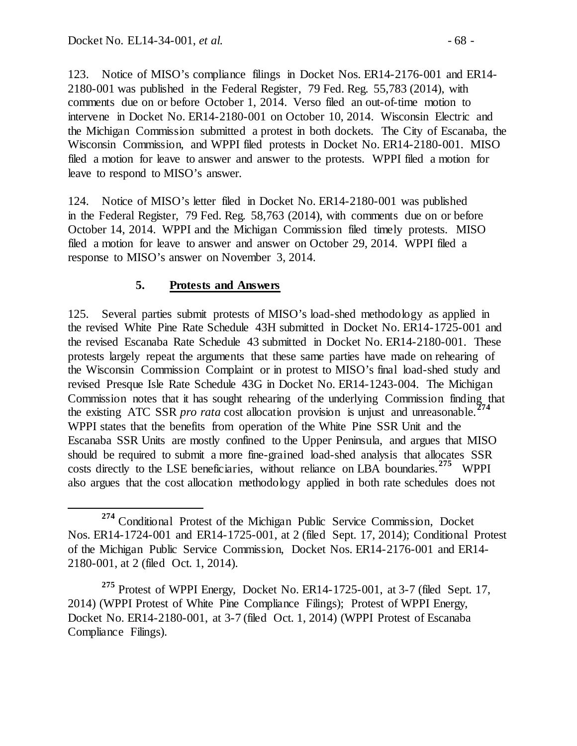123. Notice of MISO's compliance filings in Docket Nos. ER14-2176-001 and ER14- 2180-001 was published in the Federal Register, 79 Fed. Reg. 55,783 (2014), with comments due on or before October 1, 2014. Verso filed an out-of-time motion to intervene in Docket No. ER14-2180-001 on October 10, 2014. Wisconsin Electric and the Michigan Commission submitted a protest in both dockets. The City of Escanaba, the Wisconsin Commission, and WPPI filed protests in Docket No. ER14-2180-001. MISO filed a motion for leave to answer and answer to the protests. WPPI filed a motion for leave to respond to MISO's answer.

124. Notice of MISO's letter filed in Docket No. ER14-2180-001 was published in the Federal Register, 79 Fed. Reg. 58,763 (2014), with comments due on or before October 14, 2014. WPPI and the Michigan Commission filed timely protests. MISO filed a motion for leave to answer and answer on October 29, 2014. WPPI filed a response to MISO's answer on November 3, 2014.

## **5. Protests and Answers**

125. Several parties submit protests of MISO's load-shed methodology as applied in the revised White Pine Rate Schedule 43H submitted in Docket No. ER14-1725-001 and the revised Escanaba Rate Schedule 43 submitted in Docket No. ER14-2180-001. These protests largely repeat the arguments that these same parties have made on rehearing of the Wisconsin Commission Complaint or in protest to MISO's final load-shed study and revised Presque Isle Rate Schedule 43G in Docket No. ER14-1243-004. The Michigan Commission notes that it has sought rehearing of the underlying Commission finding that the existing ATC SSR *pro rata* cost allocation provision is unjust and unreasonable.<sup>2</sup> WPPI states that the benefits from operation of the White Pine SSR Unit and the Escanaba SSR Units are mostly confined to the Upper Peninsula, and argues that MISO should be required to submit a more fine-grained load-shed analysis that allocates SSR costs directly to the LSE beneficiaries, without reliance on LBA boundaries.<sup>[275](#page-67-1)</sup> WPPI also argues that the cost allocation methodology applied in both rate schedules does not

<span id="page-67-0"></span>**<sup>274</sup>** Conditional Protest of the Michigan Public Service Commission, Docket Nos. ER14-1724-001 and ER14-1725-001, at 2 (filed Sept. 17, 2014); Conditional Protest of the Michigan Public Service Commission, Docket Nos. ER14-2176-001 and ER14- 2180-001, at 2 (filed Oct. 1, 2014).

<span id="page-67-1"></span>**<sup>275</sup>** Protest of WPPI Energy, Docket No. ER14-1725-001, at 3-7 (filed Sept. 17, 2014) (WPPI Protest of White Pine Compliance Filings); Protest of WPPI Energy, Docket No. ER14-2180-001, at 3-7 (filed Oct. 1, 2014) (WPPI Protest of Escanaba Compliance Filings).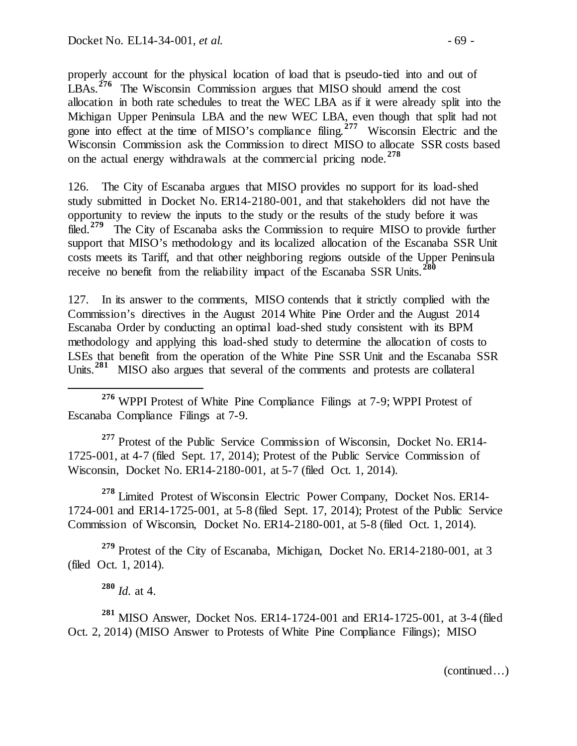properly account for the physical location of load that is pseudo-tied into and out of LBAs.<sup>[276](#page-68-0)</sup> The Wisconsin Commission argues that MISO should amend the cost allocation in both rate schedules to treat the WEC LBA as if it were already split into the Michigan Upper Peninsula LBA and the new WEC LBA, even though that split had not gone into effect at the time of MISO's compliance filing.**[277](#page-68-1)** Wisconsin Electric and the Wisconsin Commission ask the Commission to direct MISO to allocate SSR costs based on the actual energy withdrawals at the commercial pricing node.**[278](#page-68-2)**

126. The City of Escanaba argues that MISO provides no support for its load-shed study submitted in Docket No. ER14-2180-001, and that stakeholders did not have the opportunity to review the inputs to the study or the results of the study before it was filed.**[279](#page-68-3)** The City of Escanaba asks the Commission to require MISO to provide further support that MISO's methodology and its localized allocation of the Escanaba SSR Unit costs meets its Tariff, and that other neighboring regions outside of the Upper Peninsula receive no benefit from the reliability impact of the Escanaba SSR Units. **[280](#page-68-4)**

127. In its answer to the comments, MISO contends that it strictly complied with the Commission's directives in the August 2014 White Pine Order and the August 2014 Escanaba Order by conducting an optimal load-shed study consistent with its BPM methodology and applying this load-shed study to determine the allocation of costs to LSEs that benefit from the operation of the White Pine SSR Unit and the Escanaba SSR Units.<sup>[281](#page-68-5)</sup> MISO also argues that several of the comments and protests are collateral

<span id="page-68-0"></span> **<sup>276</sup>** WPPI Protest of White Pine Compliance Filings at 7-9; WPPI Protest of Escanaba Compliance Filings at 7-9.

<span id="page-68-1"></span>**<sup>277</sup>** Protest of the Public Service Commission of Wisconsin, Docket No. ER14- 1725-001, at 4-7 (filed Sept. 17, 2014); Protest of the Public Service Commission of Wisconsin, Docket No. ER14-2180-001, at 5-7 (filed Oct. 1, 2014).

<span id="page-68-2"></span>**<sup>278</sup>** Limited Protest of Wisconsin Electric Power Company, Docket Nos. ER14- 1724-001 and ER14-1725-001, at 5-8 (filed Sept. 17, 2014); Protest of the Public Service Commission of Wisconsin, Docket No. ER14-2180-001, at 5-8 (filed Oct. 1, 2014).

<span id="page-68-3"></span>**<sup>279</sup>** Protest of the City of Escanaba, Michigan, Docket No. ER14-2180-001, at 3 (filed Oct. 1, 2014).

**<sup>280</sup>** *Id.* at 4.

<span id="page-68-5"></span><span id="page-68-4"></span>**<sup>281</sup>** MISO Answer, Docket Nos. ER14-1724-001 and ER14-1725-001, at 3-4 (filed Oct. 2, 2014) (MISO Answer to Protests of White Pine Compliance Filings); MISO

(continued…)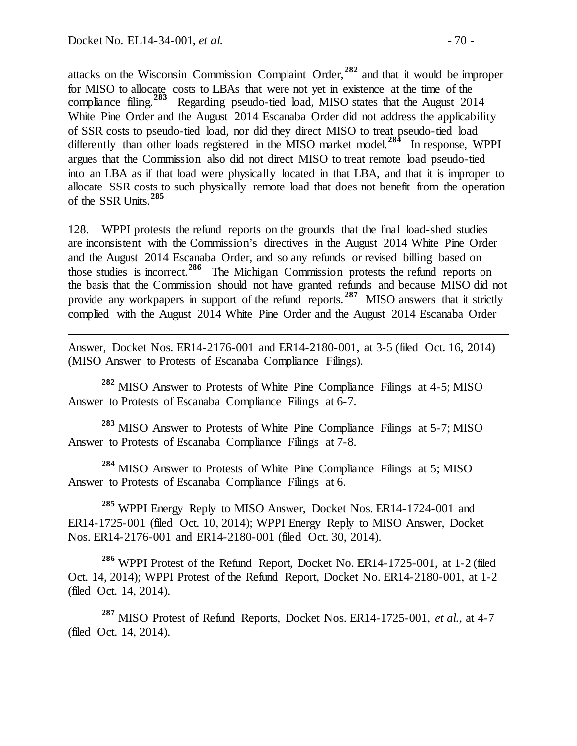l

attacks on the Wisconsin Commission Complaint Order,**[282](#page-69-0)** and that it would be improper for MISO to allocate costs to LBAs that were not yet in existence at the time of the compliance filing.**[283](#page-69-1)** Regarding pseudo-tied load, MISO states that the August 2014 White Pine Order and the August 2014 Escanaba Order did not address the applicability of SSR costs to pseudo-tied load, nor did they direct MISO to treat pseudo-tied load differently than other loads registered in the MISO market model.<sup>[284](#page-69-2)</sup> In response, WPPI argues that the Commission also did not direct MISO to treat remote load pseudo-tied into an LBA as if that load were physically located in that LBA, and that it is improper to allocate SSR costs to such physically remote load that does not benefit from the operation of the SSR Units.**[285](#page-69-3)**

128. WPPI protests the refund reports on the grounds that the final load-shed studies are inconsistent with the Commission's directives in the August 2014 White Pine Order and the August 2014 Escanaba Order, and so any refunds or revised billing based on those studies is incorrect.**[286](#page-69-4)** The Michigan Commission protests the refund reports on the basis that the Commission should not have granted refunds and because MISO did not provide any workpapers in support of the refund reports.**[287](#page-69-5)** MISO answers that it strictly complied with the August 2014 White Pine Order and the August 2014 Escanaba Order

Answer, Docket Nos. ER14-2176-001 and ER14-2180-001, at 3-5 (filed Oct. 16, 2014) (MISO Answer to Protests of Escanaba Compliance Filings).

<span id="page-69-0"></span>**<sup>282</sup>** MISO Answer to Protests of White Pine Compliance Filings at 4-5; MISO Answer to Protests of Escanaba Compliance Filings at 6-7.

<span id="page-69-1"></span>**<sup>283</sup>** MISO Answer to Protests of White Pine Compliance Filings at 5-7; MISO Answer to Protests of Escanaba Compliance Filings at 7-8.

<span id="page-69-2"></span><sup>284</sup> MISO Answer to Protests of White Pine Compliance Filings at 5; MISO Answer to Protests of Escanaba Compliance Filings at 6.

<span id="page-69-3"></span>**<sup>285</sup>** WPPI Energy Reply to MISO Answer, Docket Nos. ER14-1724-001 and ER14-1725-001 (filed Oct. 10, 2014); WPPI Energy Reply to MISO Answer, Docket Nos. ER14-2176-001 and ER14-2180-001 (filed Oct. 30, 2014).

<span id="page-69-4"></span>**<sup>286</sup>** WPPI Protest of the Refund Report, Docket No. ER14-1725-001, at 1-2 (filed Oct. 14, 2014); WPPI Protest of the Refund Report, Docket No. ER14-2180-001, at 1-2 (filed Oct. 14, 2014).

<span id="page-69-5"></span>**<sup>287</sup>** MISO Protest of Refund Reports, Docket Nos. ER14-1725-001, *et al.*, at 4-7 (filed Oct. 14, 2014).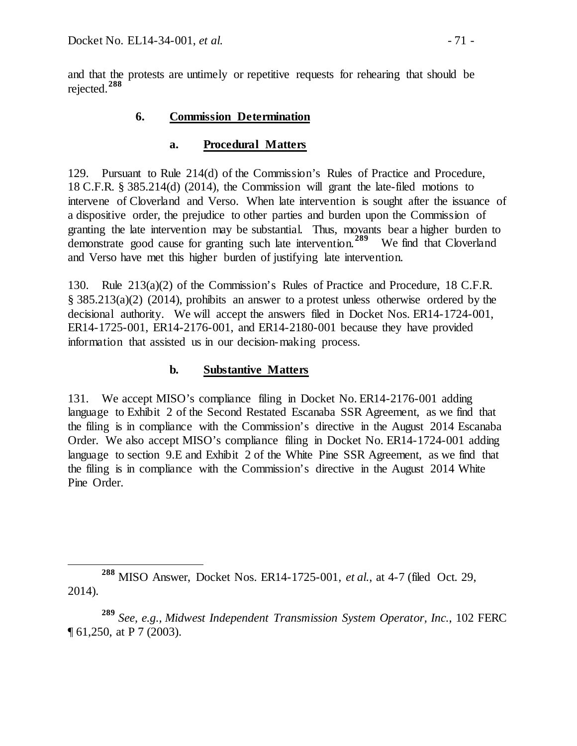and that the protests are untimely or repetitive requests for rehearing that should be rejected. **[288](#page-70-0)**

### **6. Commission Determination**

### **a. Procedural Matters**

129. Pursuant to Rule 214(d) of the Commission's Rules of Practice and Procedure, 18 C.F.R. § 385.214(d) (2014), the Commission will grant the late-filed motions to intervene of Cloverland and Verso. When late intervention is sought after the issuance of a dispositive order, the prejudice to other parties and burden upon the Commission of granting the late intervention may be substantial. Thus, movants bear a higher burden to demonstrate good cause for granting such late intervention.**[289](#page-70-1)** We find that Cloverland and Verso have met this higher burden of justifying late intervention.

130. Rule 213(a)(2) of the Commission's Rules of Practice and Procedure, 18 C.F.R. § 385.213(a)(2) (2014), prohibits an answer to a protest unless otherwise ordered by the decisional authority. We will accept the answers filed in Docket Nos. ER14-1724-001, ER14-1725-001, ER14-2176-001, and ER14-2180-001 because they have provided information that assisted us in our decision-making process.

## **b. Substantive Matters**

131. We accept MISO's compliance filing in Docket No. ER14-2176-001 adding language to Exhibit 2 of the Second Restated Escanaba SSR Agreement, as we find that the filing is in compliance with the Commission's directive in the August 2014 Escanaba Order. We also accept MISO's compliance filing in Docket No. ER14-1724-001 adding language to section 9.E and Exhibit 2 of the White Pine SSR Agreement, as we find that the filing is in compliance with the Commission's directive in the August 2014 White Pine Order.

<span id="page-70-0"></span>**<sup>288</sup>** MISO Answer, Docket Nos. ER14-1725-001, *et al.*, at 4-7 (filed Oct. 29, 2014).

<span id="page-70-1"></span>**<sup>289</sup>** *See, e.g., Midwest Independent Transmission System Operator, Inc.*, 102 FERC ¶ 61,250, at P 7 (2003).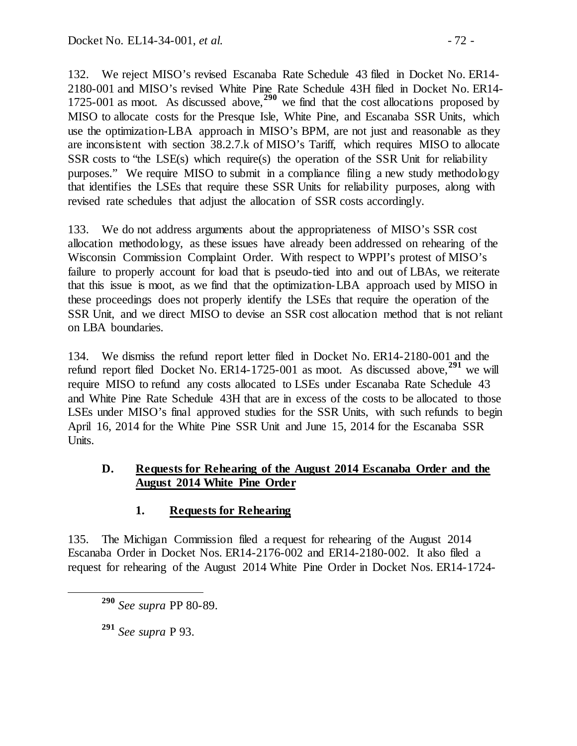132. We reject MISO's revised Escanaba Rate Schedule 43 filed in Docket No. ER14- 2180-001 and MISO's revised White Pine Rate Schedule 43H filed in Docket No. ER14- 1725-001 as moot. As discussed above,**[290](#page-71-0)** we find that the cost allocations proposed by MISO to allocate costs for the Presque Isle, White Pine, and Escanaba SSR Units, which use the optimization-LBA approach in MISO's BPM, are not just and reasonable as they are inconsistent with section 38.2.7.k of MISO's Tariff, which requires MISO to allocate SSR costs to "the LSE(s) which require(s) the operation of the SSR Unit for reliability purposes." We require MISO to submit in a compliance filing a new study methodology that identifies the LSEs that require these SSR Units for reliability purposes, along with revised rate schedules that adjust the allocation of SSR costs accordingly.

133. We do not address arguments about the appropriateness of MISO's SSR cost allocation methodology, as these issues have already been addressed on rehearing of the Wisconsin Commission Complaint Order. With respect to WPPI's protest of MISO's failure to properly account for load that is pseudo-tied into and out of LBAs, we reiterate that this issue is moot, as we find that the optimization-LBA approach used by MISO in these proceedings does not properly identify the LSEs that require the operation of the SSR Unit, and we direct MISO to devise an SSR cost allocation method that is not reliant on LBA boundaries.

134. We dismiss the refund report letter filed in Docket No. ER14-2180-001 and the refund report filed Docket No. ER14-1725-001 as moot. As discussed above,**[291](#page-71-1)** we will require MISO to refund any costs allocated to LSEs under Escanaba Rate Schedule 43 and White Pine Rate Schedule 43H that are in excess of the costs to be allocated to those LSEs under MISO's final approved studies for the SSR Units, with such refunds to begin April 16, 2014 for the White Pine SSR Unit and June 15, 2014 for the Escanaba SSR Units.

#### **D. Requests for Rehearing of the August 2014 Escanaba Order and the August 2014 White Pine Order**

#### **1. Requests for Rehearing**

<span id="page-71-0"></span>135. The Michigan Commission filed a request for rehearing of the August 2014 Escanaba Order in Docket Nos. ER14-2176-002 and ER14-2180-002. It also filed a request for rehearing of the August 2014 White Pine Order in Docket Nos. ER14-1724-

<span id="page-71-1"></span>**<sup>291</sup>** *See supra* P 93.

**<sup>290</sup>** *See supra* PP 80-89.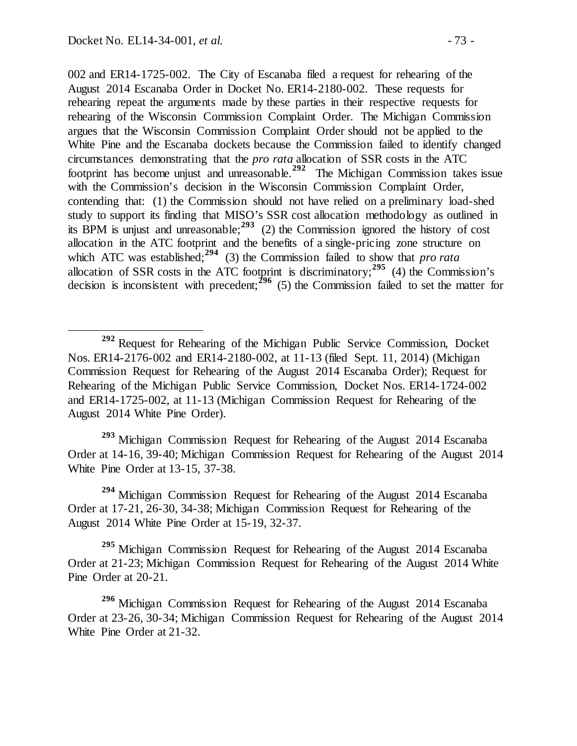002 and ER14-1725-002. The City of Escanaba filed a request for rehearing of the August 2014 Escanaba Order in Docket No. ER14-2180-002. These requests for rehearing repeat the arguments made by these parties in their respective requests for rehearing of the Wisconsin Commission Complaint Order. The Michigan Commission argues that the Wisconsin Commission Complaint Order should not be applied to the White Pine and the Escanaba dockets because the Commission failed to identify changed circumstances demonstrating that the *pro rata* allocation of SSR costs in the ATC footprint has become unjust and unreasonable.**[292](#page-72-0)** The Michigan Commission takes issue with the Commission's decision in the Wisconsin Commission Complaint Order, contending that: (1) the Commission should not have relied on a preliminary load-shed study to support its finding that MISO's SSR cost allocation methodology as outlined in its BPM is unjust and unreasonable;  $293$  (2) the Commission ignored the history of cost allocation in the ATC footprint and the benefits of a single-pricing zone structure on which ATC was established;<sup>[294](#page-72-2)</sup> (3) the Commission failed to show that *pro rata* allocation of SSR costs in the ATC footprint is discriminatory;<sup>[295](#page-72-3)</sup> (4) the Commission's decision is inconsistent with precedent; $\frac{296}{6}$  $\frac{296}{6}$  $\frac{296}{6}$  (5) the Commission failed to set the matter for

<span id="page-72-1"></span>**<sup>293</sup>** Michigan Commission Request for Rehearing of the August 2014 Escanaba Order at 14-16, 39-40; Michigan Commission Request for Rehearing of the August 2014 White Pine Order at 13-15, 37-38.

<span id="page-72-2"></span>**<sup>294</sup>** Michigan Commission Request for Rehearing of the August 2014 Escanaba Order at 17-21, 26-30, 34-38; Michigan Commission Request for Rehearing of the August 2014 White Pine Order at 15-19, 32-37.

<span id="page-72-3"></span>**<sup>295</sup>** Michigan Commission Request for Rehearing of the August 2014 Escanaba Order at 21-23; Michigan Commission Request for Rehearing of the August 2014 White Pine Order at 20-21.

<span id="page-72-4"></span>**<sup>296</sup>** Michigan Commission Request for Rehearing of the August 2014 Escanaba Order at 23-26, 30-34; Michigan Commission Request for Rehearing of the August 2014 White Pine Order at 21-32.

<span id="page-72-0"></span>**<sup>292</sup>** Request for Rehearing of the Michigan Public Service Commission, Docket Nos. ER14-2176-002 and ER14-2180-002, at 11-13 (filed Sept. 11, 2014) (Michigan Commission Request for Rehearing of the August 2014 Escanaba Order); Request for Rehearing of the Michigan Public Service Commission, Docket Nos. ER14-1724-002 and ER14-1725-002, at 11-13 (Michigan Commission Request for Rehearing of the August 2014 White Pine Order).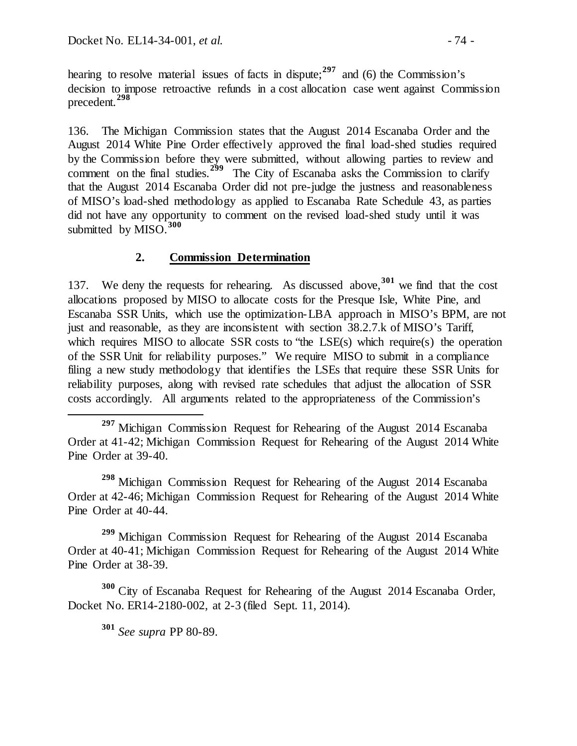hearing to resolve material issues of facts in dispute;**[297](#page-73-0)** and (6) the Commission's decision to impose retroactive refunds in a cost allocation case went against Commission precedent.**[298](#page-73-1)**

136. The Michigan Commission states that the August 2014 Escanaba Order and the August 2014 White Pine Order effectively approved the final load-shed studies required by the Commission before they were submitted, without allowing parties to review and comment on the final studies.<sup>[299](#page-73-2)</sup> The City of Escanaba asks the Commission to clarify that the August 2014 Escanaba Order did not pre-judge the justness and reasonableness of MISO's load-shed methodology as applied to Escanaba Rate Schedule 43, as parties did not have any opportunity to comment on the revised load-shed study until it was submitted by MISO.<sup>[300](#page-73-3)</sup>

### **2. Commission Determination**

137. We deny the requests for rehearing. As discussed above,**[301](#page-73-4)** we find that the cost allocations proposed by MISO to allocate costs for the Presque Isle, White Pine, and Escanaba SSR Units, which use the optimization-LBA approach in MISO's BPM, are not just and reasonable, as they are inconsistent with section 38.2.7.k of MISO's Tariff, which requires MISO to allocate SSR costs to "the LSE(s) which require(s) the operation of the SSR Unit for reliability purposes." We require MISO to submit in a compliance filing a new study methodology that identifies the LSEs that require these SSR Units for reliability purposes, along with revised rate schedules that adjust the allocation of SSR costs accordingly. All arguments related to the appropriateness of the Commission's

<span id="page-73-1"></span>**<sup>298</sup>** Michigan Commission Request for Rehearing of the August 2014 Escanaba Order at 42-46; Michigan Commission Request for Rehearing of the August 2014 White Pine Order at 40-44.

<span id="page-73-2"></span>**<sup>299</sup>** Michigan Commission Request for Rehearing of the August 2014 Escanaba Order at 40-41; Michigan Commission Request for Rehearing of the August 2014 White Pine Order at 38-39.

<span id="page-73-4"></span><span id="page-73-3"></span>**<sup>300</sup>** City of Escanaba Request for Rehearing of the August 2014 Escanaba Order, Docket No. ER14-2180-002, at 2-3 (filed Sept. 11, 2014).

**<sup>301</sup>** *See supra* PP 80-89.

<span id="page-73-0"></span>**<sup>297</sup>** Michigan Commission Request for Rehearing of the August 2014 Escanaba Order at 41-42; Michigan Commission Request for Rehearing of the August 2014 White Pine Order at 39-40.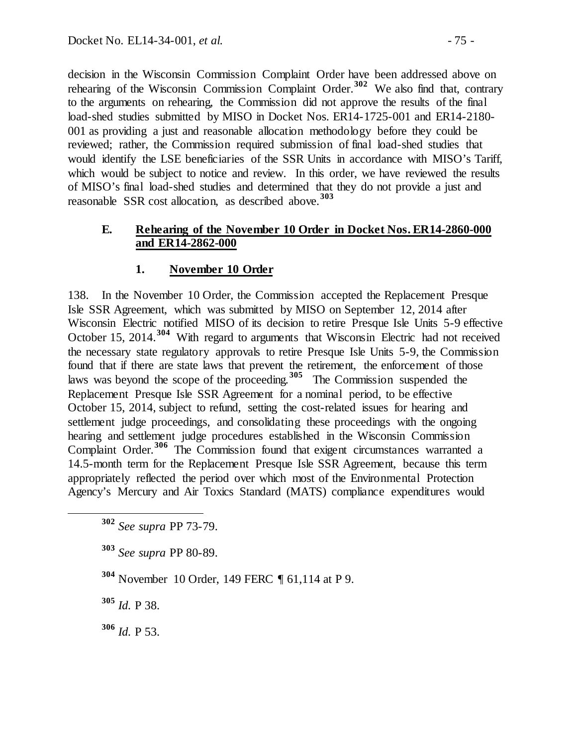decision in the Wisconsin Commission Complaint Order have been addressed above on rehearing of the Wisconsin Commission Complaint Order. **[302](#page-74-0)** We also find that, contrary to the arguments on rehearing, the Commission did not approve the results of the final load-shed studies submitted by MISO in Docket Nos. ER14-1725-001 and ER14-2180- 001 as providing a just and reasonable allocation methodology before they could be reviewed; rather, the Commission required submission of final load-shed studies that would identify the LSE beneficiaries of the SSR Units in accordance with MISO's Tariff, which would be subject to notice and review. In this order, we have reviewed the results of MISO's final load-shed studies and determined that they do not provide a just and reasonable SSR cost allocation, as described above.**[303](#page-74-1)**

#### **E. Rehearing of the November 10 Order in Docket Nos. ER14-2860-000 and ER14-2862-000**

### **1. November 10 Order**

138. In the November 10 Order, the Commission accepted the Replacement Presque Isle SSR Agreement, which was submitted by MISO on September 12, 2014 after Wisconsin Electric notified MISO of its decision to retire Presque Isle Units 5-9 effective October 15, 2014.**[304](#page-74-2)** With regard to arguments that Wisconsin Electric had not received the necessary state regulatory approvals to retire Presque Isle Units 5-9, the Commission found that if there are state laws that prevent the retirement, the enforcement of those laws was beyond the scope of the proceeding.**[305](#page-74-3)** The Commission suspended the Replacement Presque Isle SSR Agreement for a nominal period, to be effective October 15, 2014, subject to refund, setting the cost-related issues for hearing and settlement judge proceedings, and consolidating these proceedings with the ongoing hearing and settlement judge procedures established in the Wisconsin Commission Complaint Order.**[306](#page-74-4)** The Commission found that exigent circumstances warranted a 14.5-month term for the Replacement Presque Isle SSR Agreement, because this term appropriately reflected the period over which most of the Environmental Protection Agency's Mercury and Air Toxics Standard (MATS) compliance expenditures would

<span id="page-74-2"></span>**<sup>304</sup>** November 10 Order, 149 FERC ¶ 61,114 at P 9.

<span id="page-74-3"></span>**<sup>305</sup>** *Id.* P 38.

<span id="page-74-4"></span>**<sup>306</sup>** *Id.* P 53.

<span id="page-74-0"></span>**<sup>302</sup>** *See supra* PP 73-79.

<span id="page-74-1"></span>**<sup>303</sup>** *See supra* PP 80-89.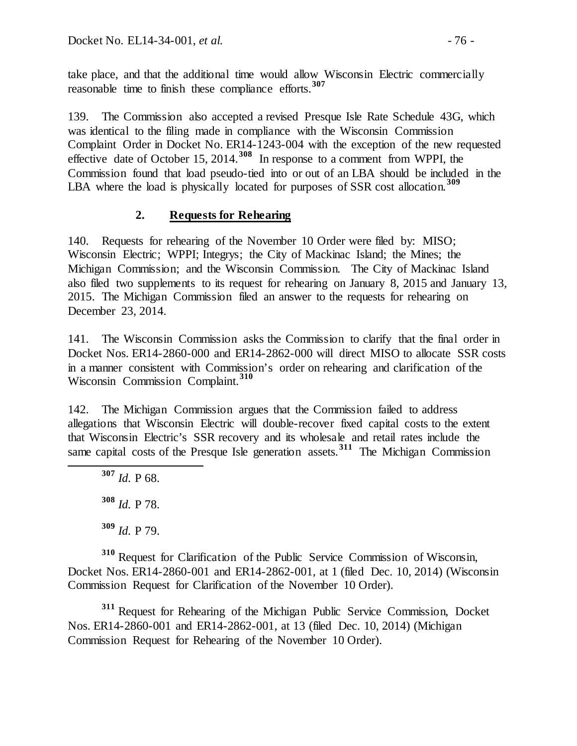take place, and that the additional time would allow Wisconsin Electric commercially reasonable time to finish these compliance efforts. **[307](#page-75-0)**

139. The Commission also accepted a revised Presque Isle Rate Schedule 43G, which was identical to the filing made in compliance with the Wisconsin Commission Complaint Order in Docket No. ER14-1243-004 with the exception of the new requested effective date of October 15, 2014.**[308](#page-75-1)** In response to a comment from WPPI, the Commission found that load pseudo-tied into or out of an LBA should be included in the LBA where the load is physically located for purposes of SSR cost allocation.<sup>[309](#page-75-2)</sup>

## **2. Requests for Rehearing**

140. Requests for rehearing of the November 10 Order were filed by: MISO; Wisconsin Electric; WPPI; Integrys; the City of Mackinac Island; the Mines; the Michigan Commission; and the Wisconsin Commission. The City of Mackinac Island also filed two supplements to its request for rehearing on January 8, 2015 and January 13, 2015. The Michigan Commission filed an answer to the requests for rehearing on December 23, 2014.

141. The Wisconsin Commission asks the Commission to clarify that the final order in Docket Nos. ER14-2860-000 and ER14-2862-000 will direct MISO to allocate SSR costs in a manner consistent with Commission's order on rehearing and clarification of the Wisconsin Commission Complaint. **[310](#page-75-3)**

<span id="page-75-0"></span>142. The Michigan Commission argues that the Commission failed to address allegations that Wisconsin Electric will double-recover fixed capital costs to the extent that Wisconsin Electric's SSR recovery and its wholesale and retail rates include the same capital costs of the Presque Isle generation assets.**[311](#page-75-4)** The Michigan Commission

 **<sup>307</sup>** *Id.* P 68. **<sup>308</sup>** *Id.* P 78. **<sup>309</sup>** *Id.* P 79.

<span id="page-75-3"></span><span id="page-75-2"></span><span id="page-75-1"></span>**<sup>310</sup>** Request for Clarification of the Public Service Commission of Wisconsin, Docket Nos. ER14-2860-001 and ER14-2862-001, at 1 (filed Dec. 10, 2014) (Wisconsin Commission Request for Clarification of the November 10 Order).

<span id="page-75-4"></span>**<sup>311</sup>** Request for Rehearing of the Michigan Public Service Commission, Docket Nos. ER14-2860-001 and ER14-2862-001, at 13 (filed Dec. 10, 2014) (Michigan Commission Request for Rehearing of the November 10 Order).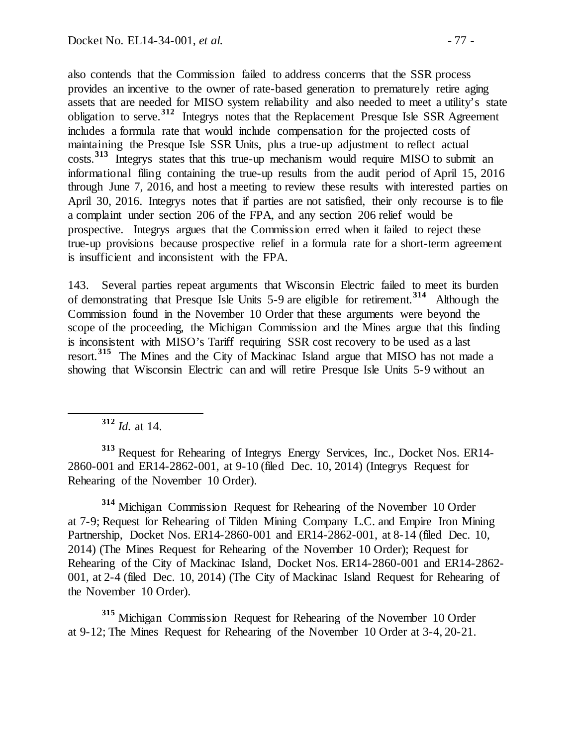also contends that the Commission failed to address concerns that the SSR process provides an incentive to the owner of rate-based generation to prematurely retire aging assets that are needed for MISO system reliability and also needed to meet a utility's state obligation to serve.**[312](#page-76-0)** Integrys notes that the Replacement Presque Isle SSR Agreement includes a formula rate that would include compensation for the projected costs of maintaining the Presque Isle SSR Units, plus a true-up adjustment to reflect actual costs.**[313](#page-76-1)** Integrys states that this true-up mechanism would require MISO to submit an informational filing containing the true-up results from the audit period of April 15, 2016 through June 7, 2016, and host a meeting to review these results with interested parties on April 30, 2016. Integrys notes that if parties are not satisfied, their only recourse is to file a complaint under section 206 of the FPA, and any section 206 relief would be prospective. Integrys argues that the Commission erred when it failed to reject these true-up provisions because prospective relief in a formula rate for a short-term agreement is insufficient and inconsistent with the FPA.

143. Several parties repeat arguments that Wisconsin Electric failed to meet its burden of demonstrating that Presque Isle Units 5-9 are eligible for retirement.**[314](#page-76-2)** Although the Commission found in the November 10 Order that these arguments were beyond the scope of the proceeding, the Michigan Commission and the Mines argue that this finding is inconsistent with MISO's Tariff requiring SSR cost recovery to be used as a last resort.**[315](#page-76-3)** The Mines and the City of Mackinac Island argue that MISO has not made a showing that Wisconsin Electric can and will retire Presque Isle Units 5-9 without an

**<sup>312</sup>** *Id.* at 14.

<span id="page-76-1"></span><span id="page-76-0"></span>**<sup>313</sup>** Request for Rehearing of Integrys Energy Services, Inc., Docket Nos. ER14- 2860-001 and ER14-2862-001, at 9-10 (filed Dec. 10, 2014) (Integrys Request for Rehearing of the November 10 Order).

<span id="page-76-2"></span>**<sup>314</sup>** Michigan Commission Request for Rehearing of the November 10 Order at 7-9; Request for Rehearing of Tilden Mining Company L.C. and Empire Iron Mining Partnership, Docket Nos. ER14-2860-001 and ER14-2862-001, at 8-14 (filed Dec. 10, 2014) (The Mines Request for Rehearing of the November 10 Order); Request for Rehearing of the City of Mackinac Island, Docket Nos. ER14-2860-001 and ER14-2862- 001, at 2-4 (filed Dec. 10, 2014) (The City of Mackinac Island Request for Rehearing of the November 10 Order).

<span id="page-76-3"></span>**<sup>315</sup>** Michigan Commission Request for Rehearing of the November 10 Order at 9-12; The Mines Request for Rehearing of the November 10 Order at 3-4, 20-21.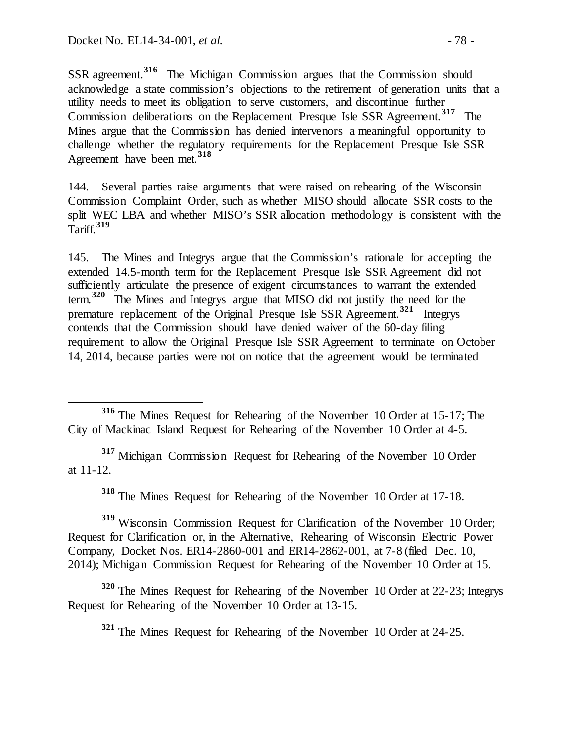SSR agreement.**[316](#page-77-0)** The Michigan Commission argues that the Commission should acknowledge a state commission's objections to the retirement of generation units that a utility needs to meet its obligation to serve customers, and discontinue further Commission deliberations on the Replacement Presque Isle SSR Agreement.**[317](#page-77-1)** The Mines argue that the Commission has denied intervenors a meaningful opportunity to challenge whether the regulatory requirements for the Replacement Presque Isle SSR Agreement have been met.**[318](#page-77-2)**

144. Several parties raise arguments that were raised on rehearing of the Wisconsin Commission Complaint Order, such as whether MISO should allocate SSR costs to the split WEC LBA and whether MISO's SSR allocation methodology is consistent with the Tariff.**[319](#page-77-3)**

145. The Mines and Integrys argue that the Commission's rationale for accepting the extended 14.5-month term for the Replacement Presque Isle SSR Agreement did not sufficiently articulate the presence of exigent circumstances to warrant the extended term.**[320](#page-77-4)** The Mines and Integrys argue that MISO did not justify the need for the premature replacement of the Original Presque Isle SSR Agreement.**[321](#page-77-5)** Integrys contends that the Commission should have denied waiver of the 60-day filing requirement to allow the Original Presque Isle SSR Agreement to terminate on October 14, 2014, because parties were not on notice that the agreement would be terminated

<span id="page-77-1"></span>**<sup>317</sup>** Michigan Commission Request for Rehearing of the November 10 Order at 11-12.

**<sup>318</sup>** The Mines Request for Rehearing of the November 10 Order at 17-18.

<span id="page-77-3"></span><span id="page-77-2"></span>**<sup>319</sup>** Wisconsin Commission Request for Clarification of the November 10 Order; Request for Clarification or, in the Alternative, Rehearing of Wisconsin Electric Power Company, Docket Nos. ER14-2860-001 and ER14-2862-001, at 7-8 (filed Dec. 10, 2014); Michigan Commission Request for Rehearing of the November 10 Order at 15.

<span id="page-77-5"></span><span id="page-77-4"></span>**<sup>320</sup>** The Mines Request for Rehearing of the November 10 Order at 22-23; Integrys Request for Rehearing of the November 10 Order at 13-15.

**<sup>321</sup>** The Mines Request for Rehearing of the November 10 Order at 24-25.

<span id="page-77-0"></span>**<sup>316</sup>** The Mines Request for Rehearing of the November 10 Order at 15-17; The City of Mackinac Island Request for Rehearing of the November 10 Order at 4-5.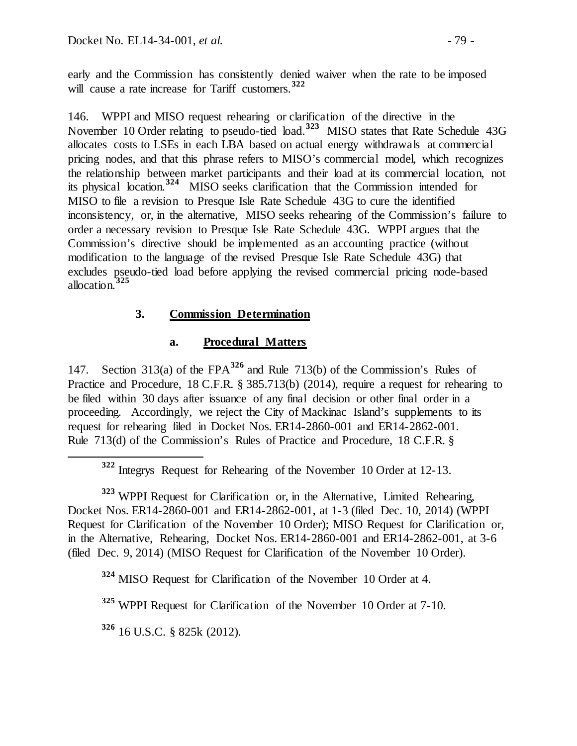early and the Commission has consistently denied waiver when the rate to be imposed will cause a rate increase for Tariff customers.**[322](#page-78-0)**

146. WPPI and MISO request rehearing or clarification of the directive in the November 10 Order relating to pseudo-tied load.**[323](#page-78-1)** MISO states that Rate Schedule 43G allocates costs to LSEs in each LBA based on actual energy withdrawals at commercial pricing nodes, and that this phrase refers to MISO's commercial model, which recognizes the relationship between market participants and their load at its commercial location, not its physical location.**[324](#page-78-2)** MISO seeks clarification that the Commission intended for MISO to file a revision to Presque Isle Rate Schedule 43G to cure the identified inconsistency, or, in the alternative, MISO seeks rehearing of the Commission's failure to order a necessary revision to Presque Isle Rate Schedule 43G. WPPI argues that the Commission's directive should be implemented as an accounting practice (without modification to the language of the revised Presque Isle Rate Schedule 43G) that excludes pseudo-tied load before applying the revised commercial pricing node-based allocation.**[325](#page-78-3)**

# **3. Commission Determination**

# **a. Procedural Matters**

147. Section 313(a) of the FPA**[326](#page-78-4)** and Rule 713(b) of the Commission's Rules of Practice and Procedure, 18 C.F.R. § 385.713(b) (2014), require a request for rehearing to be filed within 30 days after issuance of any final decision or other final order in a proceeding. Accordingly, we reject the City of Mackinac Island's supplements to its request for rehearing filed in Docket Nos. ER14-2860-001 and ER14-2862-001. Rule 713(d) of the Commission's Rules of Practice and Procedure, 18 C.F.R. §

**<sup>322</sup>** Integrys Request for Rehearing of the November 10 Order at 12-13.

<span id="page-78-1"></span><span id="page-78-0"></span>**<sup>323</sup>** WPPI Request for Clarification or, in the Alternative, Limited Rehearing, Docket Nos. ER14-2860-001 and ER14-2862-001, at 1-3 (filed Dec. 10, 2014) (WPPI Request for Clarification of the November 10 Order); MISO Request for Clarification or, in the Alternative, Rehearing, Docket Nos. ER14-2860-001 and ER14-2862-001, at 3-6 (filed Dec. 9, 2014) (MISO Request for Clarification of the November 10 Order).

<span id="page-78-2"></span>**<sup>324</sup>** MISO Request for Clarification of the November 10 Order at 4.

<span id="page-78-3"></span>**<sup>325</sup>** WPPI Request for Clarification of the November 10 Order at 7-10.

<span id="page-78-4"></span>**<sup>326</sup>** 16 U.S.C. § 825k (2012).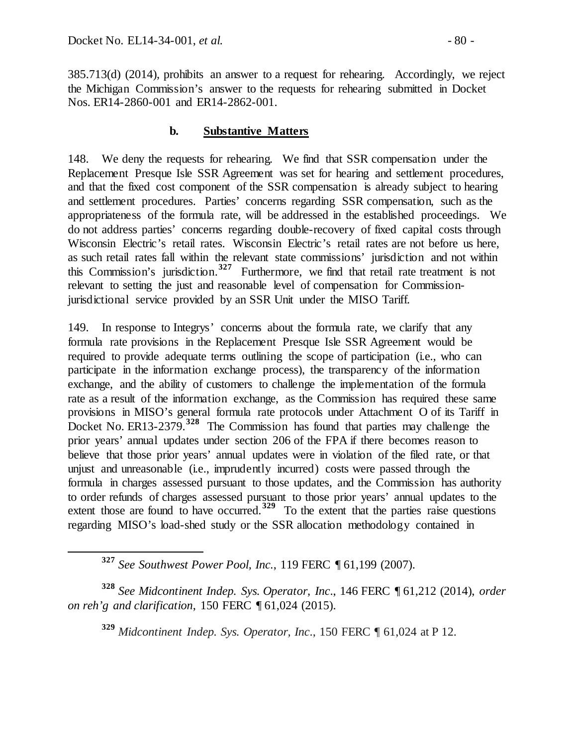385.713(d) (2014), prohibits an answer to a request for rehearing. Accordingly, we reject the Michigan Commission's answer to the requests for rehearing submitted in Docket Nos. ER14-2860-001 and ER14-2862-001.

#### **b. Substantive Matters**

148. We deny the requests for rehearing. We find that SSR compensation under the Replacement Presque Isle SSR Agreement was set for hearing and settlement procedures, and that the fixed cost component of the SSR compensation is already subject to hearing and settlement procedures. Parties' concerns regarding SSR compensation, such as the appropriateness of the formula rate, will be addressed in the established proceedings. We do not address parties' concerns regarding double-recovery of fixed capital costs through Wisconsin Electric's retail rates. Wisconsin Electric's retail rates are not before us here, as such retail rates fall within the relevant state commissions' jurisdiction and not within this Commission's jurisdiction.**[327](#page-79-0)** Furthermore, we find that retail rate treatment is not relevant to setting the just and reasonable level of compensation for Commissionjurisdictional service provided by an SSR Unit under the MISO Tariff.

149. In response to Integrys' concerns about the formula rate, we clarify that any formula rate provisions in the Replacement Presque Isle SSR Agreement would be required to provide adequate terms outlining the scope of participation (i.e., who can participate in the information exchange process), the transparency of the information exchange, and the ability of customers to challenge the implementation of the formula rate as a result of the information exchange, as the Commission has required these same provisions in MISO's general formula rate protocols under Attachment O of its Tariff in Docket No. ER13-2379.**[328](#page-79-1)** The Commission has found that parties may challenge the prior years' annual updates under section 206 of the FPA if there becomes reason to believe that those prior years' annual updates were in violation of the filed rate, or that unjust and unreasonable (i.e., imprudently incurred) costs were passed through the formula in charges assessed pursuant to those updates, and the Commission has authority to order refunds of charges assessed pursuant to those prior years' annual updates to the extent those are found to have occurred.<sup>[329](#page-79-2)</sup> To the extent that the parties raise questions regarding MISO's load-shed study or the SSR allocation methodology contained in

<span id="page-79-2"></span><span id="page-79-1"></span><span id="page-79-0"></span>**<sup>328</sup>** *See Midcontinent Indep. Sys. Operator, Inc*., 146 FERC ¶ 61,212 (2014), *order on reh'g and clarification*, 150 FERC ¶ 61,024 (2015).

**<sup>329</sup>** *Midcontinent Indep. Sys. Operator, Inc*., 150 FERC ¶ 61,024 at P 12.

**<sup>327</sup>** *See Southwest Power Pool, Inc.*, 119 FERC ¶ 61,199 (2007).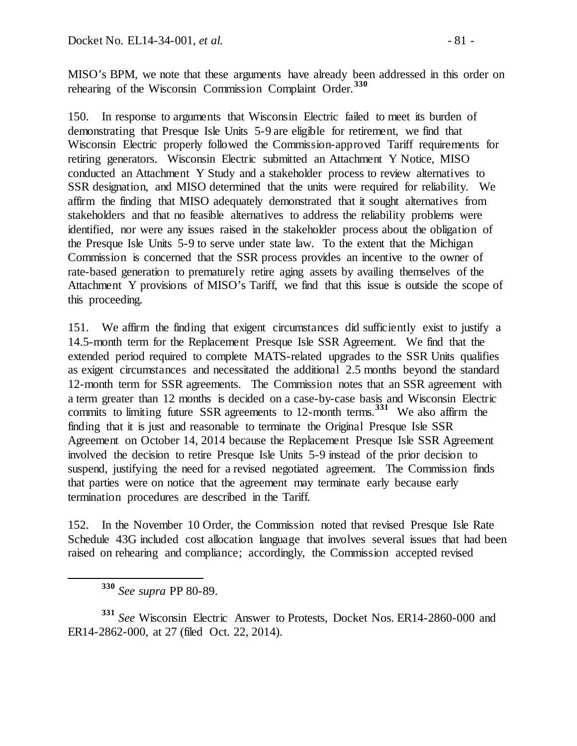MISO's BPM, we note that these arguments have already been addressed in this order on rehearing of the Wisconsin Commission Complaint Order.**[330](#page-80-0)**

150. In response to arguments that Wisconsin Electric failed to meet its burden of demonstrating that Presque Isle Units 5-9 are eligible for retirement, we find that Wisconsin Electric properly followed the Commission-approved Tariff requirements for retiring generators. Wisconsin Electric submitted an Attachment Y Notice, MISO conducted an Attachment Y Study and a stakeholder process to review alternatives to SSR designation, and MISO determined that the units were required for reliability. We affirm the finding that MISO adequately demonstrated that it sought alternatives from stakeholders and that no feasible alternatives to address the reliability problems were identified, nor were any issues raised in the stakeholder process about the obligation of the Presque Isle Units 5-9 to serve under state law. To the extent that the Michigan Commission is concerned that the SSR process provides an incentive to the owner of rate-based generation to prematurely retire aging assets by availing themselves of the Attachment Y provisions of MISO's Tariff, we find that this issue is outside the scope of this proceeding.

151. We affirm the finding that exigent circumstances did sufficiently exist to justify a 14.5-month term for the Replacement Presque Isle SSR Agreement. We find that the extended period required to complete MATS-related upgrades to the SSR Units qualifies as exigent circumstances and necessitated the additional 2.5 months beyond the standard 12-month term for SSR agreements. The Commission notes that an SSR agreement with a term greater than 12 months is decided on a case-by-case basis and Wisconsin Electric commits to limiting future SSR agreements to 12-month terms.**[331](#page-80-1)** We also affirm the finding that it is just and reasonable to terminate the Original Presque Isle SSR Agreement on October 14, 2014 because the Replacement Presque Isle SSR Agreement involved the decision to retire Presque Isle Units 5-9 instead of the prior decision to suspend, justifying the need for a revised negotiated agreement. The Commission finds that parties were on notice that the agreement may terminate early because early termination procedures are described in the Tariff.

152. In the November 10 Order, the Commission noted that revised Presque Isle Rate Schedule 43G included cost allocation language that involves several issues that had been raised on rehearing and compliance; accordingly, the Commission accepted revised

**<sup>330</sup>** *See supra* PP 80-89.

<span id="page-80-1"></span><span id="page-80-0"></span>**<sup>331</sup>** *See* Wisconsin Electric Answer to Protests, Docket Nos. ER14-2860-000 and ER14-2862-000, at 27 (filed Oct. 22, 2014).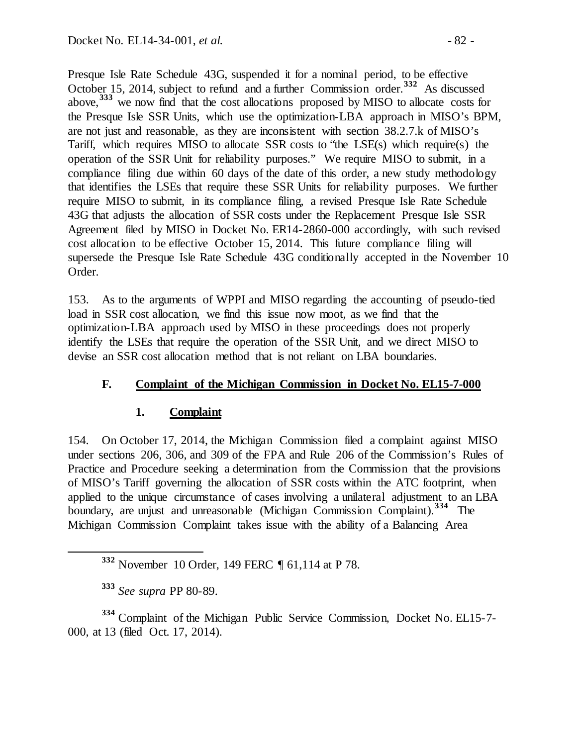Presque Isle Rate Schedule 43G, suspended it for a nominal period, to be effective October 15, 2014, subject to refund and a further Commission order. **[332](#page-81-0)** As discussed above,**[333](#page-81-1)** we now find that the cost allocations proposed by MISO to allocate costs for the Presque Isle SSR Units, which use the optimization-LBA approach in MISO's BPM, are not just and reasonable, as they are inconsistent with section 38.2.7.k of MISO's Tariff, which requires MISO to allocate SSR costs to "the LSE(s) which require(s) the operation of the SSR Unit for reliability purposes." We require MISO to submit, in a compliance filing due within 60 days of the date of this order, a new study methodology that identifies the LSEs that require these SSR Units for reliability purposes. We further require MISO to submit, in its compliance filing, a revised Presque Isle Rate Schedule 43G that adjusts the allocation of SSR costs under the Replacement Presque Isle SSR Agreement filed by MISO in Docket No. ER14-2860-000 accordingly, with such revised cost allocation to be effective October 15, 2014. This future compliance filing will supersede the Presque Isle Rate Schedule 43G conditionally accepted in the November 10 Order.

153. As to the arguments of WPPI and MISO regarding the accounting of pseudo-tied load in SSR cost allocation, we find this issue now moot, as we find that the optimization-LBA approach used by MISO in these proceedings does not properly identify the LSEs that require the operation of the SSR Unit, and we direct MISO to devise an SSR cost allocation method that is not reliant on LBA boundaries.

### **F. Complaint of the Michigan Commission in Docket No. EL15-7-000**

### **1. Complaint**

154. On October 17, 2014, the Michigan Commission filed a complaint against MISO under sections 206, 306, and 309 of the FPA and Rule 206 of the Commission's Rules of Practice and Procedure seeking a determination from the Commission that the provisions of MISO's Tariff governing the allocation of SSR costs within the ATC footprint, when applied to the unique circumstance of cases involving a unilateral adjustment to an LBA boundary, are unjust and unreasonable (Michigan Commission Complaint).**[334](#page-81-2)** The Michigan Commission Complaint takes issue with the ability of a Balancing Area

<span id="page-81-2"></span><span id="page-81-1"></span><span id="page-81-0"></span>**<sup>334</sup>** Complaint of the Michigan Public Service Commission, Docket No. EL15-7- 000, at 13 (filed Oct. 17, 2014).

**<sup>332</sup>** November 10 Order, 149 FERC ¶ 61,114 at P 78.

**<sup>333</sup>** *See supra* PP 80-89.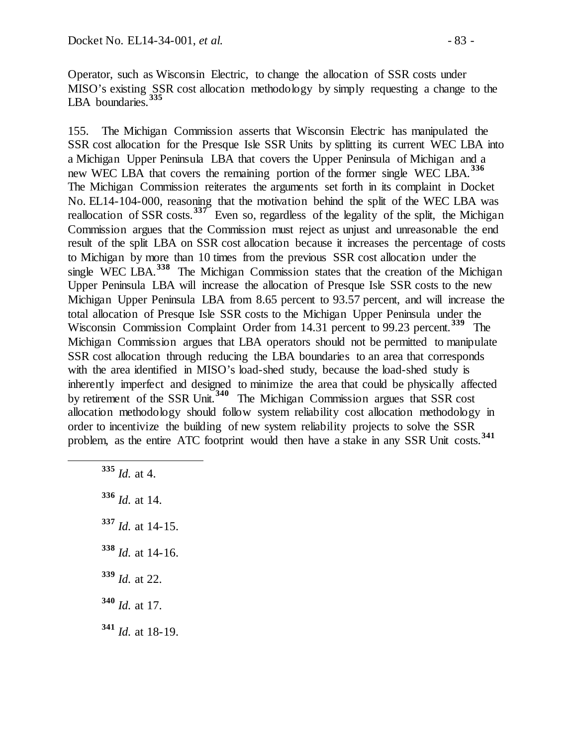Operator, such as Wisconsin Electric, to change the allocation of SSR costs under MISO's existing SSR cost allocation methodology by simply requesting a change to the LBA boundaries. **[335](#page-82-0)**

155. The Michigan Commission asserts that Wisconsin Electric has manipulated the SSR cost allocation for the Presque Isle SSR Units by splitting its current WEC LBA into a Michigan Upper Peninsula LBA that covers the Upper Peninsula of Michigan and a new WEC LBA that covers the remaining portion of the former single WEC LBA.**[336](#page-82-1)** The Michigan Commission reiterates the arguments set forth in its complaint in Docket No. EL14-104-000, reasoning that the motivation behind the split of the WEC LBA was reallocation of SSR costs.<sup>[337](#page-82-2)</sup> Even so, regardless of the legality of the split, the Michigan Commission argues that the Commission must reject as unjust and unreasonable the end result of the split LBA on SSR cost allocation because it increases the percentage of costs to Michigan by more than 10 times from the previous SSR cost allocation under the single WEC LBA.<sup>[338](#page-82-3)</sup> The Michigan Commission states that the creation of the Michigan Upper Peninsula LBA will increase the allocation of Presque Isle SSR costs to the new Michigan Upper Peninsula LBA from 8.65 percent to 93.57 percent, and will increase the total allocation of Presque Isle SSR costs to the Michigan Upper Peninsula under the Wisconsin Commission Complaint Order from 14.31 percent to 99.23 percent.**[339](#page-82-4)** The Michigan Commission argues that LBA operators should not be permitted to manipulate SSR cost allocation through reducing the LBA boundaries to an area that corresponds with the area identified in MISO's load-shed study, because the load-shed study is inherently imperfect and designed to minimize the area that could be physically affected by retirement of the SSR Unit.**[340](#page-82-5)** The Michigan Commission argues that SSR cost allocation methodology should follow system reliability cost allocation methodology in order to incentivize the building of new system reliability projects to solve the SSR problem, as the entire ATC footprint would then have a stake in any SSR Unit costs.**[341](#page-82-6)**

<span id="page-82-6"></span><span id="page-82-5"></span><span id="page-82-4"></span><span id="page-82-3"></span><span id="page-82-2"></span><span id="page-82-1"></span><span id="page-82-0"></span> **<sup>335</sup>** *Id.* at 4. *Id.* at 14. *Id.* at 14-15. *Id.* at 14-16. *Id.* at 22. *Id.* at 17. *Id.* at 18-19.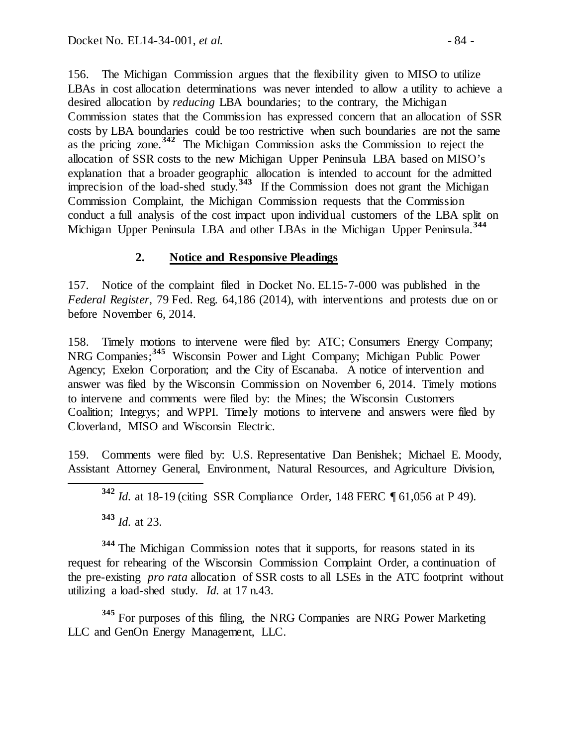156. The Michigan Commission argues that the flexibility given to MISO to utilize LBAs in cost allocation determinations was never intended to allow a utility to achieve a desired allocation by *reducing* LBA boundaries; to the contrary, the Michigan Commission states that the Commission has expressed concern that an allocation of SSR costs by LBA boundaries could be too restrictive when such boundaries are not the same as the pricing zone.**[342](#page-83-0)** The Michigan Commission asks the Commission to reject the allocation of SSR costs to the new Michigan Upper Peninsula LBA based on MISO's explanation that a broader geographic allocation is intended to account for the admitted imprecision of the load-shed study.**[343](#page-83-1)** If the Commission does not grant the Michigan Commission Complaint, the Michigan Commission requests that the Commission conduct a full analysis of the cost impact upon individual customers of the LBA split on Michigan Upper Peninsula LBA and other LBAs in the Michigan Upper Peninsula.**[344](#page-83-2)**

# **2. Notice and Responsive Pleadings**

157. Notice of the complaint filed in Docket No. EL15-7-000 was published in the *Federal Register*, 79 Fed. Reg. 64,186 (2014), with interventions and protests due on or before November 6, 2014.

158. Timely motions to intervene were filed by: ATC; Consumers Energy Company; NRG Companies; **[345](#page-83-3)** Wisconsin Power and Light Company; Michigan Public Power Agency; Exelon Corporation; and the City of Escanaba. A notice of intervention and answer was filed by the Wisconsin Commission on November 6, 2014. Timely motions to intervene and comments were filed by: the Mines; the Wisconsin Customers Coalition; Integrys; and WPPI. Timely motions to intervene and answers were filed by Cloverland, MISO and Wisconsin Electric.

<span id="page-83-0"></span>159. Comments were filed by: U.S. Representative Dan Benishek; Michael E. Moody, Assistant Attorney General, Environment, Natural Resources, and Agriculture Division,

**<sup>343</sup>** *Id.* at 23.

<span id="page-83-2"></span><span id="page-83-1"></span>**<sup>344</sup>** The Michigan Commission notes that it supports, for reasons stated in its request for rehearing of the Wisconsin Commission Complaint Order, a continuation of the pre-existing *pro rata* allocation of SSR costs to all LSEs in the ATC footprint without utilizing a load-shed study. *Id.* at 17 n.43.

<span id="page-83-3"></span>**<sup>345</sup>** For purposes of this filing, the NRG Companies are NRG Power Marketing LLC and GenOn Energy Management, LLC.

**<sup>342</sup>** *Id.* at 18-19 (citing SSR Compliance Order*,* 148 FERC ¶ 61,056 at P 49).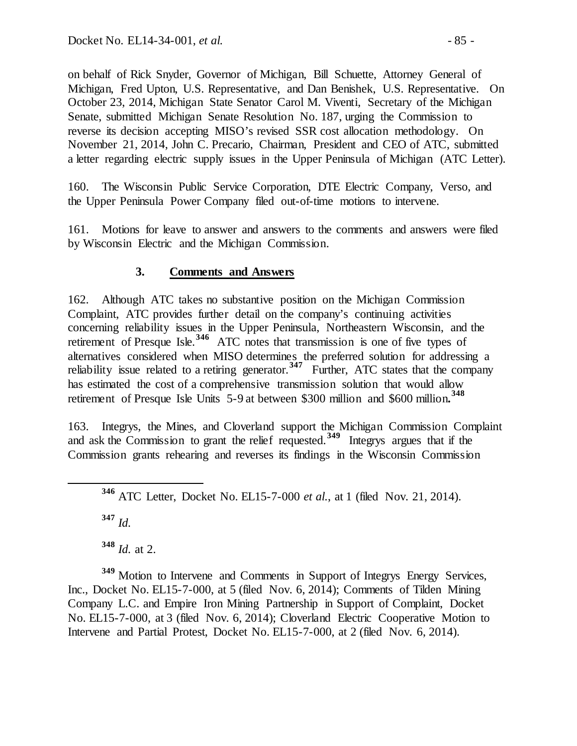on behalf of Rick Snyder, Governor of Michigan, Bill Schuette, Attorney General of Michigan, Fred Upton, U.S. Representative, and Dan Benishek, U.S. Representative. On October 23, 2014, Michigan State Senator Carol M. Viventi, Secretary of the Michigan Senate, submitted Michigan Senate Resolution No. 187, urging the Commission to reverse its decision accepting MISO's revised SSR cost allocation methodology. On November 21, 2014, John C. Precario, Chairman, President and CEO of ATC, submitted a letter regarding electric supply issues in the Upper Peninsula of Michigan (ATC Letter).

160. The Wisconsin Public Service Corporation, DTE Electric Company, Verso, and the Upper Peninsula Power Company filed out-of-time motions to intervene.

161. Motions for leave to answer and answers to the comments and answers were filed by Wisconsin Electric and the Michigan Commission.

## **3. Comments and Answers**

162. Although ATC takes no substantive position on the Michigan Commission Complaint, ATC provides further detail on the company's continuing activities concerning reliability issues in the Upper Peninsula, Northeastern Wisconsin, and the retirement of Presque Isle.**[346](#page-84-0)** ATC notes that transmission is one of five types of alternatives considered when MISO determines the preferred solution for addressing a reliability issue related to a retiring generator.**[347](#page-84-1)** Further, ATC states that the company has estimated the cost of a comprehensive transmission solution that would allow retirement of Presque Isle Units 5-9 at between \$300 million and \$600 million**. [348](#page-84-2)**

<span id="page-84-0"></span>163. Integrys, the Mines, and Cloverland support the Michigan Commission Complaint and ask the Commission to grant the relief requested.**[349](#page-84-3)** Integrys argues that if the Commission grants rehearing and reverses its findings in the Wisconsin Commission

**<sup>347</sup>** *Id.*

**<sup>348</sup>** *Id.* at 2.

<span id="page-84-3"></span><span id="page-84-2"></span><span id="page-84-1"></span>**<sup>349</sup>** Motion to Intervene and Comments in Support of Integrys Energy Services, Inc., Docket No. EL15-7-000, at 5 (filed Nov. 6, 2014); Comments of Tilden Mining Company L.C. and Empire Iron Mining Partnership in Support of Complaint, Docket No. EL15-7-000, at 3 (filed Nov. 6, 2014); Cloverland Electric Cooperative Motion to Intervene and Partial Protest, Docket No. EL15-7-000, at 2 (filed Nov. 6, 2014).

**<sup>346</sup>** ATC Letter, Docket No. EL15-7-000 *et al.*, at 1 (filed Nov. 21, 2014).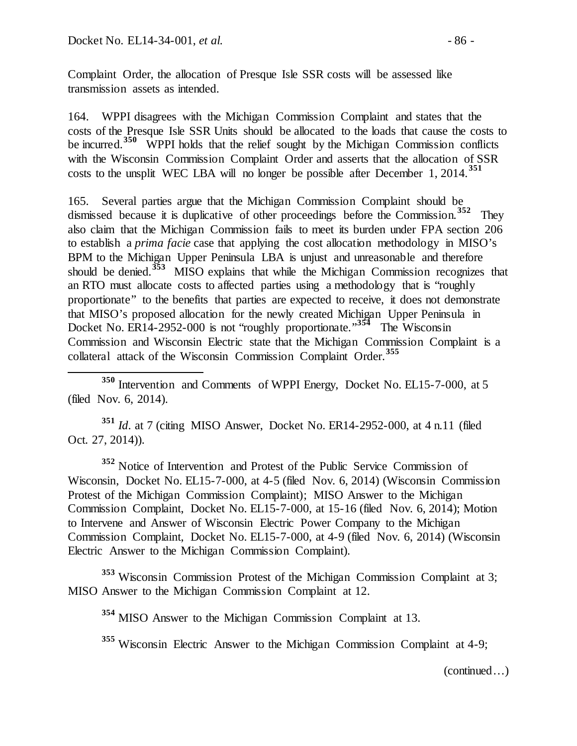Complaint Order, the allocation of Presque Isle SSR costs will be assessed like transmission assets as intended.

164. WPPI disagrees with the Michigan Commission Complaint and states that the costs of the Presque Isle SSR Units should be allocated to the loads that cause the costs to be incurred.<sup>[350](#page-85-0)</sup> WPPI holds that the relief sought by the Michigan Commission conflicts with the Wisconsin Commission Complaint Order and asserts that the allocation of SSR costs to the unsplit WEC LBA will no longer be possible after December 1, 2014.**[351](#page-85-1)**

165. Several parties argue that the Michigan Commission Complaint should be dismissed because it is duplicative of other proceedings before the Commission.**[352](#page-85-2)** They also claim that the Michigan Commission fails to meet its burden under FPA section 206 to establish a *prima facie* case that applying the cost allocation methodology in MISO's BPM to the Michigan Upper Peninsula LBA is unjust and unreasonable and therefore should be denied.**[353](#page-85-3)** MISO explains that while the Michigan Commission recognizes that an RTO must allocate costs to affected parties using a methodology that is "roughly proportionate" to the benefits that parties are expected to receive, it does not demonstrate that MISO's proposed allocation for the newly created Michigan Upper Peninsula in Docket No. ER14-2952-000 is not "roughly proportionate."<sup>[354](#page-85-4)</sup> The Wisconsin Commission and Wisconsin Electric state that the Michigan Commission Complaint is a collateral attack of the Wisconsin Commission Complaint Order. **[355](#page-85-5)**

<span id="page-85-0"></span> **<sup>350</sup>** Intervention and Comments of WPPI Energy, Docket No. EL15-7-000, at 5 (filed Nov. 6, 2014).

<span id="page-85-1"></span>**<sup>351</sup>** *Id*. at 7 (citing MISO Answer, Docket No. ER14-2952-000, at 4 n.11 (filed Oct. 27, 2014)).

<span id="page-85-2"></span>**<sup>352</sup>** Notice of Intervention and Protest of the Public Service Commission of Wisconsin, Docket No. EL15-7-000, at 4-5 (filed Nov. 6, 2014) (Wisconsin Commission Protest of the Michigan Commission Complaint); MISO Answer to the Michigan Commission Complaint, Docket No. EL15-7-000, at 15-16 (filed Nov. 6, 2014); Motion to Intervene and Answer of Wisconsin Electric Power Company to the Michigan Commission Complaint, Docket No. EL15-7-000, at 4-9 (filed Nov. 6, 2014) (Wisconsin Electric Answer to the Michigan Commission Complaint).

<span id="page-85-5"></span><span id="page-85-4"></span><span id="page-85-3"></span>**<sup>353</sup>** Wisconsin Commission Protest of the Michigan Commission Complaint at 3; MISO Answer to the Michigan Commission Complaint at 12.

**<sup>354</sup>** MISO Answer to the Michigan Commission Complaint at 13.

**<sup>355</sup>** Wisconsin Electric Answer to the Michigan Commission Complaint at 4-9;

(continued…)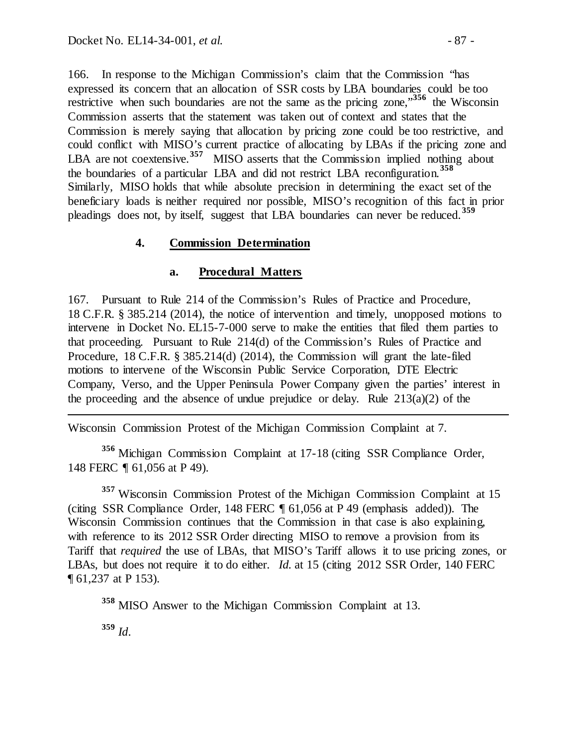166. In response to the Michigan Commission's claim that the Commission "has expressed its concern that an allocation of SSR costs by LBA boundaries could be too restrictive when such boundaries are not the same as the pricing zone,<sup>[356](#page-86-0)</sup> the Wisconsin Commission asserts that the statement was taken out of context and states that the Commission is merely saying that allocation by pricing zone could be too restrictive, and could conflict with MISO's current practice of allocating by LBAs if the pricing zone and LBA are not coextensive.<sup>[357](#page-86-1)</sup> MISO asserts that the Commission implied nothing about the boundaries of a particular LBA and did not restrict LBA reconfiguration.**[358](#page-86-2)** Similarly, MISO holds that while absolute precision in determining the exact set of the beneficiary loads is neither required nor possible, MISO's recognition of this fact in prior pleadings does not, by itself, suggest that LBA boundaries can never be reduced.**[359](#page-86-3)** 

#### **4. Commission Determination**

#### **a. Procedural Matters**

167. Pursuant to Rule 214 of the Commission's Rules of Practice and Procedure, 18 C.F.R. § 385.214 (2014), the notice of intervention and timely, unopposed motions to intervene in Docket No. EL15-7-000 serve to make the entities that filed them parties to that proceeding. Pursuant to Rule 214(d) of the Commission's Rules of Practice and Procedure, 18 C.F.R. § 385.214(d) (2014), the Commission will grant the late-filed motions to intervene of the Wisconsin Public Service Corporation, DTE Electric Company, Verso, and the Upper Peninsula Power Company given the parties' interest in the proceeding and the absence of undue prejudice or delay. Rule 213(a)(2) of the

Wisconsin Commission Protest of the Michigan Commission Complaint at 7.

<span id="page-86-0"></span>**<sup>356</sup>** Michigan Commission Complaint at 17-18 (citing SSR Compliance Order*,*  148 FERC ¶ 61,056 at P 49).

<span id="page-86-1"></span>**<sup>357</sup>** Wisconsin Commission Protest of the Michigan Commission Complaint at 15 (citing SSR Compliance Order, 148 FERC ¶ 61,056 at P 49 (emphasis added)). The Wisconsin Commission continues that the Commission in that case is also explaining, with reference to its 2012 SSR Order directing MISO to remove a provision from its Tariff that *required* the use of LBAs, that MISO's Tariff allows it to use pricing zones, or LBAs, but does not require it to do either. *Id.* at 15 (citing 2012 SSR Order, 140 FERC ¶ 61,237 at P 153).

<span id="page-86-2"></span>**<sup>358</sup>** MISO Answer to the Michigan Commission Complaint at 13.

<span id="page-86-3"></span>**<sup>359</sup>** *Id*.

 $\overline{a}$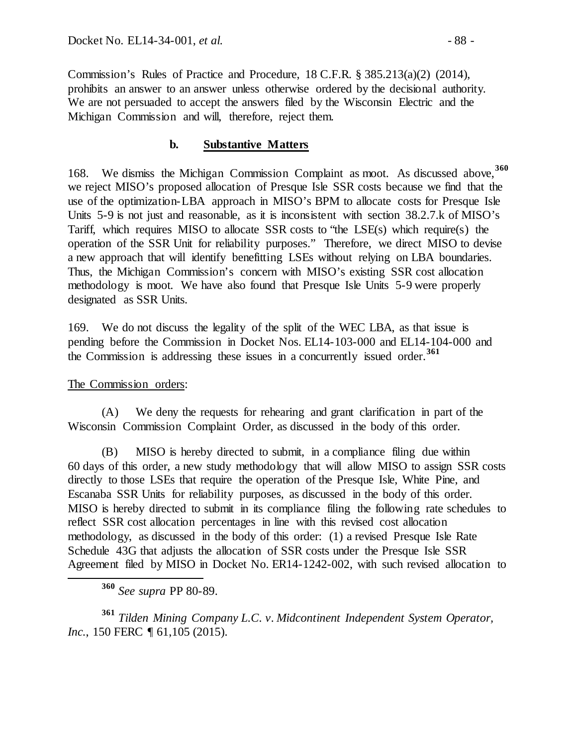Commission's Rules of Practice and Procedure, 18 C.F.R. § 385.213(a)(2) (2014), prohibits an answer to an answer unless otherwise ordered by the decisional authority. We are not persuaded to accept the answers filed by the Wisconsin Electric and the Michigan Commission and will, therefore, reject them.

#### **b. Substantive Matters**

168. We dismiss the Michigan Commission Complaint as moot. As discussed above,**[360](#page-87-0)** we reject MISO's proposed allocation of Presque Isle SSR costs because we find that the use of the optimization-LBA approach in MISO's BPM to allocate costs for Presque Isle Units 5-9 is not just and reasonable, as it is inconsistent with section 38.2.7.k of MISO's Tariff, which requires MISO to allocate SSR costs to "the LSE(s) which require(s) the operation of the SSR Unit for reliability purposes." Therefore, we direct MISO to devise a new approach that will identify benefitting LSEs without relying on LBA boundaries. Thus, the Michigan Commission's concern with MISO's existing SSR cost allocation methodology is moot. We have also found that Presque Isle Units 5-9 were properly designated as SSR Units.

169. We do not discuss the legality of the split of the WEC LBA, as that issue is pending before the Commission in Docket Nos. EL14-103-000 and EL14-104-000 and the Commission is addressing these issues in a concurrently issued order.<sup>[361](#page-87-1)</sup>

#### The Commission orders:

(A) We deny the requests for rehearing and grant clarification in part of the Wisconsin Commission Complaint Order, as discussed in the body of this order.

(B) MISO is hereby directed to submit, in a compliance filing due within 60 days of this order, a new study methodology that will allow MISO to assign SSR costs directly to those LSEs that require the operation of the Presque Isle, White Pine, and Escanaba SSR Units for reliability purposes, as discussed in the body of this order. MISO is hereby directed to submit in its compliance filing the following rate schedules to reflect SSR cost allocation percentages in line with this revised cost allocation methodology, as discussed in the body of this order: (1) a revised Presque Isle Rate Schedule 43G that adjusts the allocation of SSR costs under the Presque Isle SSR Agreement filed by MISO in Docket No. ER14-1242-002, with such revised allocation to

**<sup>360</sup>** *See supra* PP 80-89.

<span id="page-87-1"></span><span id="page-87-0"></span>**<sup>361</sup>** *Tilden Mining Company L.C. v. Midcontinent Independent System Operator, Inc.*, 150 FERC ¶ 61,105 (2015).